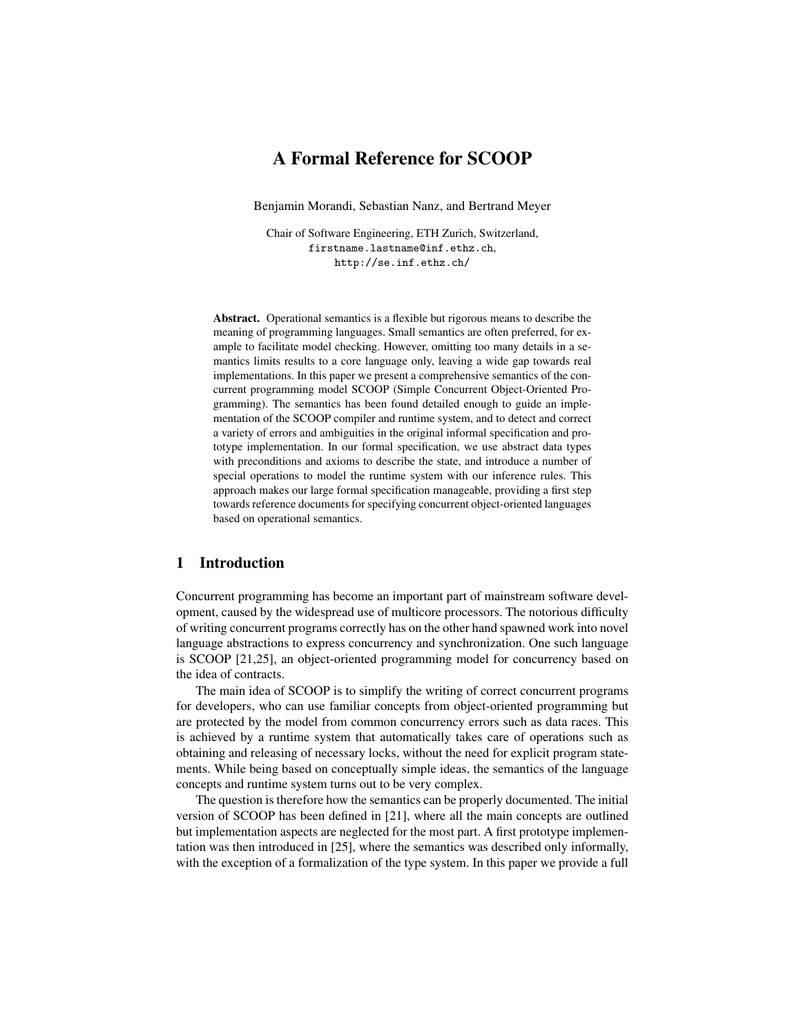# A Formal Reference for SCOOP

Benjamin Morandi, Sebastian Nanz, and Bertrand Meyer

Chair of Software Engineering, ETH Zurich, Switzerland, firstname.lastname@inf.ethz.ch, http://se.inf.ethz.ch/

Abstract. Operational semantics is a flexible but rigorous means to describe the meaning of programming languages. Small semantics are often preferred, for example to facilitate model checking. However, omitting too many details in a semantics limits results to a core language only, leaving a wide gap towards real implementations. In this paper we present a comprehensive semantics of the concurrent programming model SCOOP (Simple Concurrent Object-Oriented Programming). The semantics has been found detailed enough to guide an implementation of the SCOOP compiler and runtime system, and to detect and correct a variety of errors and ambiguities in the original informal specification and prototype implementation. In our formal specification, we use abstract data types with preconditions and axioms to describe the state, and introduce a number of special operations to model the runtime system with our inference rules. This approach makes our large formal specification manageable, providing a first step towards reference documents for specifying concurrent object-oriented languages based on operational semantics.

# 1 Introduction

Concurrent programming has become an important part of mainstream software development, caused by the widespread use of multicore processors. The notorious difficulty of writing concurrent programs correctly has on the other hand spawned work into novel language abstractions to express concurrency and synchronization. One such language is SCOOP [21,25], an object-oriented programming model for concurrency based on the idea of contracts.

The main idea of SCOOP is to simplify the writing of correct concurrent programs for developers, who can use familiar concepts from object-oriented programming but are protected by the model from common concurrency errors such as data races. This is achieved by a runtime system that automatically takes care of operations such as obtaining and releasing of necessary locks, without the need for explicit program statements. While being based on conceptually simple ideas, the semantics of the language concepts and runtime system turns out to be very complex.

The question is therefore how the semantics can be properly documented. The initial version of SCOOP has been defined in [21], where all the main concepts are outlined but implementation aspects are neglected for the most part. A first prototype implementation was then introduced in [25], where the semantics was described only informally, with the exception of a formalization of the type system. In this paper we provide a full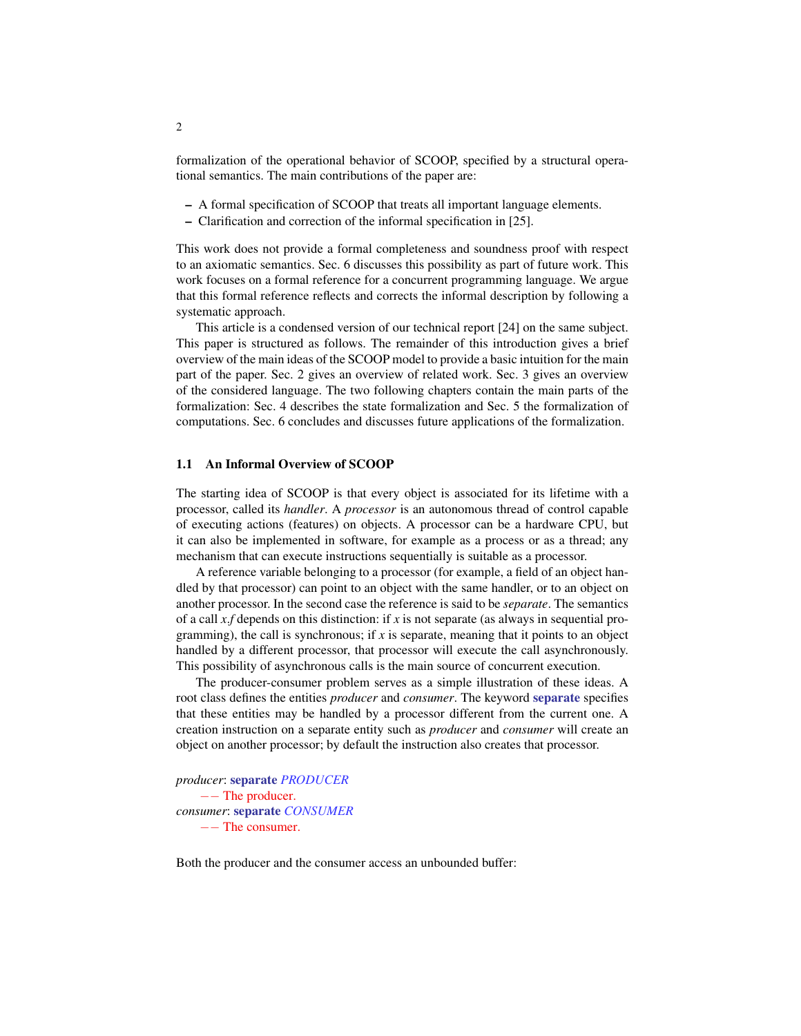formalization of the operational behavior of SCOOP, specified by a structural operational semantics. The main contributions of the paper are:

- A formal specification of SCOOP that treats all important language elements.
- Clarification and correction of the informal specification in [25].

This work does not provide a formal completeness and soundness proof with respect to an axiomatic semantics. Sec. 6 discusses this possibility as part of future work. This work focuses on a formal reference for a concurrent programming language. We argue that this formal reference reflects and corrects the informal description by following a systematic approach.

This article is a condensed version of our technical report [24] on the same subject. This paper is structured as follows. The remainder of this introduction gives a brief overview of the main ideas of the SCOOP model to provide a basic intuition for the main part of the paper. Sec. 2 gives an overview of related work. Sec. 3 gives an overview of the considered language. The two following chapters contain the main parts of the formalization: Sec. 4 describes the state formalization and Sec. 5 the formalization of computations. Sec. 6 concludes and discusses future applications of the formalization.

## 1.1 An Informal Overview of SCOOP

The starting idea of SCOOP is that every object is associated for its lifetime with a processor, called its *handler*. A *processor* is an autonomous thread of control capable of executing actions (features) on objects. A processor can be a hardware CPU, but it can also be implemented in software, for example as a process or as a thread; any mechanism that can execute instructions sequentially is suitable as a processor.

A reference variable belonging to a processor (for example, a field of an object handled by that processor) can point to an object with the same handler, or to an object on another processor. In the second case the reference is said to be *separate*. The semantics of a call  $x.f$  depends on this distinction: if  $x$  is not separate (as always in sequential programming), the call is synchronous; if  $x$  is separate, meaning that it points to an object handled by a different processor, that processor will execute the call asynchronously. This possibility of asynchronous calls is the main source of concurrent execution.

The producer-consumer problem serves as a simple illustration of these ideas. A root class defines the entities *producer* and *consumer*. The keyword separate specifies that these entities may be handled by a processor different from the current one. A creation instruction on a separate entity such as *producer* and *consumer* will create an object on another processor; by default the instruction also creates that processor.

*producer*: separate *PRODUCER* −− The producer. *consumer*: separate *CONSUMER* −− The consumer.

Both the producer and the consumer access an unbounded buffer: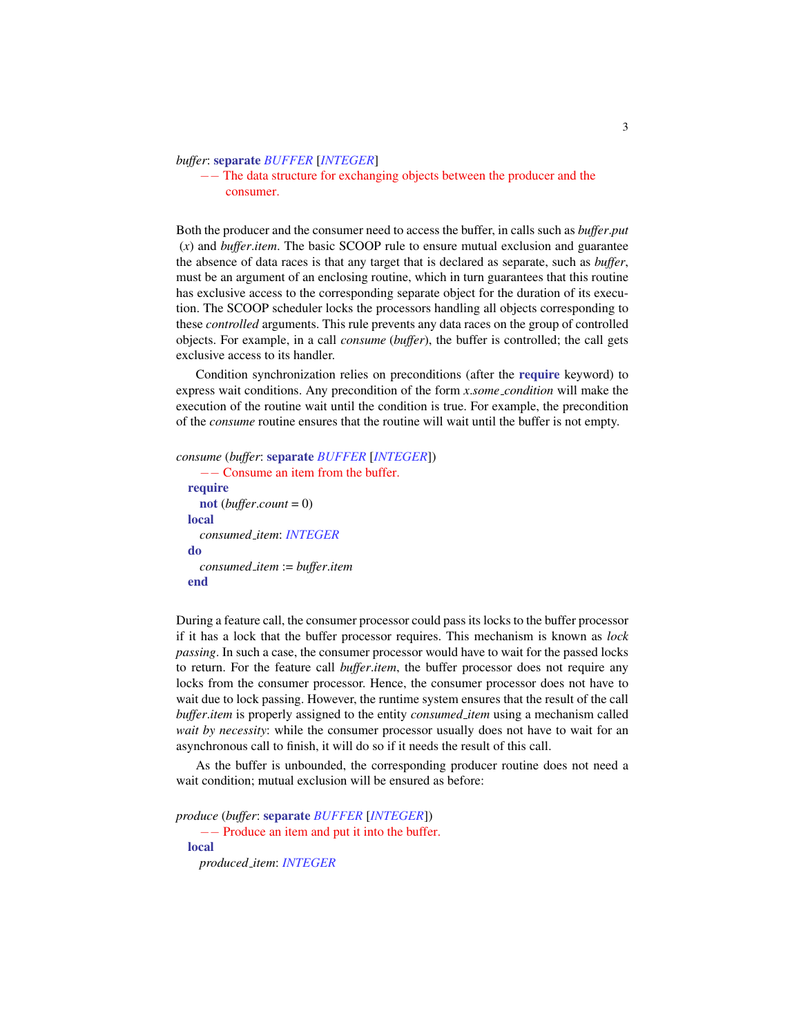*buffer*: separate *BUFFER* [*INTEGER*]

−− The data structure for exchanging objects between the producer and the consumer.

Both the producer and the consumer need to access the buffer, in calls such as *buffer*.*put* (*x*) and *buffer*.*item*. The basic SCOOP rule to ensure mutual exclusion and guarantee the absence of data races is that any target that is declared as separate, such as *buffer*, must be an argument of an enclosing routine, which in turn guarantees that this routine has exclusive access to the corresponding separate object for the duration of its execution. The SCOOP scheduler locks the processors handling all objects corresponding to these *controlled* arguments. This rule prevents any data races on the group of controlled objects. For example, in a call *consume* (*buffer*), the buffer is controlled; the call gets exclusive access to its handler.

Condition synchronization relies on preconditions (after the require keyword) to express wait conditions. Any precondition of the form *x*.*some condition* will make the execution of the routine wait until the condition is true. For example, the precondition of the *consume* routine ensures that the routine will wait until the buffer is not empty.

```
consume (buffer: separate BUFFER [INTEGER])
    −− Consume an item from the buffer.
 require
    not (buffer.count = 0)
 local
    consumed item: INTEGER
 do
    consumed item := buffer.item
 end
```
During a feature call, the consumer processor could pass its locks to the buffer processor if it has a lock that the buffer processor requires. This mechanism is known as *lock passing*. In such a case, the consumer processor would have to wait for the passed locks to return. For the feature call *buffer*.*item*, the buffer processor does not require any locks from the consumer processor. Hence, the consumer processor does not have to wait due to lock passing. However, the runtime system ensures that the result of the call *buffer*.*item* is properly assigned to the entity *consumed item* using a mechanism called *wait by necessity*: while the consumer processor usually does not have to wait for an asynchronous call to finish, it will do so if it needs the result of this call.

As the buffer is unbounded, the corresponding producer routine does not need a wait condition; mutual exclusion will be ensured as before:

*produce* (*buffer*: separate *BUFFER* [*INTEGER*]) −− Produce an item and put it into the buffer. local *produced item*: *INTEGER*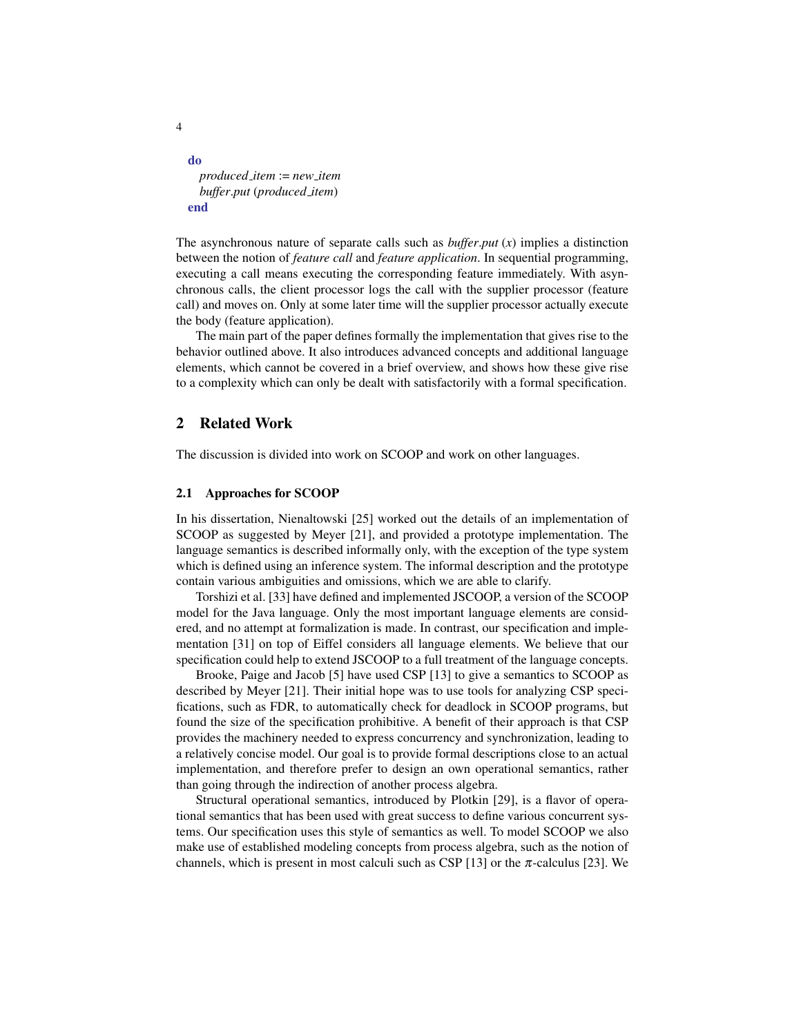```
do
  produced item := new item
  buffer.put (produced item)
end
```
The asynchronous nature of separate calls such as *buffer.put*  $(x)$  implies a distinction between the notion of *feature call* and *feature application*. In sequential programming, executing a call means executing the corresponding feature immediately. With asynchronous calls, the client processor logs the call with the supplier processor (feature call) and moves on. Only at some later time will the supplier processor actually execute the body (feature application).

The main part of the paper defines formally the implementation that gives rise to the behavior outlined above. It also introduces advanced concepts and additional language elements, which cannot be covered in a brief overview, and shows how these give rise to a complexity which can only be dealt with satisfactorily with a formal specification.

# 2 Related Work

The discussion is divided into work on SCOOP and work on other languages.

## 2.1 Approaches for SCOOP

In his dissertation, Nienaltowski [25] worked out the details of an implementation of SCOOP as suggested by Meyer [21], and provided a prototype implementation. The language semantics is described informally only, with the exception of the type system which is defined using an inference system. The informal description and the prototype contain various ambiguities and omissions, which we are able to clarify.

Torshizi et al. [33] have defined and implemented JSCOOP, a version of the SCOOP model for the Java language. Only the most important language elements are considered, and no attempt at formalization is made. In contrast, our specification and implementation [31] on top of Eiffel considers all language elements. We believe that our specification could help to extend JSCOOP to a full treatment of the language concepts.

Brooke, Paige and Jacob [5] have used CSP [13] to give a semantics to SCOOP as described by Meyer [21]. Their initial hope was to use tools for analyzing CSP specifications, such as FDR, to automatically check for deadlock in SCOOP programs, but found the size of the specification prohibitive. A benefit of their approach is that CSP provides the machinery needed to express concurrency and synchronization, leading to a relatively concise model. Our goal is to provide formal descriptions close to an actual implementation, and therefore prefer to design an own operational semantics, rather than going through the indirection of another process algebra.

Structural operational semantics, introduced by Plotkin [29], is a flavor of operational semantics that has been used with great success to define various concurrent systems. Our specification uses this style of semantics as well. To model SCOOP we also make use of established modeling concepts from process algebra, such as the notion of channels, which is present in most calculi such as CSP [13] or the  $\pi$ -calculus [23]. We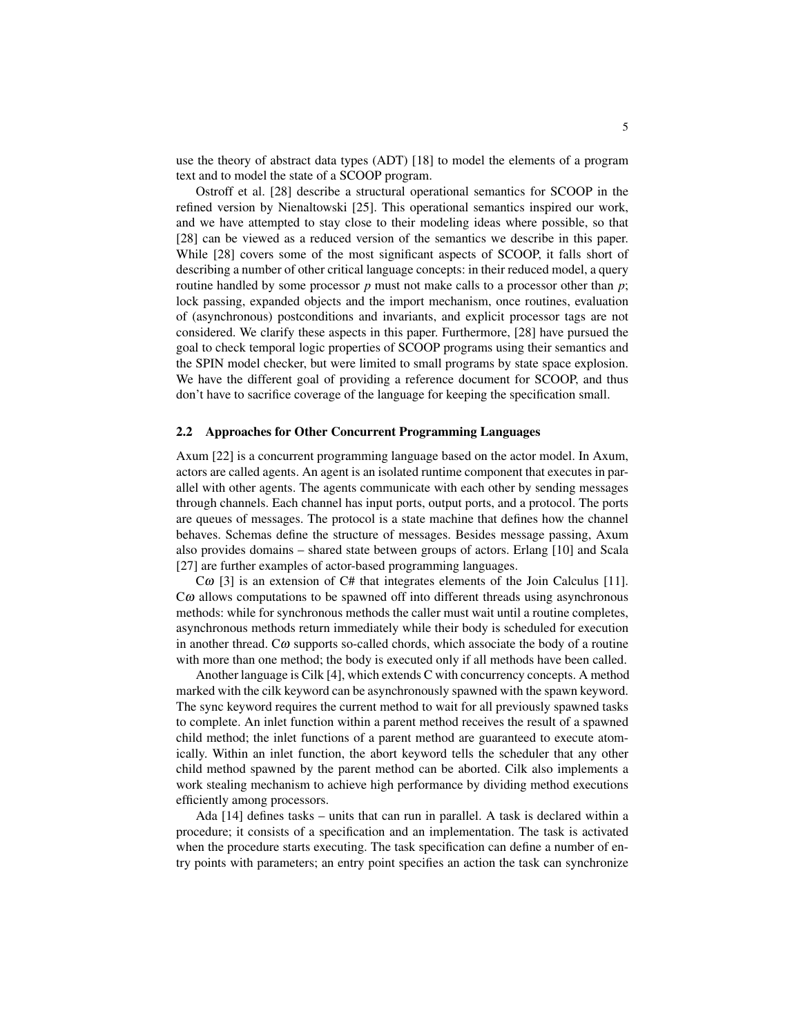use the theory of abstract data types (ADT) [18] to model the elements of a program text and to model the state of a SCOOP program.

Ostroff et al. [28] describe a structural operational semantics for SCOOP in the refined version by Nienaltowski [25]. This operational semantics inspired our work, and we have attempted to stay close to their modeling ideas where possible, so that [28] can be viewed as a reduced version of the semantics we describe in this paper. While [28] covers some of the most significant aspects of SCOOP, it falls short of describing a number of other critical language concepts: in their reduced model, a query routine handled by some processor  $p$  must not make calls to a processor other than  $p$ ; lock passing, expanded objects and the import mechanism, once routines, evaluation of (asynchronous) postconditions and invariants, and explicit processor tags are not considered. We clarify these aspects in this paper. Furthermore, [28] have pursued the goal to check temporal logic properties of SCOOP programs using their semantics and the SPIN model checker, but were limited to small programs by state space explosion. We have the different goal of providing a reference document for SCOOP, and thus don't have to sacrifice coverage of the language for keeping the specification small.

### 2.2 Approaches for Other Concurrent Programming Languages

Axum [22] is a concurrent programming language based on the actor model. In Axum, actors are called agents. An agent is an isolated runtime component that executes in parallel with other agents. The agents communicate with each other by sending messages through channels. Each channel has input ports, output ports, and a protocol. The ports are queues of messages. The protocol is a state machine that defines how the channel behaves. Schemas define the structure of messages. Besides message passing, Axum also provides domains – shared state between groups of actors. Erlang [10] and Scala [27] are further examples of actor-based programming languages.

 $C\omega$  [3] is an extension of C# that integrates elements of the Join Calculus [11].  $C\omega$  allows computations to be spawned off into different threads using asynchronous methods: while for synchronous methods the caller must wait until a routine completes, asynchronous methods return immediately while their body is scheduled for execution in another thread. C $\omega$  supports so-called chords, which associate the body of a routine with more than one method; the body is executed only if all methods have been called.

Another language is Cilk [4], which extends C with concurrency concepts. A method marked with the cilk keyword can be asynchronously spawned with the spawn keyword. The sync keyword requires the current method to wait for all previously spawned tasks to complete. An inlet function within a parent method receives the result of a spawned child method; the inlet functions of a parent method are guaranteed to execute atomically. Within an inlet function, the abort keyword tells the scheduler that any other child method spawned by the parent method can be aborted. Cilk also implements a work stealing mechanism to achieve high performance by dividing method executions efficiently among processors.

Ada [14] defines tasks – units that can run in parallel. A task is declared within a procedure; it consists of a specification and an implementation. The task is activated when the procedure starts executing. The task specification can define a number of entry points with parameters; an entry point specifies an action the task can synchronize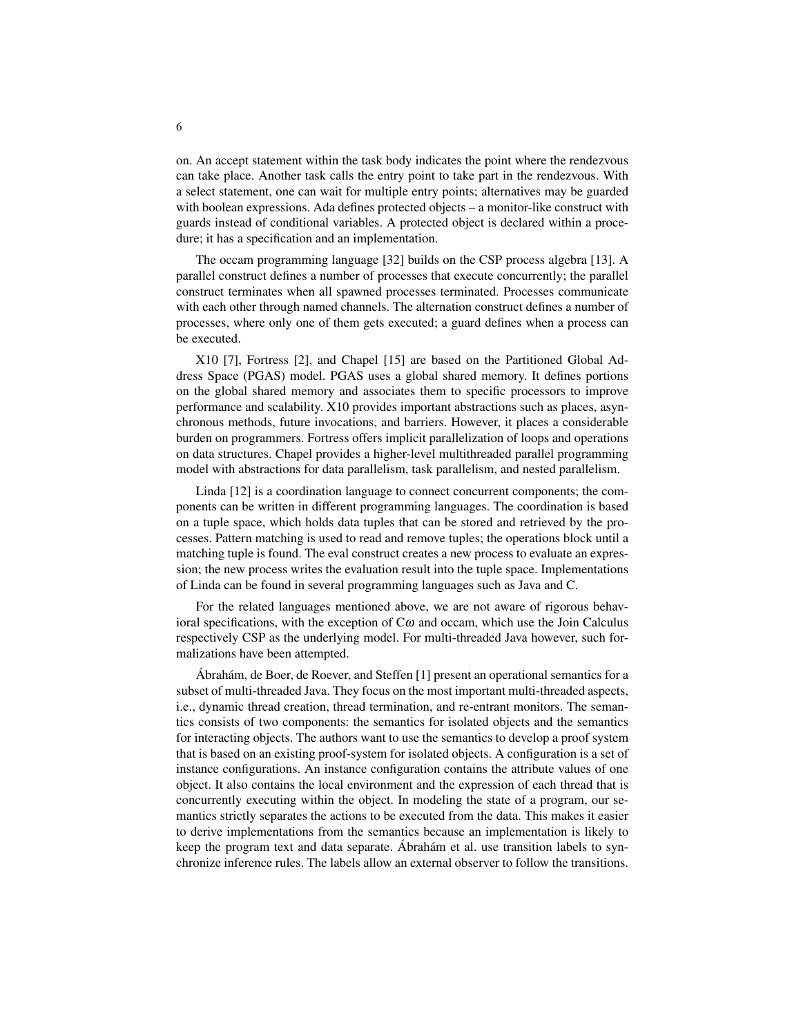on. An accept statement within the task body indicates the point where the rendezvous can take place. Another task calls the entry point to take part in the rendezvous. With a select statement, one can wait for multiple entry points; alternatives may be guarded with boolean expressions. Ada defines protected objects – a monitor-like construct with guards instead of conditional variables. A protected object is declared within a procedure; it has a specification and an implementation.

The occam programming language [32] builds on the CSP process algebra [13]. A parallel construct defines a number of processes that execute concurrently; the parallel construct terminates when all spawned processes terminated. Processes communicate with each other through named channels. The alternation construct defines a number of processes, where only one of them gets executed; a guard defines when a process can be executed.

X10 [7], Fortress [2], and Chapel [15] are based on the Partitioned Global Address Space (PGAS) model. PGAS uses a global shared memory. It defines portions on the global shared memory and associates them to specific processors to improve performance and scalability. X10 provides important abstractions such as places, asynchronous methods, future invocations, and barriers. However, it places a considerable burden on programmers. Fortress offers implicit parallelization of loops and operations on data structures. Chapel provides a higher-level multithreaded parallel programming model with abstractions for data parallelism, task parallelism, and nested parallelism.

Linda [12] is a coordination language to connect concurrent components; the components can be written in different programming languages. The coordination is based on a tuple space, which holds data tuples that can be stored and retrieved by the processes. Pattern matching is used to read and remove tuples; the operations block until a matching tuple is found. The eval construct creates a new process to evaluate an expression; the new process writes the evaluation result into the tuple space. Implementations of Linda can be found in several programming languages such as Java and C.

For the related languages mentioned above, we are not aware of rigorous behavioral specifications, with the exception of  $C\omega$  and occam, which use the Join Calculus respectively CSP as the underlying model. For multi-threaded Java however, such formalizations have been attempted.

Ábrahám, de Boer, de Roever, and Steffen [1] present an operational semantics for a subset of multi-threaded Java. They focus on the most important multi-threaded aspects, i.e., dynamic thread creation, thread termination, and re-entrant monitors. The semantics consists of two components: the semantics for isolated objects and the semantics for interacting objects. The authors want to use the semantics to develop a proof system that is based on an existing proof-system for isolated objects. A configuration is a set of instance configurations. An instance configuration contains the attribute values of one object. It also contains the local environment and the expression of each thread that is concurrently executing within the object. In modeling the state of a program, our semantics strictly separates the actions to be executed from the data. This makes it easier to derive implementations from the semantics because an implementation is likely to keep the program text and data separate. Abrahám et al. use transition labels to synchronize inference rules. The labels allow an external observer to follow the transitions.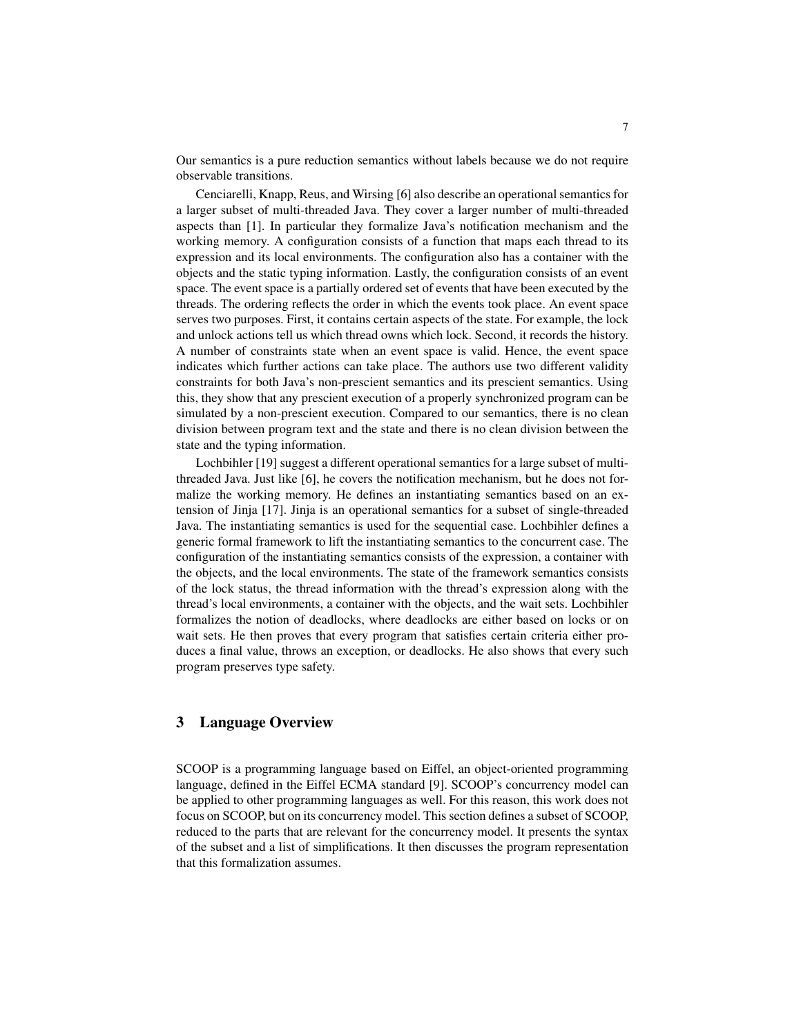Our semantics is a pure reduction semantics without labels because we do not require observable transitions.

Cenciarelli, Knapp, Reus, and Wirsing [6] also describe an operational semantics for a larger subset of multi-threaded Java. They cover a larger number of multi-threaded aspects than [1]. In particular they formalize Java's notification mechanism and the working memory. A configuration consists of a function that maps each thread to its expression and its local environments. The configuration also has a container with the objects and the static typing information. Lastly, the configuration consists of an event space. The event space is a partially ordered set of events that have been executed by the threads. The ordering reflects the order in which the events took place. An event space serves two purposes. First, it contains certain aspects of the state. For example, the lock and unlock actions tell us which thread owns which lock. Second, it records the history. A number of constraints state when an event space is valid. Hence, the event space indicates which further actions can take place. The authors use two different validity constraints for both Java's non-prescient semantics and its prescient semantics. Using this, they show that any prescient execution of a properly synchronized program can be simulated by a non-prescient execution. Compared to our semantics, there is no clean division between program text and the state and there is no clean division between the state and the typing information.

Lochbihler [19] suggest a different operational semantics for a large subset of multithreaded Java. Just like [6], he covers the notification mechanism, but he does not formalize the working memory. He defines an instantiating semantics based on an extension of Jinja [17]. Jinja is an operational semantics for a subset of single-threaded Java. The instantiating semantics is used for the sequential case. Lochbihler defines a generic formal framework to lift the instantiating semantics to the concurrent case. The configuration of the instantiating semantics consists of the expression, a container with the objects, and the local environments. The state of the framework semantics consists of the lock status, the thread information with the thread's expression along with the thread's local environments, a container with the objects, and the wait sets. Lochbihler formalizes the notion of deadlocks, where deadlocks are either based on locks or on wait sets. He then proves that every program that satisfies certain criteria either produces a final value, throws an exception, or deadlocks. He also shows that every such program preserves type safety.

# 3 Language Overview

SCOOP is a programming language based on Eiffel, an object-oriented programming language, defined in the Eiffel ECMA standard [9]. SCOOP's concurrency model can be applied to other programming languages as well. For this reason, this work does not focus on SCOOP, but on its concurrency model. This section defines a subset of SCOOP, reduced to the parts that are relevant for the concurrency model. It presents the syntax of the subset and a list of simplifications. It then discusses the program representation that this formalization assumes.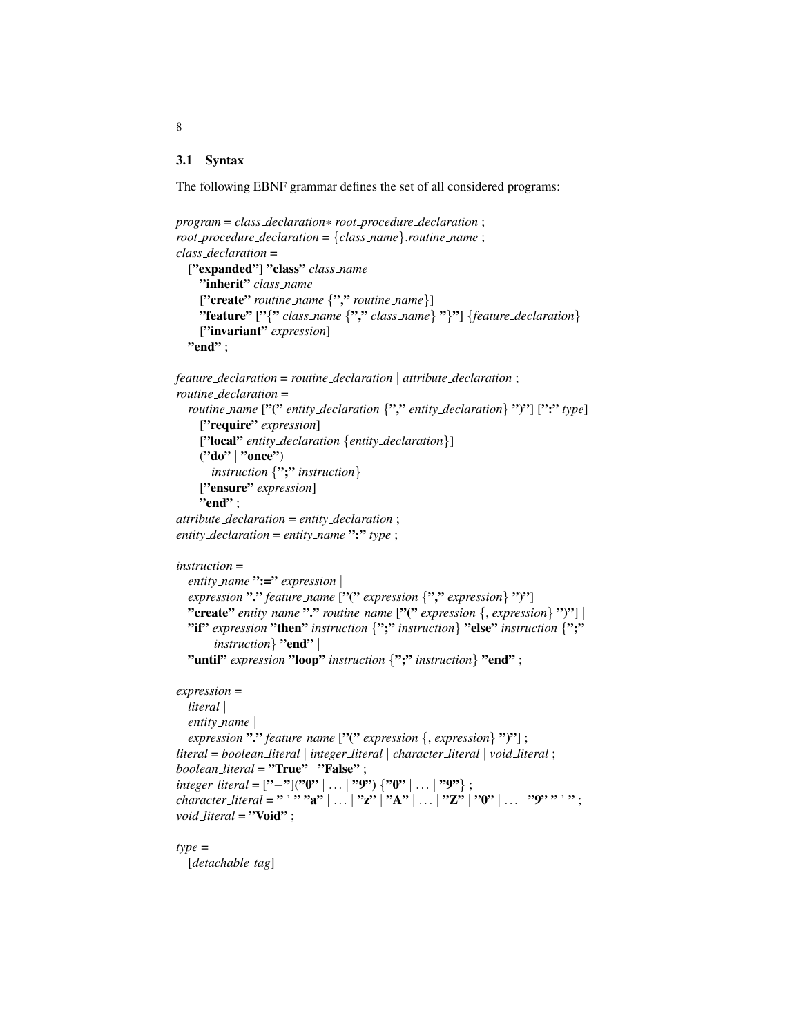### 3.1 Syntax

8

The following EBNF grammar defines the set of all considered programs:

```
program = class declaration* root procedure declaration ;
root procedure declaration = {class name}.routine name ;
class declaration =
  ["expanded"] "class" class name
    "inherit" class name
    ["create" routine name {"," routine name}]
    "feature" ["{" class name {"," class name} "}"] {feature declaration}
    ["invariant" expression]
  "end";
feature declaration = routine declaration | attribute declaration ;
routine declaration =
  routine name ["(" entity declaration {"," entity declaration} ")"] [":" type]
    ["require" expression]
    ["local" entity declaration {entity declaration}]
    ("do" | "once")
      instruction {";" instruction}
    ["ensure" expression]
    "end":
attribute declaration = entity declaration ;
entity_declaration = entity_name ":" type ;
instruction =
  entity_name ":=" expression |
  expression "." feature name ["(" expression {"," expression} ")"] |
  "create" entity name "." routine name ["(" expression {, expression} ")"] |
  "if" expression "then" instruction {";" instruction} "else" instruction {";"
       instruction } "end" |
  "until" expression "loop" instruction {";" instruction} "end" ;
expression =
  literal |
  entity name |
  expression "." feature name ["(" expression {, expression} ")"] ;
literal = boolean literal | integer literal | character literal | void literal ;
boolean literal = "True" | "False" ;
integer_literal = ["−"]("0" | ... | "9") {"0" | ... | "9"} ;
character_literal = " ' " "a" | ... | "z" | "A" | ... | "Z" | "0" | ... | "9" " ' ";
void_literal = "Void" ;
type =
```
[*detachable tag*]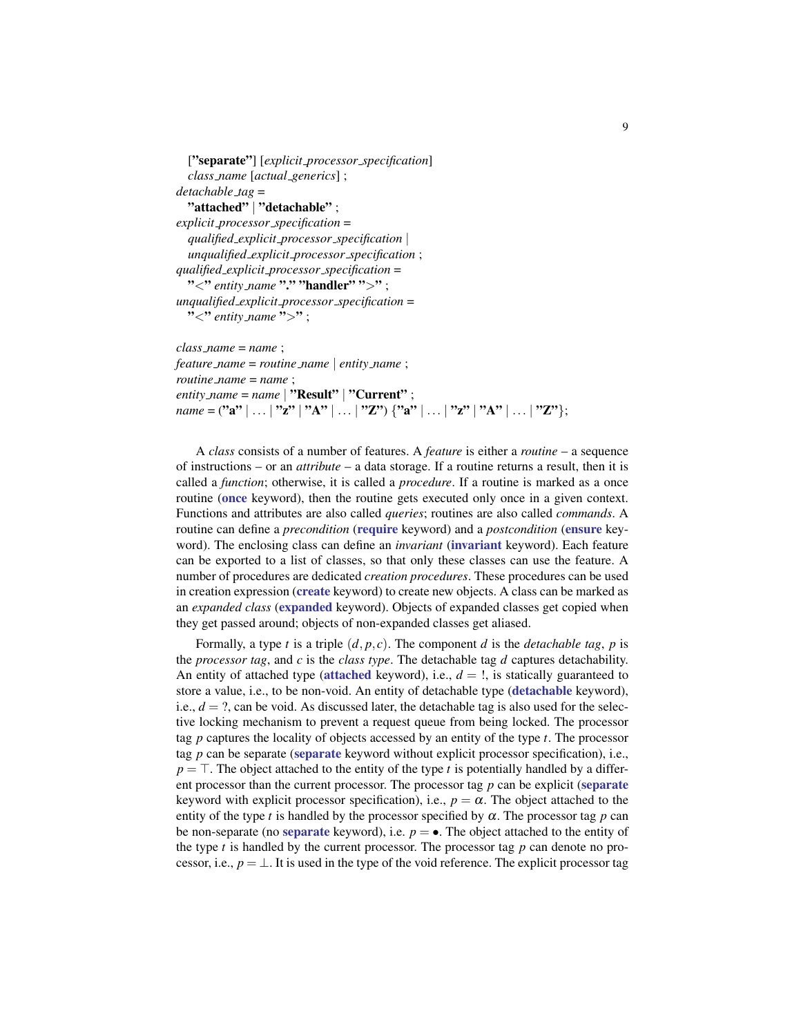["separate"] [*explicit processor specification*] *class name* [*actual generics*] ; *detachable tag* = "attached" | "detachable" ; *explicit processor specification* = *qualified explicit processor specification* | *unqualified explicit processor specification* ; *qualified explicit processor specification* = ">" entity\_name "." "handler" ">" ;" *unqualified explicit processor specification* = ">" entity\_name">";

*class name* = *name* ; *feature name* = *routine name* | *entity name* ; *routine name* = *name* ; *entity name* = *name* | "Result" | "Current" ; *name* = ("a" | ... | "z" | "A" | ... | "Z") {"a" | ... | "z" | "A" | ... | "Z"};

A *class* consists of a number of features. A *feature* is either a *routine* – a sequence of instructions – or an *attribute* – a data storage. If a routine returns a result, then it is called a *function*; otherwise, it is called a *procedure*. If a routine is marked as a once routine (once keyword), then the routine gets executed only once in a given context. Functions and attributes are also called *queries*; routines are also called *commands*. A routine can define a *precondition* (require keyword) and a *postcondition* (ensure keyword). The enclosing class can define an *invariant* (invariant keyword). Each feature can be exported to a list of classes, so that only these classes can use the feature. A number of procedures are dedicated *creation procedures*. These procedures can be used in creation expression (create keyword) to create new objects. A class can be marked as an *expanded class* (expanded keyword). Objects of expanded classes get copied when they get passed around; objects of non-expanded classes get aliased.

Formally, a type *t* is a triple (*d*, *p*, *c*). The component *d* is the *detachable tag*, *p* is the *processor tag*, and *c* is the *class type*. The detachable tag *d* captures detachability. An entity of attached type (attached keyword), i.e.,  $d = 1$ , is statically guaranteed to store a value, i.e., to be non-void. An entity of detachable type (detachable keyword), i.e.,  $d = ?$ , can be void. As discussed later, the detachable tag is also used for the selective locking mechanism to prevent a request queue from being locked. The processor tag *p* captures the locality of objects accessed by an entity of the type *t*. The processor tag *p* can be separate (separate keyword without explicit processor specification), i.e.,  $p = \top$ . The object attached to the entity of the type *t* is potentially handled by a different processor than the current processor. The processor tag *p* can be explicit (separate keyword with explicit processor specification), i.e.,  $p = \alpha$ . The object attached to the entity of the type *t* is handled by the processor specified by  $\alpha$ . The processor tag  $p$  can be non-separate (no separate keyword), i.e.  $p = \bullet$ . The object attached to the entity of the type *t* is handled by the current processor. The processor tag *p* can denote no processor, i.e.,  $p = \perp$ . It is used in the type of the void reference. The explicit processor tag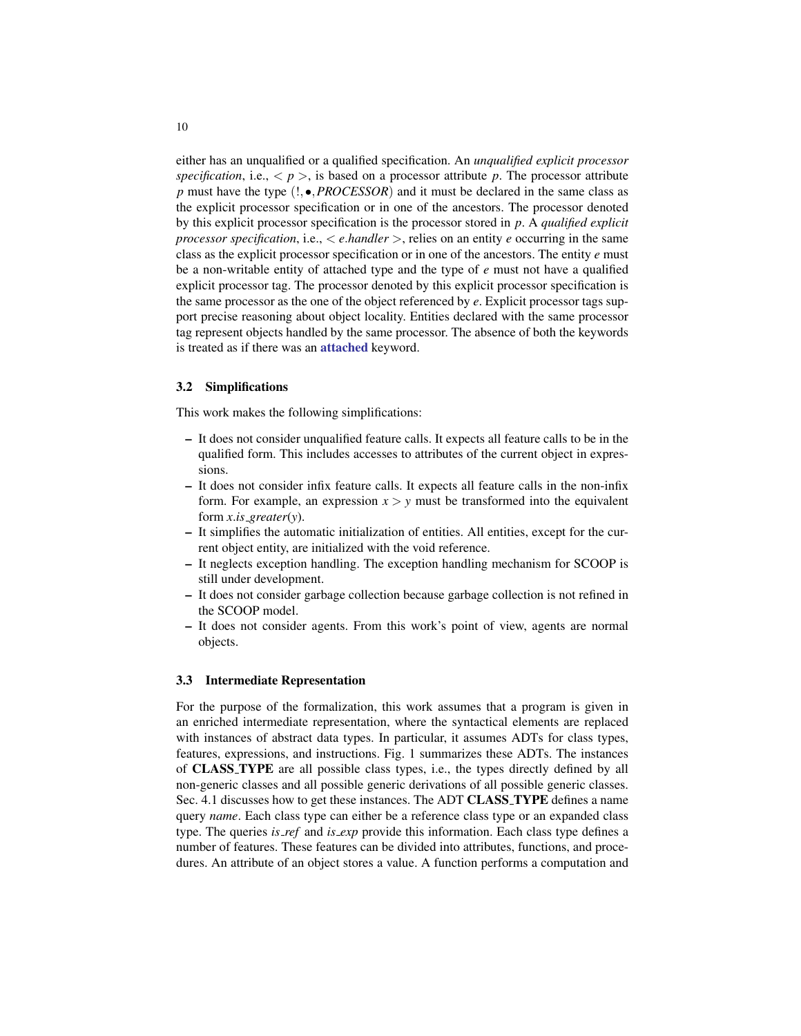either has an unqualified or a qualified specification. An *unqualified explicit processor specification*, i.e.,  $\langle p \rangle$ , is based on a processor attribute p. The processor attribute *p* must have the type  $(!, \bullet, PROCESSOR)$  and it must be declared in the same class as the explicit processor specification or in one of the ancestors. The processor denoted by this explicit processor specification is the processor stored in *p*. A *qualified explicit processor specification*, i.e., < *e*.*handler* >, relies on an entity *e* occurring in the same class as the explicit processor specification or in one of the ancestors. The entity *e* must be a non-writable entity of attached type and the type of *e* must not have a qualified explicit processor tag. The processor denoted by this explicit processor specification is the same processor as the one of the object referenced by *e*. Explicit processor tags support precise reasoning about object locality. Entities declared with the same processor tag represent objects handled by the same processor. The absence of both the keywords is treated as if there was an attached keyword.

## 3.2 Simplifications

This work makes the following simplifications:

- It does not consider unqualified feature calls. It expects all feature calls to be in the qualified form. This includes accesses to attributes of the current object in expressions.
- It does not consider infix feature calls. It expects all feature calls in the non-infix form. For example, an expression  $x > y$  must be transformed into the equivalent form *x*.*is greater*(*y*).
- It simplifies the automatic initialization of entities. All entities, except for the current object entity, are initialized with the void reference.
- It neglects exception handling. The exception handling mechanism for SCOOP is still under development.
- It does not consider garbage collection because garbage collection is not refined in the SCOOP model.
- It does not consider agents. From this work's point of view, agents are normal objects.

## 3.3 Intermediate Representation

For the purpose of the formalization, this work assumes that a program is given in an enriched intermediate representation, where the syntactical elements are replaced with instances of abstract data types. In particular, it assumes ADTs for class types, features, expressions, and instructions. Fig. 1 summarizes these ADTs. The instances of CLASS TYPE are all possible class types, i.e., the types directly defined by all non-generic classes and all possible generic derivations of all possible generic classes. Sec. 4.1 discusses how to get these instances. The ADT CLASS TYPE defines a name query *name*. Each class type can either be a reference class type or an expanded class type. The queries *is ref* and *is exp* provide this information. Each class type defines a number of features. These features can be divided into attributes, functions, and procedures. An attribute of an object stores a value. A function performs a computation and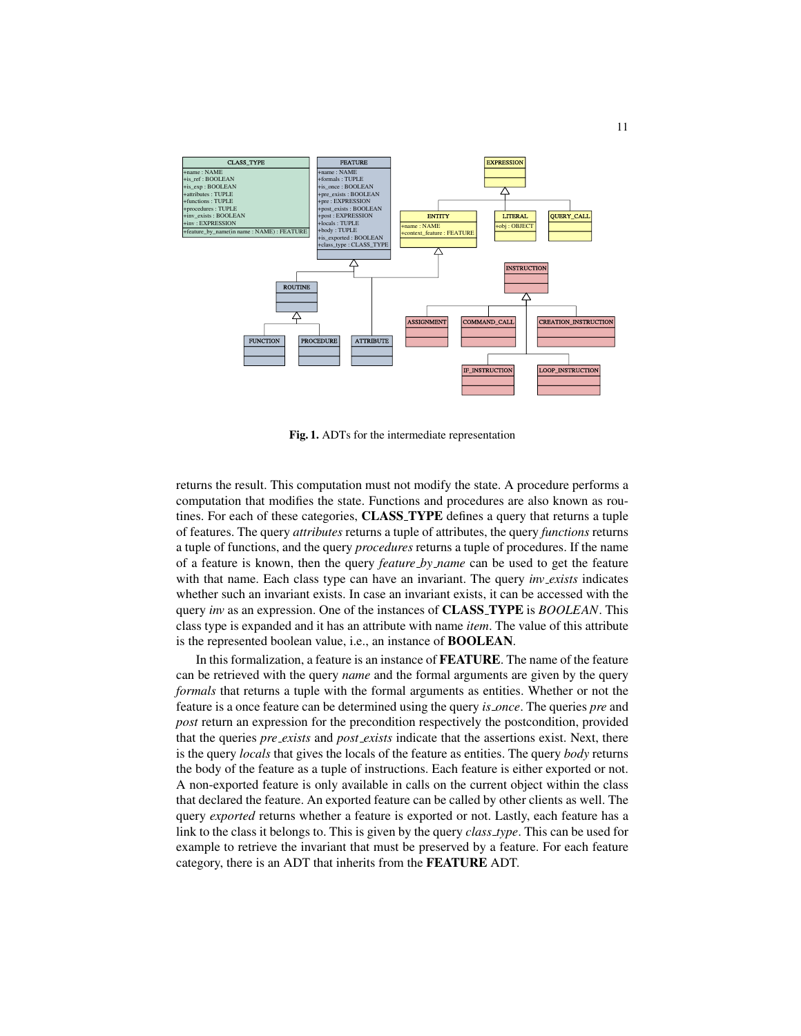

Fig. 1. ADTs for the intermediate representation

returns the result. This computation must not modify the state. A procedure performs a computation that modifies the state. Functions and procedures are also known as routines. For each of these categories, CLASS TYPE defines a query that returns a tuple of features. The query *attributes* returns a tuple of attributes, the query *functions* returns a tuple of functions, and the query *procedures* returns a tuple of procedures. If the name of a feature is known, then the query *feature by name* can be used to get the feature with that name. Each class type can have an invariant. The query *inv exists* indicates whether such an invariant exists. In case an invariant exists, it can be accessed with the query *inv* as an expression. One of the instances of CLASS TYPE is *BOOLEAN*. This class type is expanded and it has an attribute with name *item*. The value of this attribute is the represented boolean value, i.e., an instance of BOOLEAN.

In this formalization, a feature is an instance of FEATURE. The name of the feature can be retrieved with the query *name* and the formal arguments are given by the query *formals* that returns a tuple with the formal arguments as entities. Whether or not the feature is a once feature can be determined using the query *is once*. The queries *pre* and *post* return an expression for the precondition respectively the postcondition, provided that the queries *pre exists* and *post exists* indicate that the assertions exist. Next, there is the query *locals* that gives the locals of the feature as entities. The query *body* returns the body of the feature as a tuple of instructions. Each feature is either exported or not. A non-exported feature is only available in calls on the current object within the class that declared the feature. An exported feature can be called by other clients as well. The query *exported* returns whether a feature is exported or not. Lastly, each feature has a link to the class it belongs to. This is given by the query *class type*. This can be used for example to retrieve the invariant that must be preserved by a feature. For each feature category, there is an ADT that inherits from the FEATURE ADT.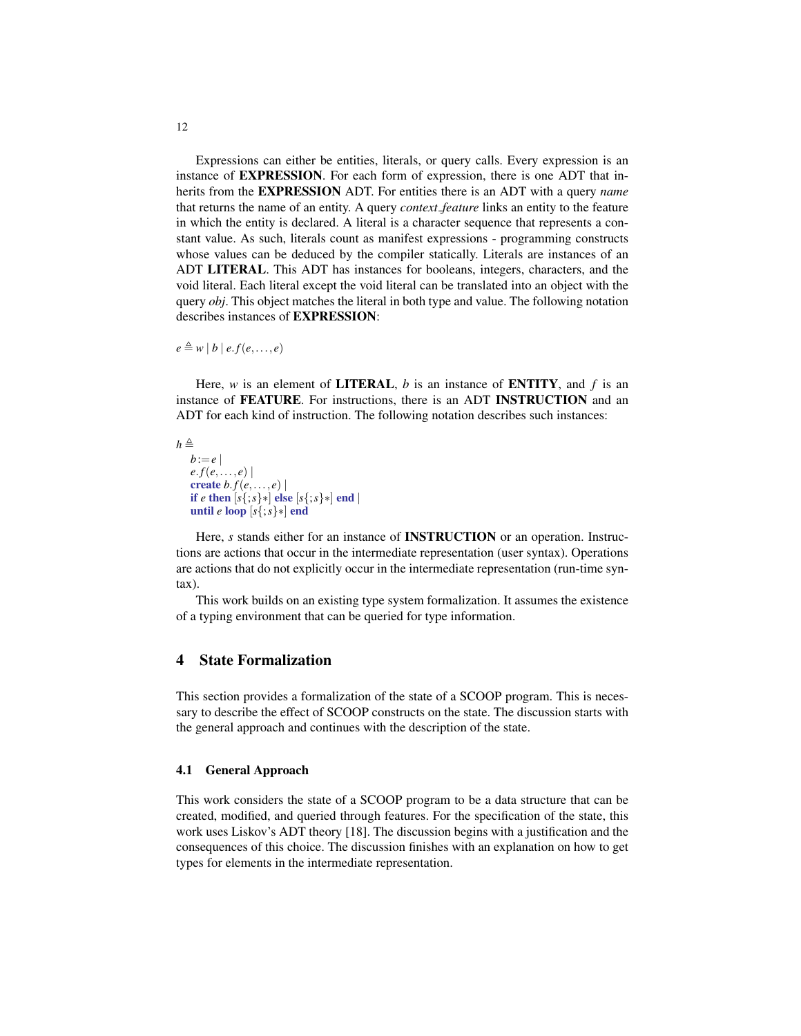Expressions can either be entities, literals, or query calls. Every expression is an instance of EXPRESSION. For each form of expression, there is one ADT that inherits from the EXPRESSION ADT. For entities there is an ADT with a query *name* that returns the name of an entity. A query *context feature* links an entity to the feature in which the entity is declared. A literal is a character sequence that represents a constant value. As such, literals count as manifest expressions - programming constructs whose values can be deduced by the compiler statically. Literals are instances of an ADT LITERAL. This ADT has instances for booleans, integers, characters, and the void literal. Each literal except the void literal can be translated into an object with the query *obj*. This object matches the literal in both type and value. The following notation describes instances of EXPRESSION:

 $e \triangleq w | b | e.f(e, \ldots, e)$ 

Here,  $w$  is an element of **LITERAL**,  $b$  is an instance of **ENTITY**, and  $f$  is an instance of FEATURE. For instructions, there is an ADT INSTRUCTION and an ADT for each kind of instruction. The following notation describes such instances:

 $h \triangleq$  $b:=e$  $e.f(e,\ldots,e)$ create  $b.f(e,...,e)$ **if** *e* then  $[s{;s} \}*$  else  $[s{;s} \}*$  end | until *e* loop [*s*{;*s*}∗] end

Here, *s* stands either for an instance of **INSTRUCTION** or an operation. Instructions are actions that occur in the intermediate representation (user syntax). Operations are actions that do not explicitly occur in the intermediate representation (run-time syntax).

This work builds on an existing type system formalization. It assumes the existence of a typing environment that can be queried for type information.

# 4 State Formalization

This section provides a formalization of the state of a SCOOP program. This is necessary to describe the effect of SCOOP constructs on the state. The discussion starts with the general approach and continues with the description of the state.

### 4.1 General Approach

This work considers the state of a SCOOP program to be a data structure that can be created, modified, and queried through features. For the specification of the state, this work uses Liskov's ADT theory [18]. The discussion begins with a justification and the consequences of this choice. The discussion finishes with an explanation on how to get types for elements in the intermediate representation.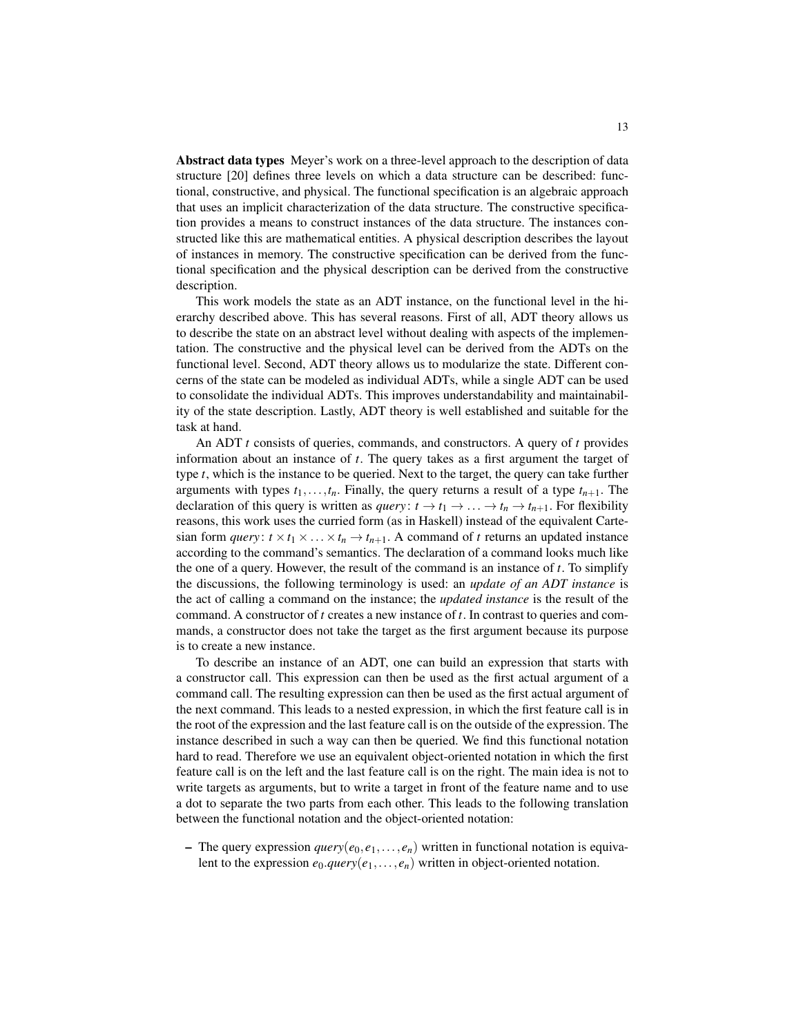Abstract data types Meyer's work on a three-level approach to the description of data structure [20] defines three levels on which a data structure can be described: functional, constructive, and physical. The functional specification is an algebraic approach that uses an implicit characterization of the data structure. The constructive specification provides a means to construct instances of the data structure. The instances constructed like this are mathematical entities. A physical description describes the layout of instances in memory. The constructive specification can be derived from the functional specification and the physical description can be derived from the constructive description.

This work models the state as an ADT instance, on the functional level in the hierarchy described above. This has several reasons. First of all, ADT theory allows us to describe the state on an abstract level without dealing with aspects of the implementation. The constructive and the physical level can be derived from the ADTs on the functional level. Second, ADT theory allows us to modularize the state. Different concerns of the state can be modeled as individual ADTs, while a single ADT can be used to consolidate the individual ADTs. This improves understandability and maintainability of the state description. Lastly, ADT theory is well established and suitable for the task at hand.

An ADT *t* consists of queries, commands, and constructors. A query of *t* provides information about an instance of *t*. The query takes as a first argument the target of type *t*, which is the instance to be queried. Next to the target, the query can take further arguments with types  $t_1, \ldots, t_n$ . Finally, the query returns a result of a type  $t_{n+1}$ . The declaration of this query is written as *query*:  $t \to t_1 \to \ldots \to t_n \to t_{n+1}$ . For flexibility reasons, this work uses the curried form (as in Haskell) instead of the equivalent Cartesian form *query*:  $t \times t_1 \times \ldots \times t_n \to t_{n+1}$ . A command of *t* returns an updated instance according to the command's semantics. The declaration of a command looks much like the one of a query. However, the result of the command is an instance of *t*. To simplify the discussions, the following terminology is used: an *update of an ADT instance* is the act of calling a command on the instance; the *updated instance* is the result of the command. A constructor of *t* creates a new instance of *t*. In contrast to queries and commands, a constructor does not take the target as the first argument because its purpose is to create a new instance.

To describe an instance of an ADT, one can build an expression that starts with a constructor call. This expression can then be used as the first actual argument of a command call. The resulting expression can then be used as the first actual argument of the next command. This leads to a nested expression, in which the first feature call is in the root of the expression and the last feature call is on the outside of the expression. The instance described in such a way can then be queried. We find this functional notation hard to read. Therefore we use an equivalent object-oriented notation in which the first feature call is on the left and the last feature call is on the right. The main idea is not to write targets as arguments, but to write a target in front of the feature name and to use a dot to separate the two parts from each other. This leads to the following translation between the functional notation and the object-oriented notation:

– The query expression  $query(e_0, e_1, \ldots, e_n)$  written in functional notation is equivalent to the expression  $e_0$ .*query*( $e_1$ ,..., $e_n$ ) written in object-oriented notation.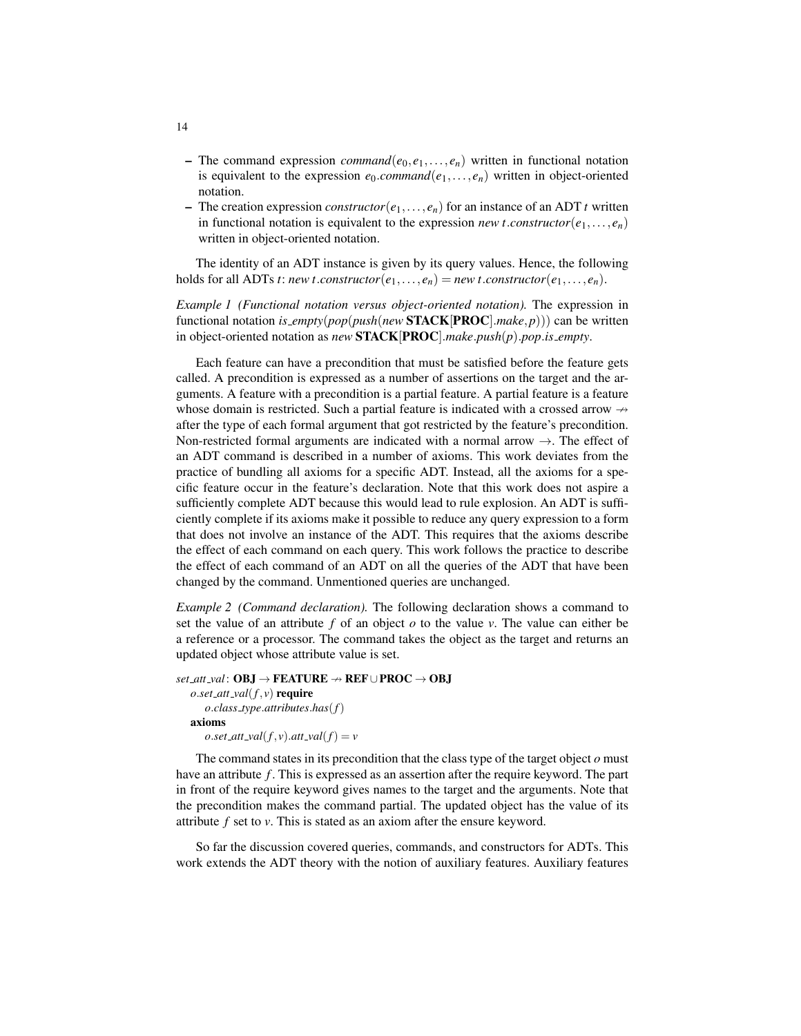- The command expression *command*( $e_0, e_1, \ldots, e_n$ ) written in functional notation is equivalent to the expression  $e_0$ .*command* $(e_1, \ldots, e_n)$  written in object-oriented notation.
- The creation expression *constructor*( $e_1, \ldots, e_n$ ) for an instance of an ADT *t* written in functional notation is equivalent to the expression *new t.constructor*( $e_1, \ldots, e_n$ ) written in object-oriented notation.

The identity of an ADT instance is given by its query values. Hence, the following holds for all ADTs *t*: *new t*.*constructor*( $e_1, ..., e_n$ ) = *new t*.*constructor*( $e_1, ..., e_n$ ).

*Example 1 (Functional notation versus object-oriented notation).* The expression in functional notation *is empty*(*pop*(*push*(*new* STACK[PROC].*make*,*p*))) can be written in object-oriented notation as *new* STACK[PROC].*make*.*push*(*p*).*pop*.*is empty*.

Each feature can have a precondition that must be satisfied before the feature gets called. A precondition is expressed as a number of assertions on the target and the arguments. A feature with a precondition is a partial feature. A partial feature is a feature whose domain is restricted. Such a partial feature is indicated with a crossed arrow  $\rightarrow$ after the type of each formal argument that got restricted by the feature's precondition. Non-restricted formal arguments are indicated with a normal arrow  $\rightarrow$ . The effect of an ADT command is described in a number of axioms. This work deviates from the practice of bundling all axioms for a specific ADT. Instead, all the axioms for a specific feature occur in the feature's declaration. Note that this work does not aspire a sufficiently complete ADT because this would lead to rule explosion. An ADT is sufficiently complete if its axioms make it possible to reduce any query expression to a form that does not involve an instance of the ADT. This requires that the axioms describe the effect of each command on each query. This work follows the practice to describe the effect of each command of an ADT on all the queries of the ADT that have been changed by the command. Unmentioned queries are unchanged.

*Example 2 (Command declaration).* The following declaration shows a command to set the value of an attribute  $f$  of an object  $o$  to the value  $v$ . The value can either be a reference or a processor. The command takes the object as the target and returns an updated object whose attribute value is set.

```
set att val: OBJ → FEATURE 9 REF∪PROC → OBJ
  o.set\_att\_val(f, v) require
     o.class type.attributes.has(f)
  axioms
     o.set\_att\_val(f, v).att\_val(f) = v
```
The command states in its precondition that the class type of the target object *o* must have an attribute *f*. This is expressed as an assertion after the require keyword. The part in front of the require keyword gives names to the target and the arguments. Note that the precondition makes the command partial. The updated object has the value of its attribute *f* set to *v*. This is stated as an axiom after the ensure keyword.

So far the discussion covered queries, commands, and constructors for ADTs. This work extends the ADT theory with the notion of auxiliary features. Auxiliary features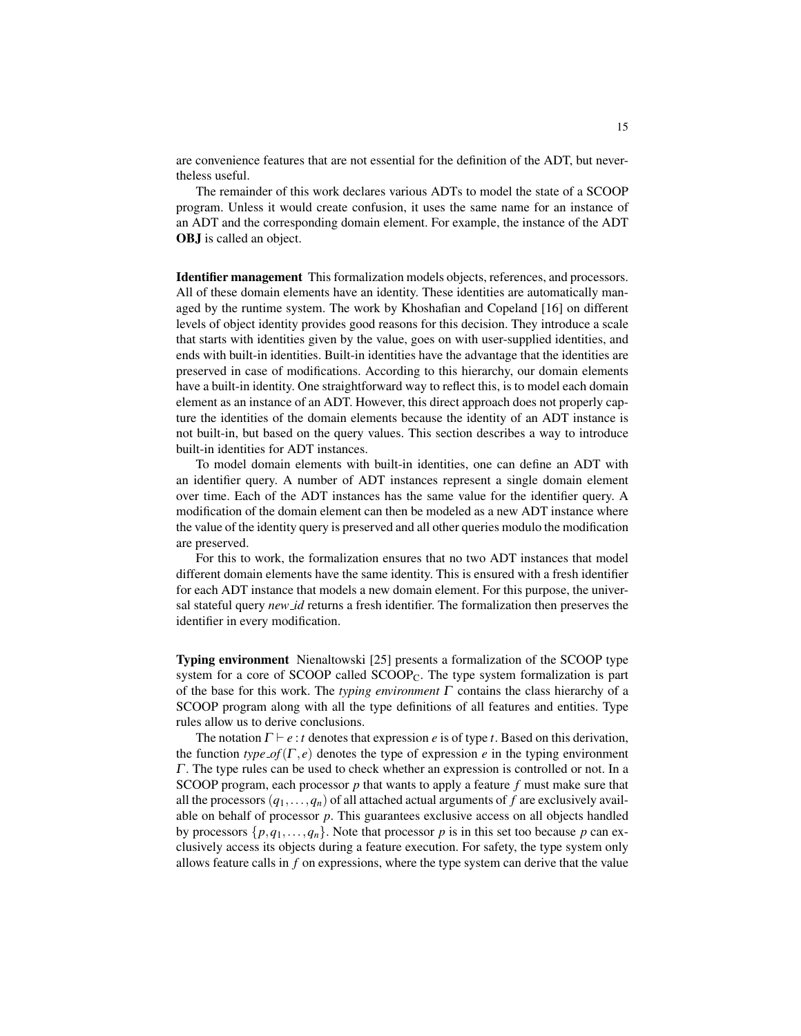are convenience features that are not essential for the definition of the ADT, but nevertheless useful.

The remainder of this work declares various ADTs to model the state of a SCOOP program. Unless it would create confusion, it uses the same name for an instance of an ADT and the corresponding domain element. For example, the instance of the ADT OBJ is called an object.

Identifier management This formalization models objects, references, and processors. All of these domain elements have an identity. These identities are automatically managed by the runtime system. The work by Khoshafian and Copeland [16] on different levels of object identity provides good reasons for this decision. They introduce a scale that starts with identities given by the value, goes on with user-supplied identities, and ends with built-in identities. Built-in identities have the advantage that the identities are preserved in case of modifications. According to this hierarchy, our domain elements have a built-in identity. One straightforward way to reflect this, is to model each domain element as an instance of an ADT. However, this direct approach does not properly capture the identities of the domain elements because the identity of an ADT instance is not built-in, but based on the query values. This section describes a way to introduce built-in identities for ADT instances.

To model domain elements with built-in identities, one can define an ADT with an identifier query. A number of ADT instances represent a single domain element over time. Each of the ADT instances has the same value for the identifier query. A modification of the domain element can then be modeled as a new ADT instance where the value of the identity query is preserved and all other queries modulo the modification are preserved.

For this to work, the formalization ensures that no two ADT instances that model different domain elements have the same identity. This is ensured with a fresh identifier for each ADT instance that models a new domain element. For this purpose, the universal stateful query *new id* returns a fresh identifier. The formalization then preserves the identifier in every modification.

Typing environment Nienaltowski [25] presents a formalization of the SCOOP type system for a core of SCOOP called SCOOP<sub>C</sub>. The type system formalization is part of the base for this work. The *typing environment* Γ contains the class hierarchy of a SCOOP program along with all the type definitions of all features and entities. Type rules allow us to derive conclusions.

The notation  $\Gamma \vdash e : t$  denotes that expression *e* is of type *t*. Based on this derivation, the function  $type\_of(\Gamma, e)$  denotes the type of expression *e* in the typing environment Γ . The type rules can be used to check whether an expression is controlled or not. In a SCOOP program, each processor *p* that wants to apply a feature *f* must make sure that all the processors  $(q_1, \ldots, q_n)$  of all attached actual arguments of  $f$  are exclusively available on behalf of processor *p*. This guarantees exclusive access on all objects handled by processors  $\{p,q_1,\ldots,q_n\}$ . Note that processor *p* is in this set too because *p* can exclusively access its objects during a feature execution. For safety, the type system only allows feature calls in *f* on expressions, where the type system can derive that the value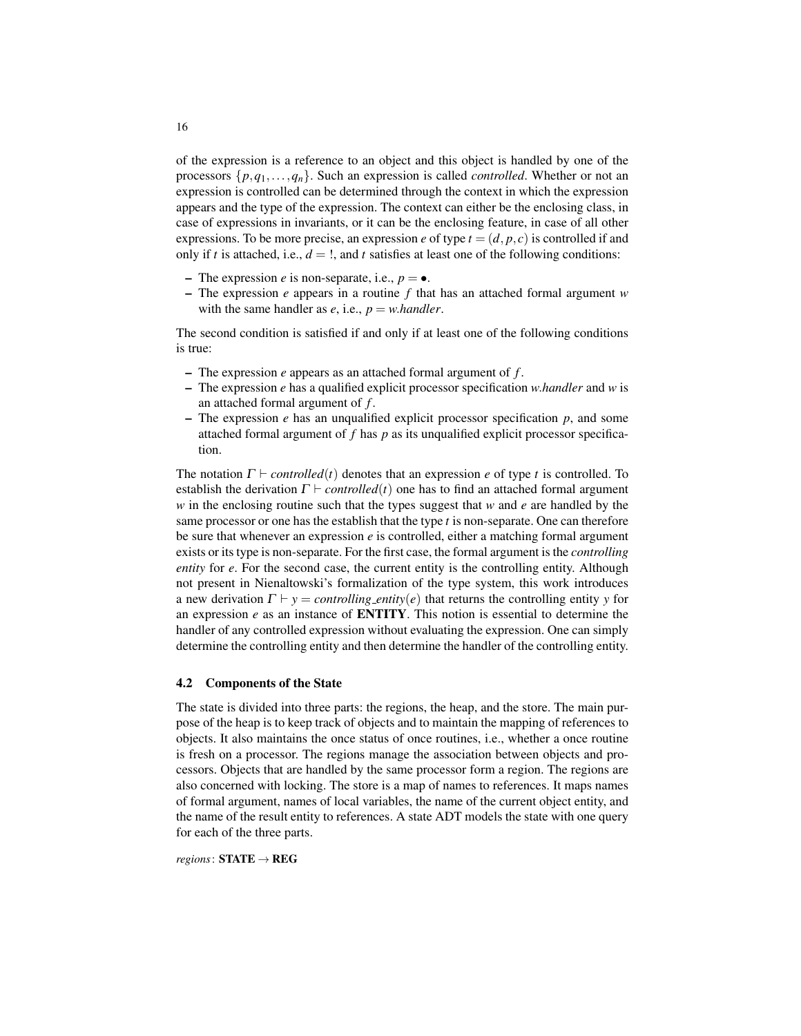of the expression is a reference to an object and this object is handled by one of the processors  $\{p,q_1,\ldots,q_n\}$ . Such an expression is called *controlled*. Whether or not an expression is controlled can be determined through the context in which the expression appears and the type of the expression. The context can either be the enclosing class, in case of expressions in invariants, or it can be the enclosing feature, in case of all other expressions. To be more precise, an expression *e* of type  $t = (d, p, c)$  is controlled if and only if *t* is attached, i.e.,  $d = !$ , and *t* satisfies at least one of the following conditions:

- The expression *e* is non-separate, i.e.,  $p = \bullet$ .
- The expression *e* appears in a routine *f* that has an attached formal argument *w* with the same handler as  $e$ , i.e.,  $p = w$ .*handler*.

The second condition is satisfied if and only if at least one of the following conditions is true:

- The expression *e* appears as an attached formal argument of *f* .
- The expression *e* has a qualified explicit processor specification *w*.*handler* and *w* is an attached formal argument of *f* .
- The expression *e* has an unqualified explicit processor specification *p*, and some attached formal argument of *f* has *p* as its unqualified explicit processor specification.

The notation  $\Gamma \vdash controlled(t)$  denotes that an expression *e* of type *t* is controlled. To establish the derivation  $\Gamma \vdash controlled(t)$  one has to find an attached formal argument *w* in the enclosing routine such that the types suggest that *w* and *e* are handled by the same processor or one has the establish that the type *t* is non-separate. One can therefore be sure that whenever an expression *e* is controlled, either a matching formal argument exists or its type is non-separate. For the first case, the formal argument is the *controlling entity* for *e*. For the second case, the current entity is the controlling entity. Although not present in Nienaltowski's formalization of the type system, this work introduces a new derivation  $\Gamma \vdash y = controlling\_entity(e)$  that returns the controlling entity *y* for an expression  $e$  as an instance of **ENTITY**. This notion is essential to determine the handler of any controlled expression without evaluating the expression. One can simply determine the controlling entity and then determine the handler of the controlling entity.

### 4.2 Components of the State

The state is divided into three parts: the regions, the heap, and the store. The main purpose of the heap is to keep track of objects and to maintain the mapping of references to objects. It also maintains the once status of once routines, i.e., whether a once routine is fresh on a processor. The regions manage the association between objects and processors. Objects that are handled by the same processor form a region. The regions are also concerned with locking. The store is a map of names to references. It maps names of formal argument, names of local variables, the name of the current object entity, and the name of the result entity to references. A state ADT models the state with one query for each of the three parts.

*regions*: STATE → REG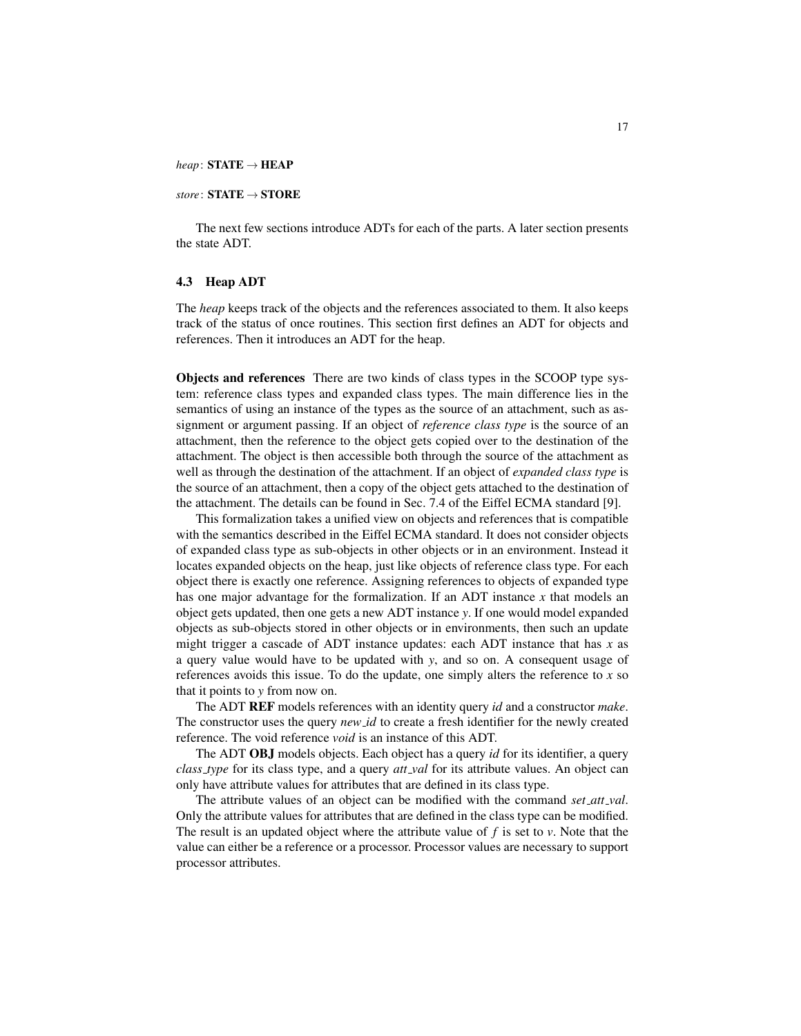### $heap: STATE \rightarrow HEAD$

### $store$  :  $STATE \rightarrow STORE$

The next few sections introduce ADTs for each of the parts. A later section presents the state ADT.

### 4.3 Heap ADT

The *heap* keeps track of the objects and the references associated to them. It also keeps track of the status of once routines. This section first defines an ADT for objects and references. Then it introduces an ADT for the heap.

Objects and references There are two kinds of class types in the SCOOP type system: reference class types and expanded class types. The main difference lies in the semantics of using an instance of the types as the source of an attachment, such as assignment or argument passing. If an object of *reference class type* is the source of an attachment, then the reference to the object gets copied over to the destination of the attachment. The object is then accessible both through the source of the attachment as well as through the destination of the attachment. If an object of *expanded class type* is the source of an attachment, then a copy of the object gets attached to the destination of the attachment. The details can be found in Sec. 7.4 of the Eiffel ECMA standard [9].

This formalization takes a unified view on objects and references that is compatible with the semantics described in the Eiffel ECMA standard. It does not consider objects of expanded class type as sub-objects in other objects or in an environment. Instead it locates expanded objects on the heap, just like objects of reference class type. For each object there is exactly one reference. Assigning references to objects of expanded type has one major advantage for the formalization. If an ADT instance *x* that models an object gets updated, then one gets a new ADT instance *y*. If one would model expanded objects as sub-objects stored in other objects or in environments, then such an update might trigger a cascade of ADT instance updates: each ADT instance that has  $x$  as a query value would have to be updated with *y*, and so on. A consequent usage of references avoids this issue. To do the update, one simply alters the reference to *x* so that it points to *y* from now on.

The ADT REF models references with an identity query *id* and a constructor *make*. The constructor uses the query *new id* to create a fresh identifier for the newly created reference. The void reference *void* is an instance of this ADT.

The ADT OBJ models objects. Each object has a query *id* for its identifier, a query *class type* for its class type, and a query *att val* for its attribute values. An object can only have attribute values for attributes that are defined in its class type.

The attribute values of an object can be modified with the command *set att val*. Only the attribute values for attributes that are defined in the class type can be modified. The result is an updated object where the attribute value of *f* is set to *v*. Note that the value can either be a reference or a processor. Processor values are necessary to support processor attributes.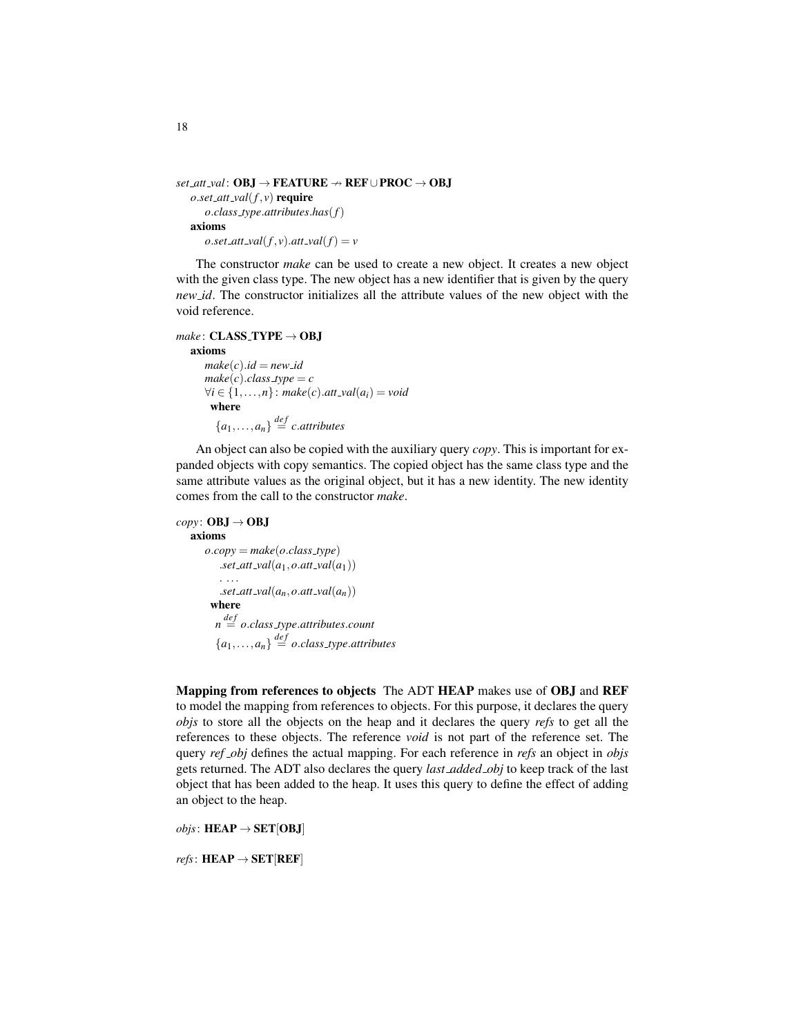*set\_att\_val*: **OBJ** → FEATURE → REF∪PROC → OBJ  $o.set\_att\_val(f, v)$  require *o*.*class type*.*attributes*.*has*(*f*) axioms  $o.set\_att\_val(f, v).att\_val(f) = v$ 

The constructor *make* can be used to create a new object. It creates a new object with the given class type. The new object has a new identifier that is given by the query *new id*. The constructor initializes all the attribute values of the new object with the void reference.

```
make: CLASS_TYPE \rightarrow OBJ
   axioms
      make(c).id = new_idmake(c).class\_type = c∀i ∈ {1,...,n}: make(c).att val(ai) = void
        where
          {a_1, \ldots, a_n} \stackrel{def}{=} c \cdot \text{attribute}
```
An object can also be copied with the auxiliary query *copy*. This is important for expanded objects with copy semantics. The copied object has the same class type and the same attribute values as the original object, but it has a new identity. The new identity comes from the call to the constructor *make*.

```
copy: OBJ \rightarrow OBJ
   axioms
       o.copy = make(o.class_type). set\_att\_val(a_1, o.att\_val(a_1)). ...
          .set\_att\_val(a_n, o.att\_val(a_n))where
          n
de f
= o.class type.attributes.count
          {a_1, \ldots, a_n} \stackrel{def}{=} o.class_type.attributes
```
Mapping from references to objects The ADT HEAP makes use of OBJ and REF to model the mapping from references to objects. For this purpose, it declares the query *objs* to store all the objects on the heap and it declares the query *refs* to get all the references to these objects. The reference *void* is not part of the reference set. The query *ref obj* defines the actual mapping. For each reference in *refs* an object in *objs* gets returned. The ADT also declares the query *last added obj* to keep track of the last object that has been added to the heap. It uses this query to define the effect of adding an object to the heap.

 $objs$ : **HEAP**  $\rightarrow$  **SET**[OBJ]

 $refs$ :  $HEAP \rightarrow SET[REF]$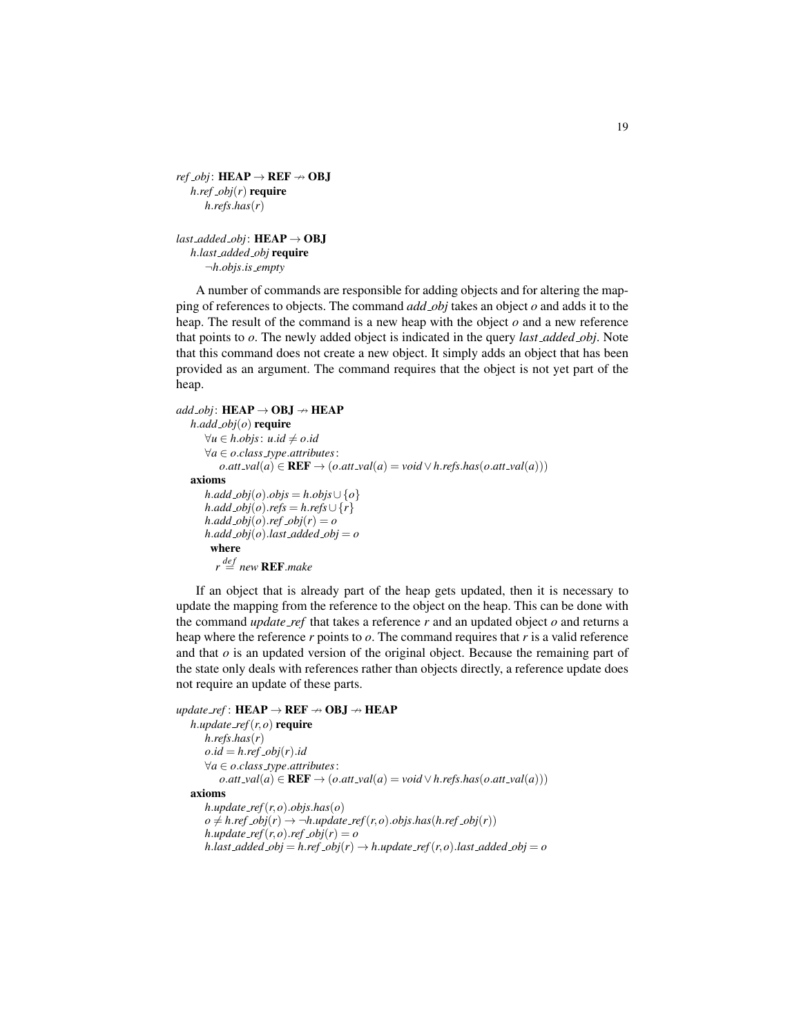$ref\_obj$ : **HEAP**  $\rightarrow$  **REF**  $\rightarrow$  **OBJ** *h*.*ref obj*(*r*) require *h*.*refs*.*has*(*r*)

*last added obj*: HEAP → OBJ *h*.*last added obj* require ¬*h*.*objs*.*is empty*

A number of commands are responsible for adding objects and for altering the mapping of references to objects. The command *add obj* takes an object *o* and adds it to the heap. The result of the command is a new heap with the object *o* and a new reference that points to *o*. The newly added object is indicated in the query *last added obj*. Note that this command does not create a new object. It simply adds an object that has been provided as an argument. The command requires that the object is not yet part of the heap.

 $add\_obj$ : **HEAP**  $\rightarrow$  **OBJ**  $\rightarrow$  **HEAP** *h*.*add obj*(*o*) require  $∀u ∈ h. objs: u.id ≠ o.id$ ∀*a* ∈ *o*.*class type*.*attributes*:  $o.$ *att*  $\mathit{val}(a) \in \mathbf{REF}$  →  $(o.$ *att*  $\mathit{val}(a) = \textit{void} \vee h.\mathit{refs}.$ *has* $(o.$ *att*  $\mathit{val}(a))$ ) axioms *h*.*add\_obj*(*o*).*objs* = *h*.*objs*∪{*o*}  $h.add\_obj(o) \cdot \text{refs} = h \cdot \text{refs} \cup \{r\}$ *h*.*add\_obj*( $o$ ).*ref\_obj*( $r$ ) =  $o$  $h.add\_obj(o)$ .*last\_added\_obj* = *o* where *r de f* = *new* REF.*make*

If an object that is already part of the heap gets updated, then it is necessary to update the mapping from the reference to the object on the heap. This can be done with the command *update\_ref* that takes a reference  $r$  and an updated object  $o$  and returns a heap where the reference *r* points to *o*. The command requires that *r* is a valid reference and that  $\sigma$  is an updated version of the original object. Because the remaining part of the state only deals with references rather than objects directly, a reference update does not require an update of these parts.

 $update\_ref$ :  $HEAD \rightarrow REF \rightarrow OBJ \rightarrow HEAD$ 

*h*.*update\_ref*( $r$ , $o$ ) **require** *h*.*refs*.*has*(*r*)  $o$ *.id* =  $h$ *.ref*  $o$ *bj* $(r)$ *.id* ∀*a* ∈ *o*.*class type*.*attributes*:  $o.$ *att*  $\mathit{val}(a) \in \mathbf{REF}$  →  $(o.$ *att*  $\mathit{val}(a) = \mathit{void} \lor h.\mathit{refs}.$ *has* $(o.$ *att*  $\mathit{val}(a))$ ) axioms  $h.update\_ref(r, o).obs. has(o)$  $o \neq h$ *.ref*  $o \neq$ *obj* $(r) \rightarrow \neg h$ *.update\_ref* $(r, o)$ *.objs.has*(*h.ref*  $o \neq$ *obj* $(r)$ ) *h*.*update*  $\text{ref}(r, o) \cdot \text{ref} \cdot \text{obj}(r) = o$ 

*h*.*last\_added\_obj* = *h.ref\_obj*(*r*)  $\rightarrow$  *h.update\_ref*(*r*,*o*).*last\_added\_obj* = *o*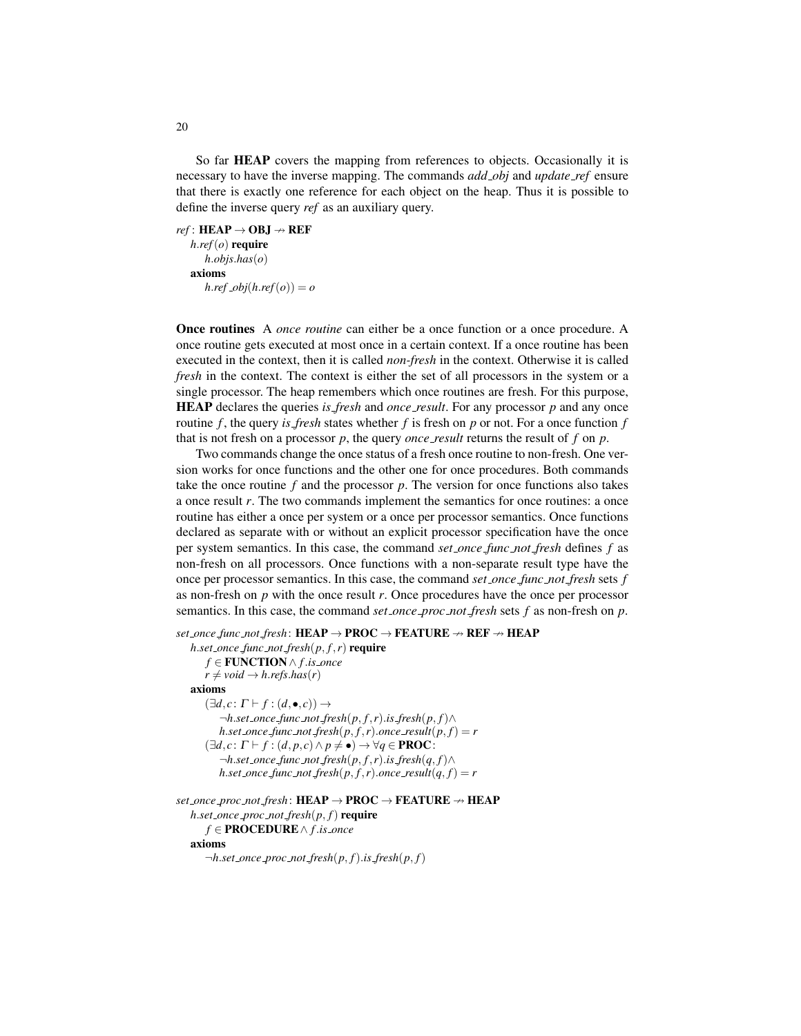So far HEAP covers the mapping from references to objects. Occasionally it is necessary to have the inverse mapping. The commands *add obj* and *update ref* ensure that there is exactly one reference for each object on the heap. Thus it is possible to define the inverse query *ref* as an auxiliary query.

 $ref: HEAP \rightarrow OBJ \rightarrow REF$ *h*.*ref*(*o*) require *h*.*objs*.*has*(*o*) axioms  $h.ref\_obj(h.ref(o)) = o$ 

Once routines A *once routine* can either be a once function or a once procedure. A once routine gets executed at most once in a certain context. If a once routine has been executed in the context, then it is called *non-fresh* in the context. Otherwise it is called *fresh* in the context. The context is either the set of all processors in the system or a single processor. The heap remembers which once routines are fresh. For this purpose, HEAP declares the queries *is fresh* and *once result*. For any processor *p* and any once routine  $f$ , the query *is\_fresh* states whether  $f$  is fresh on  $p$  or not. For a once function  $f$ that is not fresh on a processor p, the query *once* result returns the result of f on p.

Two commands change the once status of a fresh once routine to non-fresh. One version works for once functions and the other one for once procedures. Both commands take the once routine  $f$  and the processor  $p$ . The version for once functions also takes a once result *r*. The two commands implement the semantics for once routines: a once routine has either a once per system or a once per processor semantics. Once functions declared as separate with or without an explicit processor specification have the once per system semantics. In this case, the command *set once func not fresh* defines *f* as non-fresh on all processors. Once functions with a non-separate result type have the once per processor semantics. In this case, the command *set once func not fresh* sets *f* as non-fresh on *p* with the once result *r*. Once procedures have the once per processor semantics. In this case, the command *set once proc not fresh* sets *f* as non-fresh on *p*.

```
set\_once\_func\_not\_fresh: HEAD \rightarrow PROC \rightarrow FEATURE \rightarrow REF \rightarrow HEAPh.set once func not fresh(p, f, r) require
       f ∈ FUNCTION∧ f.is once
       r \neq \text{void} \rightarrow h.\text{refs}.has(r)axioms
       (\exists d, c : \Gamma \vdash f : (d, \bullet, c)) \rightarrow¬h.set once func not fresh(p, f,r).is fresh(p, f)∧
           h.set_once_func_not_fresh(p, f, r).once_result(p, f) = r
       (\exists d, c : \Gamma \vdash f : (d, p, c) \land p \neq \bullet) \rightarrow \forall q \in \textbf{PROC}:¬h.set once func not fresh(p, f,r).is fresh(q, f)∧
           h.set once func not fresh(p, f, r).once result(q, f) = r
set\_once\_proc\_not\_fresh: HEAD \rightarrow PROC \rightarrow FEATURE \rightarrow HEADh.set_once_proc_not_fresh(p, f) require
       f ∈ PROCEDURE∧ f.is once
   axioms
       \neg h.set\_once\_proc\_not\_fresh(p, f).is\_fresh(p, f)
```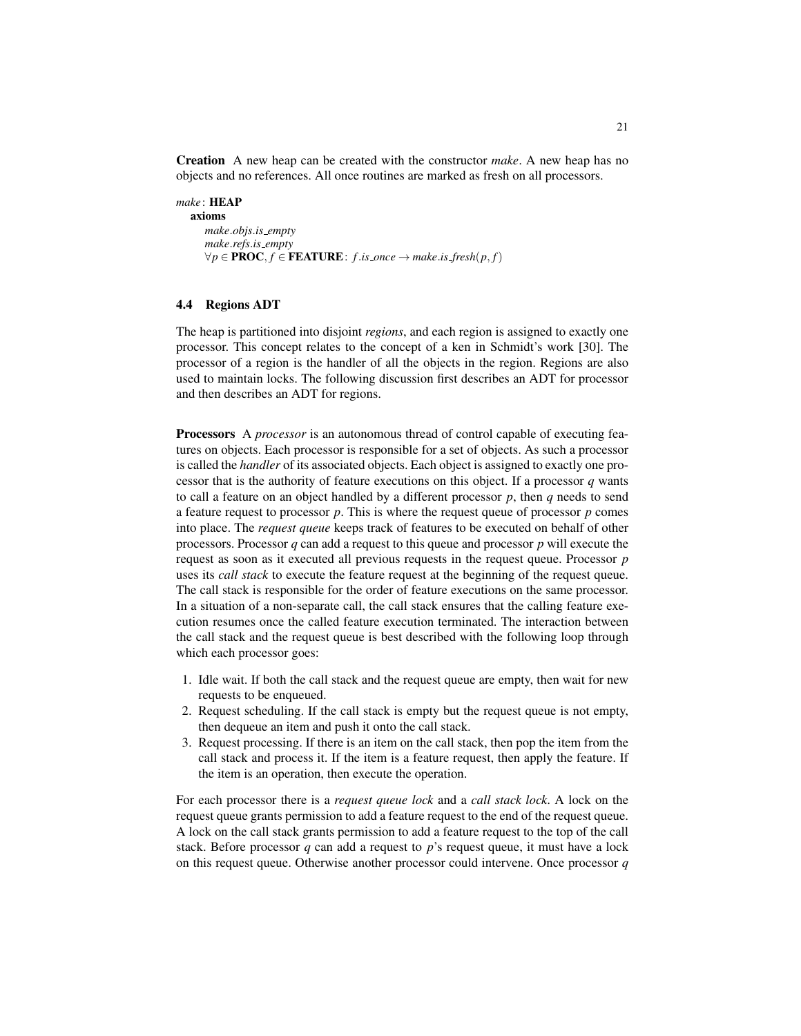Creation A new heap can be created with the constructor *make*. A new heap has no objects and no references. All once routines are marked as fresh on all processors.

```
make : HEAP
  axioms
     make.objs.is empty
     make.refs.is empty
     ∀p ∈ PROC, f ∈ FEATURE: f.is once → make.is fresh(p, f)
```
## 4.4 Regions ADT

The heap is partitioned into disjoint *regions*, and each region is assigned to exactly one processor. This concept relates to the concept of a ken in Schmidt's work [30]. The processor of a region is the handler of all the objects in the region. Regions are also used to maintain locks. The following discussion first describes an ADT for processor and then describes an ADT for regions.

Processors A *processor* is an autonomous thread of control capable of executing features on objects. Each processor is responsible for a set of objects. As such a processor is called the *handler* of its associated objects. Each object is assigned to exactly one processor that is the authority of feature executions on this object. If a processor *q* wants to call a feature on an object handled by a different processor *p*, then *q* needs to send a feature request to processor *p*. This is where the request queue of processor *p* comes into place. The *request queue* keeps track of features to be executed on behalf of other processors. Processor *q* can add a request to this queue and processor *p* will execute the request as soon as it executed all previous requests in the request queue. Processor *p* uses its *call stack* to execute the feature request at the beginning of the request queue. The call stack is responsible for the order of feature executions on the same processor. In a situation of a non-separate call, the call stack ensures that the calling feature execution resumes once the called feature execution terminated. The interaction between the call stack and the request queue is best described with the following loop through which each processor goes:

- 1. Idle wait. If both the call stack and the request queue are empty, then wait for new requests to be enqueued.
- 2. Request scheduling. If the call stack is empty but the request queue is not empty, then dequeue an item and push it onto the call stack.
- 3. Request processing. If there is an item on the call stack, then pop the item from the call stack and process it. If the item is a feature request, then apply the feature. If the item is an operation, then execute the operation.

For each processor there is a *request queue lock* and a *call stack lock*. A lock on the request queue grants permission to add a feature request to the end of the request queue. A lock on the call stack grants permission to add a feature request to the top of the call stack. Before processor  $q$  can add a request to  $p$ 's request queue, it must have a lock on this request queue. Otherwise another processor could intervene. Once processor *q*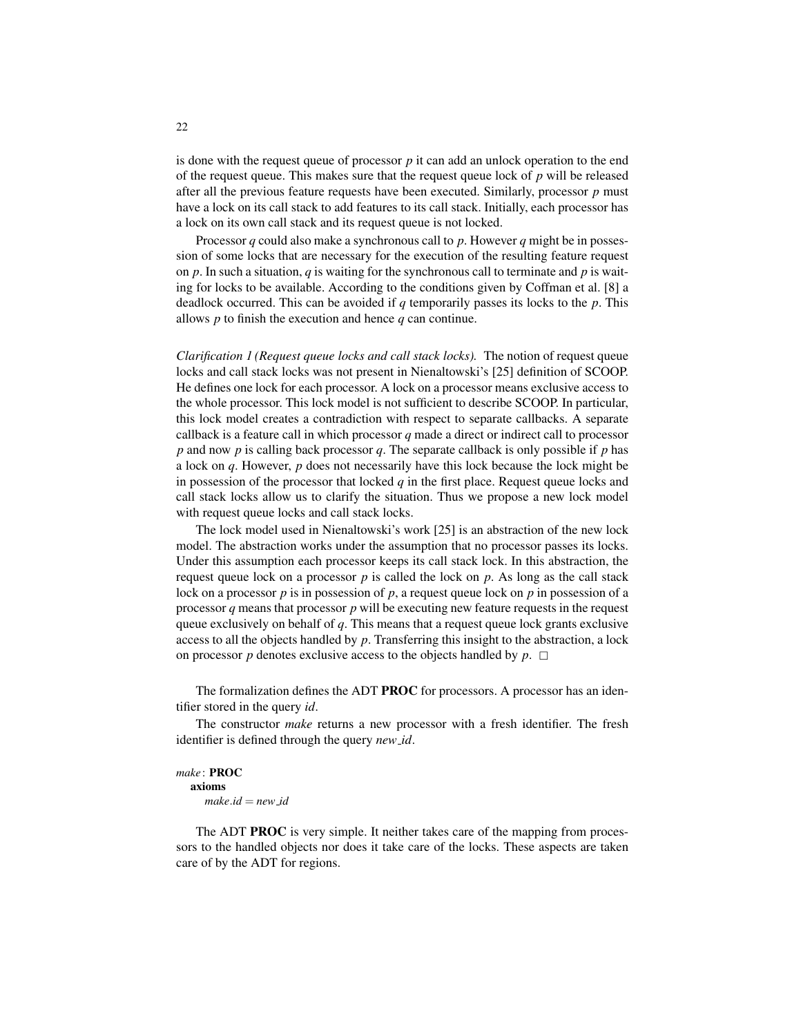is done with the request queue of processor *p* it can add an unlock operation to the end of the request queue. This makes sure that the request queue lock of *p* will be released after all the previous feature requests have been executed. Similarly, processor *p* must have a lock on its call stack to add features to its call stack. Initially, each processor has a lock on its own call stack and its request queue is not locked.

Processor *q* could also make a synchronous call to *p*. However *q* might be in possession of some locks that are necessary for the execution of the resulting feature request on *p*. In such a situation, *q* is waiting for the synchronous call to terminate and *p* is waiting for locks to be available. According to the conditions given by Coffman et al. [8] a deadlock occurred. This can be avoided if *q* temporarily passes its locks to the *p*. This allows *p* to finish the execution and hence *q* can continue.

*Clarification 1 (Request queue locks and call stack locks).* The notion of request queue locks and call stack locks was not present in Nienaltowski's [25] definition of SCOOP. He defines one lock for each processor. A lock on a processor means exclusive access to the whole processor. This lock model is not sufficient to describe SCOOP. In particular, this lock model creates a contradiction with respect to separate callbacks. A separate callback is a feature call in which processor *q* made a direct or indirect call to processor *p* and now *p* is calling back processor *q*. The separate callback is only possible if *p* has a lock on *q*. However, *p* does not necessarily have this lock because the lock might be in possession of the processor that locked *q* in the first place. Request queue locks and call stack locks allow us to clarify the situation. Thus we propose a new lock model with request queue locks and call stack locks.

The lock model used in Nienaltowski's work [25] is an abstraction of the new lock model. The abstraction works under the assumption that no processor passes its locks. Under this assumption each processor keeps its call stack lock. In this abstraction, the request queue lock on a processor *p* is called the lock on *p*. As long as the call stack lock on a processor *p* is in possession of *p*, a request queue lock on *p* in possession of a processor *q* means that processor *p* will be executing new feature requests in the request queue exclusively on behalf of *q*. This means that a request queue lock grants exclusive access to all the objects handled by *p*. Transferring this insight to the abstraction, a lock on processor *p* denotes exclusive access to the objects handled by  $p$ .  $\Box$ 

The formalization defines the ADT PROC for processors. A processor has an identifier stored in the query *id*.

The constructor *make* returns a new processor with a fresh identifier. The fresh identifier is defined through the query *new id*.

*make* : PROC

axioms

 $make.id = new_id$ 

The ADT PROC is very simple. It neither takes care of the mapping from processors to the handled objects nor does it take care of the locks. These aspects are taken care of by the ADT for regions.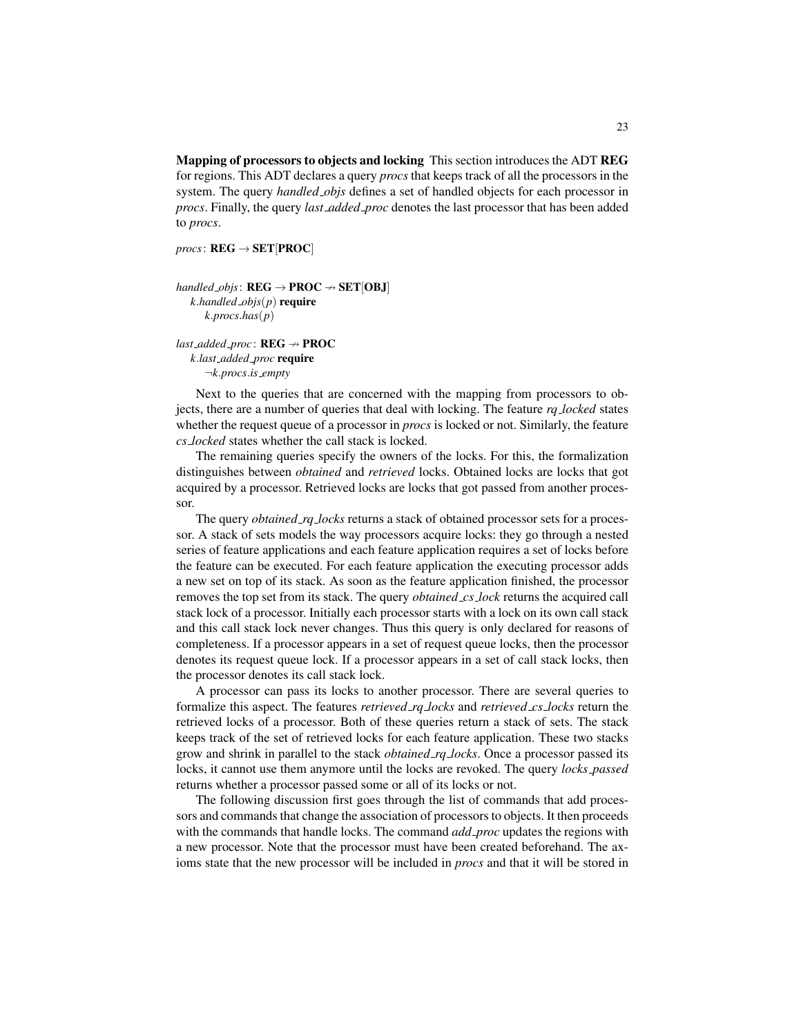Mapping of processors to objects and locking This section introduces the ADT REG for regions. This ADT declares a query *procs* that keeps track of all the processors in the system. The query *handled objs* defines a set of handled objects for each processor in *procs*. Finally, the query *last added proc* denotes the last processor that has been added to *procs*.

*procs*:  $REG \rightarrow SET[PROC]$ 

 $\text{ handled\_objs}: \text{REG} \rightarrow \text{PROC} \rightarrow \text{SET}[OBJ]$ *k*.*handled objs*(*p*) require *k*.*procs*.*has*(*p*)

*last\_added\_proc* :  $REG \rightarrow PROC$ *k*.*last added proc* require ¬*k*.*procs*.*is empty*

Next to the queries that are concerned with the mapping from processors to objects, there are a number of queries that deal with locking. The feature *rq locked* states whether the request queue of a processor in *procs* is locked or not. Similarly, the feature *cs locked* states whether the call stack is locked.

The remaining queries specify the owners of the locks. For this, the formalization distinguishes between *obtained* and *retrieved* locks. Obtained locks are locks that got acquired by a processor. Retrieved locks are locks that got passed from another processor.

The query *obtained rq locks* returns a stack of obtained processor sets for a processor. A stack of sets models the way processors acquire locks: they go through a nested series of feature applications and each feature application requires a set of locks before the feature can be executed. For each feature application the executing processor adds a new set on top of its stack. As soon as the feature application finished, the processor removes the top set from its stack. The query *obtained cs lock* returns the acquired call stack lock of a processor. Initially each processor starts with a lock on its own call stack and this call stack lock never changes. Thus this query is only declared for reasons of completeness. If a processor appears in a set of request queue locks, then the processor denotes its request queue lock. If a processor appears in a set of call stack locks, then the processor denotes its call stack lock.

A processor can pass its locks to another processor. There are several queries to formalize this aspect. The features *retrieved rq locks* and *retrieved cs locks* return the retrieved locks of a processor. Both of these queries return a stack of sets. The stack keeps track of the set of retrieved locks for each feature application. These two stacks grow and shrink in parallel to the stack *obtained rq locks*. Once a processor passed its locks, it cannot use them anymore until the locks are revoked. The query *locks passed* returns whether a processor passed some or all of its locks or not.

The following discussion first goes through the list of commands that add processors and commands that change the association of processors to objects. It then proceeds with the commands that handle locks. The command *add proc* updates the regions with a new processor. Note that the processor must have been created beforehand. The axioms state that the new processor will be included in *procs* and that it will be stored in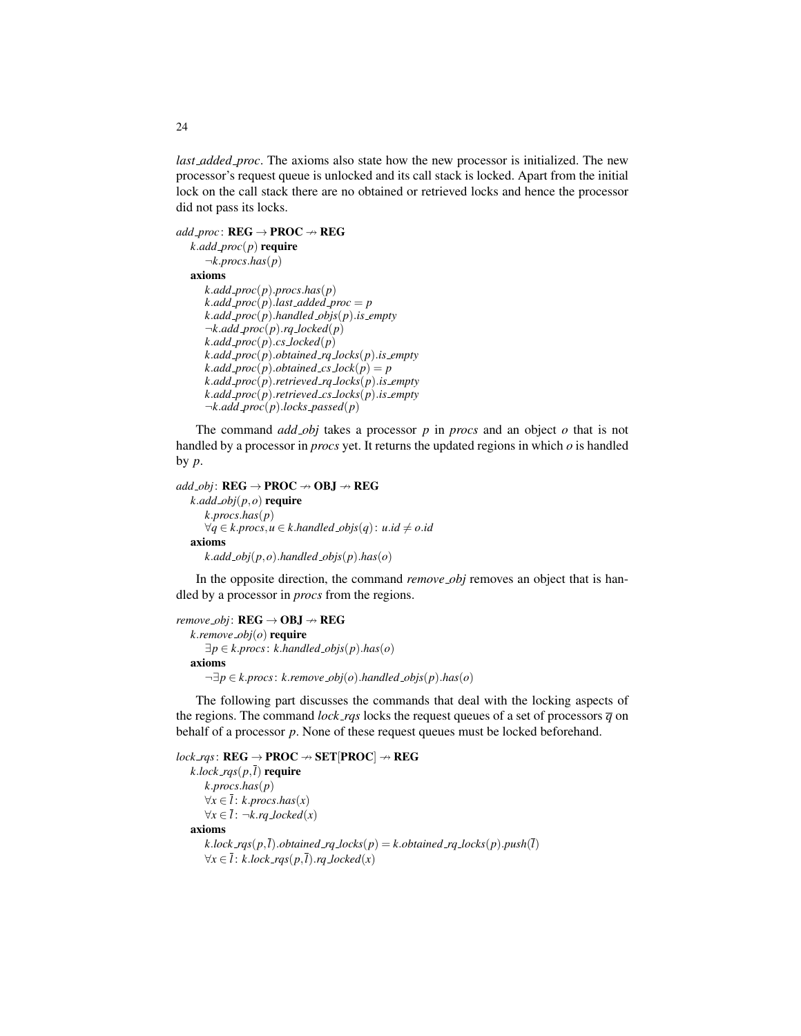*last added proc*. The axioms also state how the new processor is initialized. The new processor's request queue is unlocked and its call stack is locked. Apart from the initial lock on the call stack there are no obtained or retrieved locks and hence the processor did not pass its locks.

```
add\_proc: REG \rightarrow PROC \rightarrow REGk.add proc(p) require
      ¬k.procs.has(p)
  axioms
     k.add\_proc(p).process.has(p)k.add\_proc(p).last\_added\_proc = pk.add proc(p).handled objs(p).is empty
      ¬k.add proc(p).rq locked(p)
     k.add\_proc(p).cs\_locked(p)k.add proc(p).obtained rq locks(p).is empty
     kadd proc(p).obtained cs lock(p) = pk.add proc(p).retrieved rq locks(p).is empty
     k.add proc(p).retrieved cs locks(p).is empty
      ¬k.add proc(p).locks passed(p)
```
The command *add obj* takes a processor *p* in *procs* and an object *o* that is not handled by a processor in *procs* yet. It returns the updated regions in which *o* is handled by *p*.

```
add\_obj: REG \rightarrow PROC \rightarrow OBJ \rightarrow REGk.add\_obj(p,o) require
       k.procs.has(p)
       ∀q ∈ k. <i>procs</i>, u ∈ k. <i>handled</i> <i>objs</i>(q): u.id ≠ o.idaxioms
       k.add\_obj(p, o).handled_objs(p).has(o)
```
In the opposite direction, the command *remove<sub>r</sub> obj* removes an object that is handled by a processor in *procs* from the regions.

```
remove\_obj: REG \rightarrow OBJ \rightarrow REG
   k.remove obj(o) require
      ∃p ∈ k.procs: k.handled objs(p).has(o)
   axioms
      ¬∃p ∈ k.procs: k.remove obj(o).handled objs(p).has(o)
```
The following part discusses the commands that deal with the locking aspects of the regions. The command *lock\_rqs* locks the request queues of a set of processors  $\overline{q}$  on behalf of a processor *p*. None of these request queues must be locked beforehand.

```
lock\_rqs: REG \rightarrow PROC \rightarrow SET[PROC] \rightarrow REGk. lock\_rqs(p, \overline{l}) require
       k.procs.has(p)
       ∀x ∈ \overline{l}: k.procs.has(x)
       \forall x \in \overline{l}: ¬k.rq_locked(x)
   axioms
       k.lock_rqs(p,l).obtained_rq_locks(p) = k.obtained_rq_locks(p).push(\overline{l})∀x ∈ l: k.lock_rqs(p,l).rq_locked(x)
```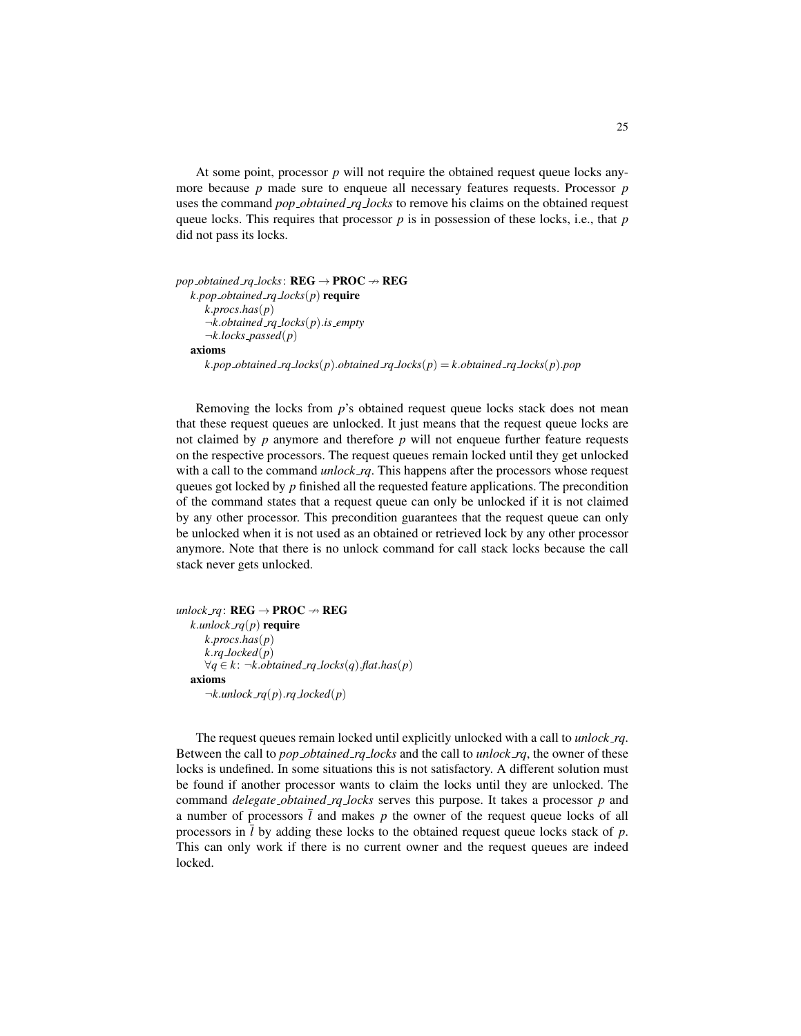At some point, processor *p* will not require the obtained request queue locks anymore because *p* made sure to enqueue all necessary features requests. Processor *p* uses the command *pop obtained rq locks* to remove his claims on the obtained request queue locks. This requires that processor *p* is in possession of these locks, i.e., that *p* did not pass its locks.

```
pop\_obtained\_rq\_locks: REG \rightarrow PROC \nrightarrow REC
```

```
k.pop obtained rq locks(p) require
  k.procs.has(p)
   ¬k.obtained rq locks(p).is empty
   ¬k.locks passed(p)
axioms
  k.pop obtained rq locks(p).obtained rq locks(p) = k.obtained rq locks(p).pop
```
Removing the locks from *p*'s obtained request queue locks stack does not mean that these request queues are unlocked. It just means that the request queue locks are not claimed by *p* anymore and therefore *p* will not enqueue further feature requests on the respective processors. The request queues remain locked until they get unlocked with a call to the command *unlock rq*. This happens after the processors whose request queues got locked by *p* finished all the requested feature applications. The precondition of the command states that a request queue can only be unlocked if it is not claimed by any other processor. This precondition guarantees that the request queue can only be unlocked when it is not used as an obtained or retrieved lock by any other processor anymore. Note that there is no unlock command for call stack locks because the call stack never gets unlocked.

 $unlock_{\textit{T}}q\colon\textbf{REG}\to\textbf{PROC}\nrightarrow\textbf{REG}$ *k*.*unlock rq*(*p*) require *k*.*procs*.*has*(*p*) *k*.*rq locked*(*p*) ∀*q* ∈ *k* : ¬*k*.*obtained rq locks*(*q*).*flat*.*has*(*p*) axioms ¬*k*.*unlock rq*(*p*).*rq locked*(*p*)

The request queues remain locked until explicitly unlocked with a call to *unlock rq*. Between the call to *pop obtained rq locks* and the call to *unlock rq*, the owner of these locks is undefined. In some situations this is not satisfactory. A different solution must be found if another processor wants to claim the locks until they are unlocked. The command *delegate obtained rq locks* serves this purpose. It takes a processor *p* and a number of processors  $\overline{l}$  and makes  $p$  the owner of the request queue locks of all processors in *l* by adding these locks to the obtained request queue locks stack of *p*. This can only work if there is no current owner and the request queues are indeed locked.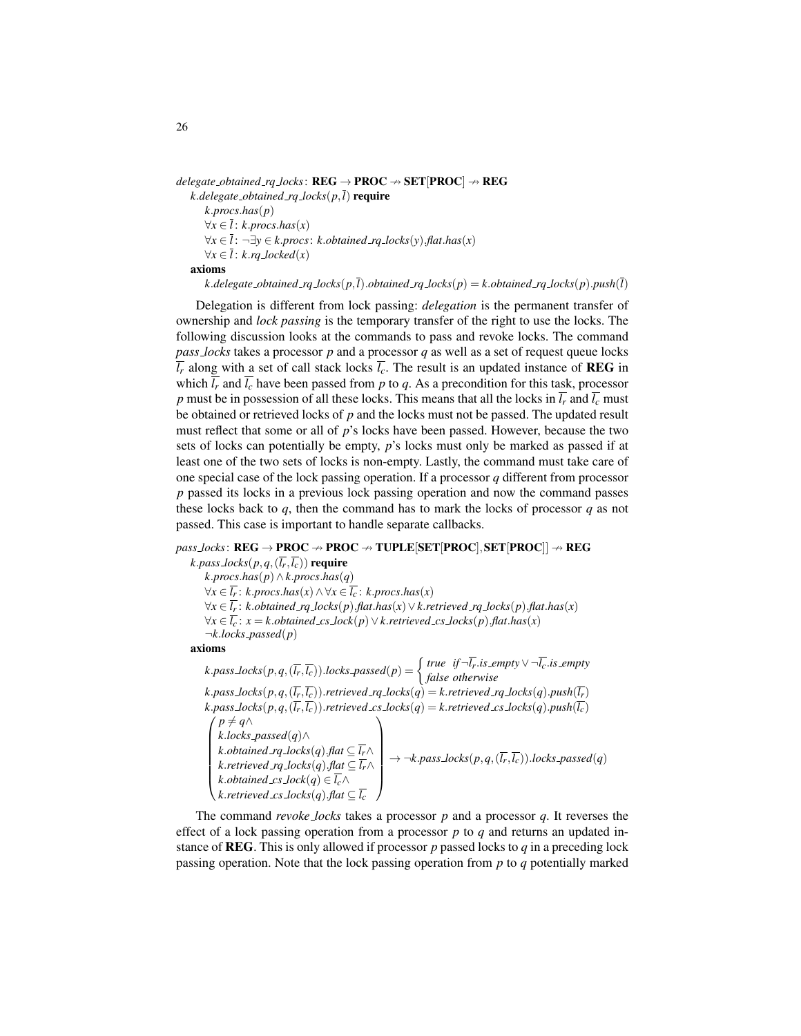*delegate\_obtained\_rq\_locks*:  $REG \rightarrow PROC \nrightarrow SET[PROC] \nrightarrow REG$ *k*.*delegate\_obtained\_rq\_locks* $(p,\overline{l})$  **require** *k*.*procs*.*has*(*p*)  $∀x ∈ \overline{l}$ : *k.procs.has*(*x*) ∀*x* ∈ *l* : ¬∃*y* ∈ *k*.*procs*: *k*.*obtained rq locks*(*y*).*flat*.*has*(*x*)  $∀x ∈ l$ :  $k.rq\_locked(x)$ axioms

 $k$ *.delegate obtained*  $rq$ *<sub>-</sub>locks* $(p, \overline{l})$ *.obtained*  $rq$ <sub>-</sub>*locks* $(p)$  =  $k$ *.obtained*  $rq$ <sub>-</sub>*rq*<sub>-</sub>*locks* $(p)$ *.push* $(\overline{l})$ 

Delegation is different from lock passing: *delegation* is the permanent transfer of ownership and *lock passing* is the temporary transfer of the right to use the locks. The following discussion looks at the commands to pass and revoke locks. The command *pass locks* takes a processor *p* and a processor *q* as well as a set of request queue locks  $\bar{l}_r$  along with a set of call stack locks  $\bar{l}_c$ . The result is an updated instance of **REG** in which  $\overline{l}_r$  and  $\overline{l}_c$  have been passed from p to q. As a precondition for this task, processor *p* must be in possession of all these locks. This means that all the locks in  $\overline{l_r}$  and  $\overline{l_c}$  must be obtained or retrieved locks of *p* and the locks must not be passed. The updated result must reflect that some or all of *p*'s locks have been passed. However, because the two sets of locks can potentially be empty, *p*'s locks must only be marked as passed if at least one of the two sets of locks is non-empty. Lastly, the command must take care of one special case of the lock passing operation. If a processor *q* different from processor *p* passed its locks in a previous lock passing operation and now the command passes these locks back to *q*, then the command has to mark the locks of processor *q* as not passed. This case is important to handle separate callbacks.

 $pass\_locks$ :  $REG \rightarrow PROC \rightarrow PROC \rightarrow TUPLE[SET[PROC], SET[PROC]] \rightarrow REG$ 

 $k. pass\_locks(p, q, (\overline{l_r}, \overline{l_c}))$  require *k*.*procs*.*has*(*p*)∧*k*.*procs*.*has*(*q*)  $\forall x \in \overline{l_r}$ : *k.procs.has*(*x*)∧  $\forall x \in \overline{l_c}$ : *k.procs.has*(*x*) ∀*x* ∈ *l<sup>r</sup>* : *k*.*obtained rq locks*(*p*).*flat*.*has*(*x*)∨*k*.*retrieved rq locks*(*p*).*flat*.*has*(*x*)  $∀x ∈ \overline{l_c}$ :  $x = k$ .*obtained\_cs\\_lock*(*p*) ∨ *k*.*retrieved\_cs\\_locks*(*p*).*flat.has*(*x*)¬*k*.*locks passed*(*p*) axioms k.pass\_locks(p,q, $(\overline{l_r}, \overline{l_c})$ ).locks\_passed(p) =  $\begin{cases} true \text{ if } \neg \overline{l_r} \text{ is empty} \lor \neg \overline{l_c} \text{ is empty} \\ false \text{ otherwise.} \end{cases}$ *false otherwise* k.pass\_locks(p,q, $(\overline{l_r}, \overline{l_c})$ ).retrieved\_rq\_locks(q) = k.retrieved\_rq\_locks(q).push( $\overline{l_r}$ ) k.pass\_locks(p,q,(l<sub>r</sub>,l<sub>c</sub>)).retrieved\_cs\_locks(q) = k.retrieved\_cs\_locks(q).push(l<sub>c</sub>)  $p ≠ q$  $\begin{array}{c} \begin{array}{c} \begin{array}{c} \begin{array}{c} \end{array} \\ \end{array} \end{array} \end{array}$ *k*.*locks passed*(*q*)∧  $k$ *.obtained\_rq\_locks* $(q)$ *.flat*  $\subseteq$   $\overline{l_r}$  $\wedge$ *k*.*retrieved rq locks*(*q*).*flat* ⊆ *lr*∧ *k*.obtained\_cs\_lock $(q) \in \overline{l_c} \wedge$ *k*.*retrieved cs locks*(*q*).*flat* ⊆ *l<sup>c</sup>*  $\setminus$  $\overline{\phantom{a}}$  $\rightarrow \neg k.\text{pass\_locks}(p, q, (l_r, l_c)).\text{locks\_passed}(q)$ 

The command *revoke locks* takes a processor *p* and a processor *q*. It reverses the effect of a lock passing operation from a processor *p* to *q* and returns an updated instance of REG. This is only allowed if processor *p* passed locks to *q* in a preceding lock passing operation. Note that the lock passing operation from *p* to *q* potentially marked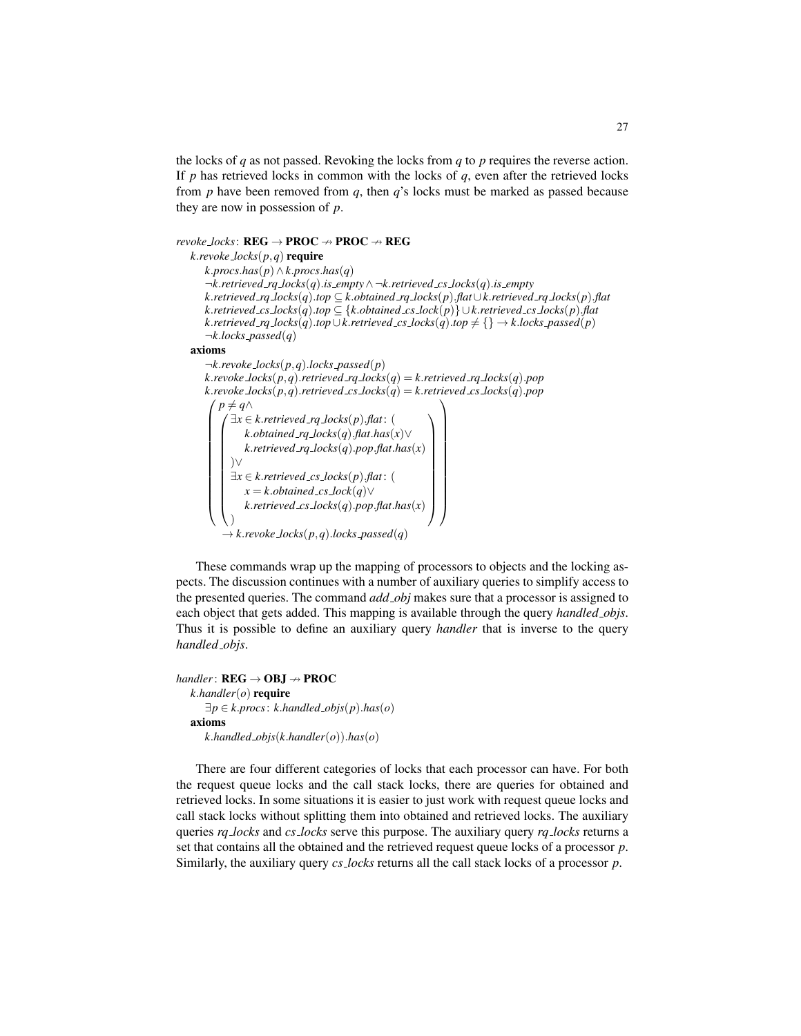the locks of *q* as not passed. Revoking the locks from *q* to *p* requires the reverse action. If  $p$  has retrieved locks in common with the locks of  $q$ , even after the retrieved locks from *p* have been removed from *q*, then *q*'s locks must be marked as passed because they are now in possession of *p*.

```
revole\_locks: REG \rightarrow PROC \rightarrow PROC \rightarrow REG
```

```
k.revoke locks(p,q) require
   k.procs.has(p)∧k.procs.has(q)
   ¬k.retrieved rq locks(q).is empty∧ ¬k.retrieved cs locks(q).is empty
   k.retrieved rq locks(q).top ⊆ k.obtained rq locks(p).flat∪k.retrieved rq locks(p).flat
   k.retrieved cs locks(q).top ⊆ {k.obtained cs lock(p)} ∪k.retrieved cs locks(p).flat
   k.retrieved_rq_locks(q).top∪k.retrieved_cs_locks(q).top \neq {} → k.locks_passed(p)
   ¬k.locks passed(q)
axioms
   ¬k.revoke locks(p,q).locks passed(p)
   k.revoke \text{Locks}(p,q).retrieved_rq_locks(q) = k.retrieved_rq_locks(q).pop
   k.revoke \text{Locks}(p,q).retrieved_cs_locks(q) = k.retrieved_cs_locks(q).pop
    \sqrt{ }
      p \neq q∧
      \sqrt{ }
        ∃x ∈ k.retrieved rq locks(p).flat: (
            k.obtained rq locks(q).flat.has(x)∨
            k.retrieved rq locks(q).pop.flat.has(x)
         )∨
        ∃x ∈ k.retrieved cs locks(p).flat: (
           x = k.obtained_cs_lock(q)∨
            k.retrieved_cs_locks(q).pop.flat.has(x))
                                                     \setminus\overline{\phantom{a}}\setminus
       → k.revoke locks(p,q).locks passed(q)
```
These commands wrap up the mapping of processors to objects and the locking aspects. The discussion continues with a number of auxiliary queries to simplify access to the presented queries. The command *add obj* makes sure that a processor is assigned to each object that gets added. This mapping is available through the query *handled objs*. Thus it is possible to define an auxiliary query *handler* that is inverse to the query *handled objs*.

```
handler: REG \rightarrow OBJ \rightarrow PROC
```

```
k.handler(o) require
   ∃p ∈ k.procs: k.handled objs(p).has(o)
axioms
  k.handled objs(k.handler(o)).has(o)
```
There are four different categories of locks that each processor can have. For both the request queue locks and the call stack locks, there are queries for obtained and retrieved locks. In some situations it is easier to just work with request queue locks and call stack locks without splitting them into obtained and retrieved locks. The auxiliary queries *rq locks* and *cs locks* serve this purpose. The auxiliary query *rq locks* returns a set that contains all the obtained and the retrieved request queue locks of a processor *p*. Similarly, the auxiliary query *cs locks* returns all the call stack locks of a processor *p*.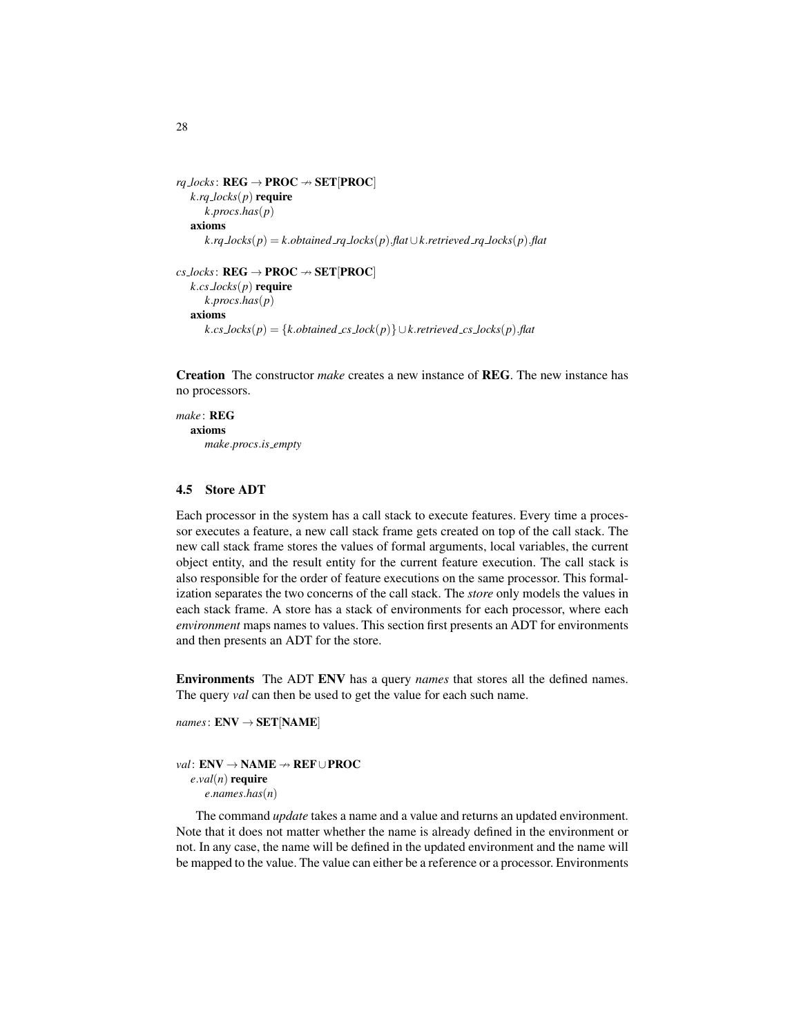$rq\_locks$ :  $REG \rightarrow PROC \rightarrow SET[PROC]$  $k.rq\_locks(p)$  **require** *k*.*procs*.*has*(*p*) axioms *k*.*rq locks*(*p*) = *k*.*obtained rq locks*(*p*).*flat*∪*k*.*retrieved rq locks*(*p*).*flat cs locks*: REG → PROC 9 SET[PROC] *k*.*cs locks*(*p*) require *k*.*procs*.*has*(*p*) axioms

 $k.cs\_locks(p) = {k.obtained_c.s\_lock(p)} \cup k.rettrieved_c.s\_locks(p).$ *flat* 

Creation The constructor *make* creates a new instance of REG. The new instance has no processors.

### *make* : REG axioms

*make*.*procs*.*is empty*

## 4.5 Store ADT

Each processor in the system has a call stack to execute features. Every time a processor executes a feature, a new call stack frame gets created on top of the call stack. The new call stack frame stores the values of formal arguments, local variables, the current object entity, and the result entity for the current feature execution. The call stack is also responsible for the order of feature executions on the same processor. This formalization separates the two concerns of the call stack. The *store* only models the values in each stack frame. A store has a stack of environments for each processor, where each *environment* maps names to values. This section first presents an ADT for environments and then presents an ADT for the store.

Environments The ADT ENV has a query *names* that stores all the defined names. The query *val* can then be used to get the value for each such name.

 $names: ENV \rightarrow SET[NAME]$ 

*val*: **ENV** → **NAME** → **REF∪PROC** *e*.*val*(*n*) require *e*.*names*.*has*(*n*)

The command *update* takes a name and a value and returns an updated environment. Note that it does not matter whether the name is already defined in the environment or not. In any case, the name will be defined in the updated environment and the name will be mapped to the value. The value can either be a reference or a processor. Environments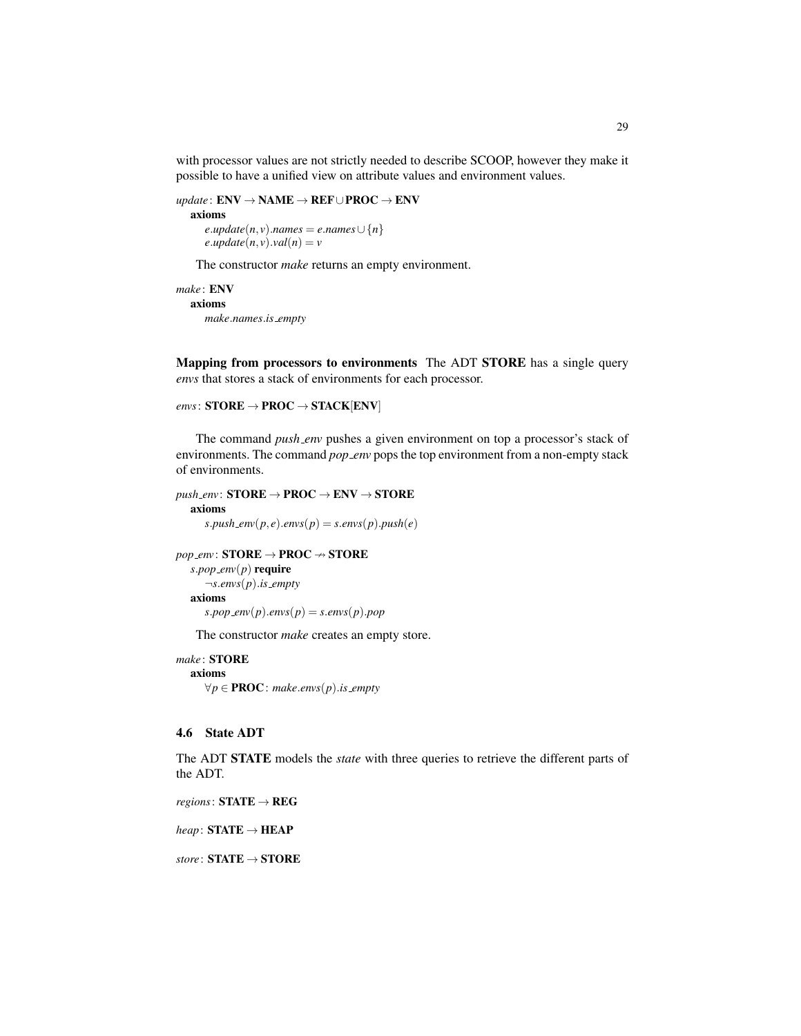with processor values are not strictly needed to describe SCOOP, however they make it possible to have a unified view on attribute values and environment values.

*update* : ENV → NAME → REF∪PROC → ENV axioms  $e.update(n, v)$ .*names* =  $e.name s \cup \{n\}$  $e.\text{update}(n, v).\text{val}(n) = v$ 

The constructor *make* returns an empty environment.

*make* : ENV axioms *make*.*names*.*is empty*

Mapping from processors to environments The ADT STORE has a single query *envs* that stores a stack of environments for each processor.

 $envs: \text{STORE} \rightarrow \text{PROC} \rightarrow \text{STACK}[\text{ENV}]$ 

The command *push\_env* pushes a given environment on top a processor's stack of environments. The command *pop\_env* pops the top environment from a non-empty stack of environments.

```
push\_env: STORE \rightarrow PROC \rightarrow ENV \rightarrow STORE
```
axioms

 $s. push\_env(p, e).envs(p) = s.envs(p).push(e)$ 

```
pop\_env: STORE \rightarrow PROC \rightarrow STORE
```

```
s.pop\_env(p) require
   ¬s.envs(p).is empty
axioms
  s.pop\_env(p).envs(p) = s.envs(p).pop
```
The constructor *make* creates an empty store.

```
make : STORE
```
axioms ∀*p* ∈ PROC: *make*.*envs*(*p*).*is empty*

# 4.6 State ADT

The ADT STATE models the *state* with three queries to retrieve the different parts of the ADT.

*regions*: STATE → REG

 $heap: STATE \rightarrow HEAD$ 

*store* : STATE → STORE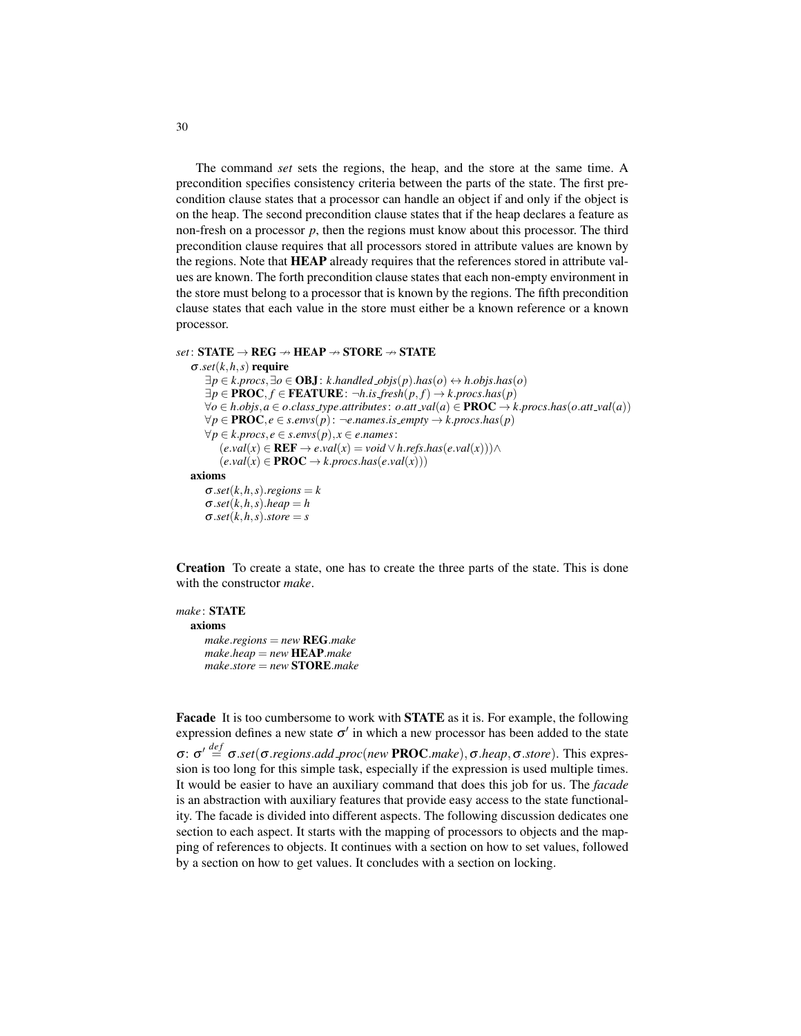The command *set* sets the regions, the heap, and the store at the same time. A precondition specifies consistency criteria between the parts of the state. The first precondition clause states that a processor can handle an object if and only if the object is on the heap. The second precondition clause states that if the heap declares a feature as non-fresh on a processor *p*, then the regions must know about this processor. The third precondition clause requires that all processors stored in attribute values are known by the regions. Note that HEAP already requires that the references stored in attribute values are known. The forth precondition clause states that each non-empty environment in the store must belong to a processor that is known by the regions. The fifth precondition clause states that each value in the store must either be a known reference or a known processor.

```
set: STATE \rightarrow REG \rightarrow HEAD \rightarrow STORE \rightarrow STATE
```

```
σ.set(k,h,s) require
```

```
∃p ∈ k.procs,∃o ∈ OBJ: k.handled objs(p).has(o) ↔ h.objs.has(o)
   \exists p \in \textbf{PROC}, f \in \textbf{FEATURE}: \neg h.is\_fresh(p, f) \rightarrow k \cdot pros. \textit{has}(p)∀o ∈ h.objs,a ∈ o.class type.attributes: o.att val(a) ∈ PROC → k.procs.has(o.att val(a))
   ∀p ∈ \textbf{PROC}, e ∈ s. envs(p): ¬e. names.is\_empty → k. process. has(p)∀p ∈ k.procs, e ∈ s.envs(p), x ∈ e.names:
       (e.val(x) ∈ REF → e.val(x) = void∨h.refs.has(e.val(x)))∧
       (e.val(x) \in \textbf{PROC} \rightarrow k. process. has (e.val(x)))axioms
   \sigma\text{.}set(k, h, s).regions = k
   \sigma.set(k,h,s).heap = h
   \sigma\text{.}set(k,h,s).store = s
```
Creation To create a state, one has to create the three parts of the state. This is done with the constructor *make*.

```
make : STATE
  axioms
    make.regions = new REG.make
    make.heap = new HEAP.make
    make.store = new STORE.make
```
Facade It is too cumbersome to work with STATE as it is. For example, the following expression defines a new state  $\sigma'$  in which a new processor has been added to the state σ: σ 0 *de f* = σ.*set*(σ.*regions*.*add proc*(*new* PROC.*make*),σ.*heap*,σ.*store*). This expression is too long for this simple task, especially if the expression is used multiple times. It would be easier to have an auxiliary command that does this job for us. The *facade* is an abstraction with auxiliary features that provide easy access to the state functionality. The facade is divided into different aspects. The following discussion dedicates one section to each aspect. It starts with the mapping of processors to objects and the mapping of references to objects. It continues with a section on how to set values, followed by a section on how to get values. It concludes with a section on locking.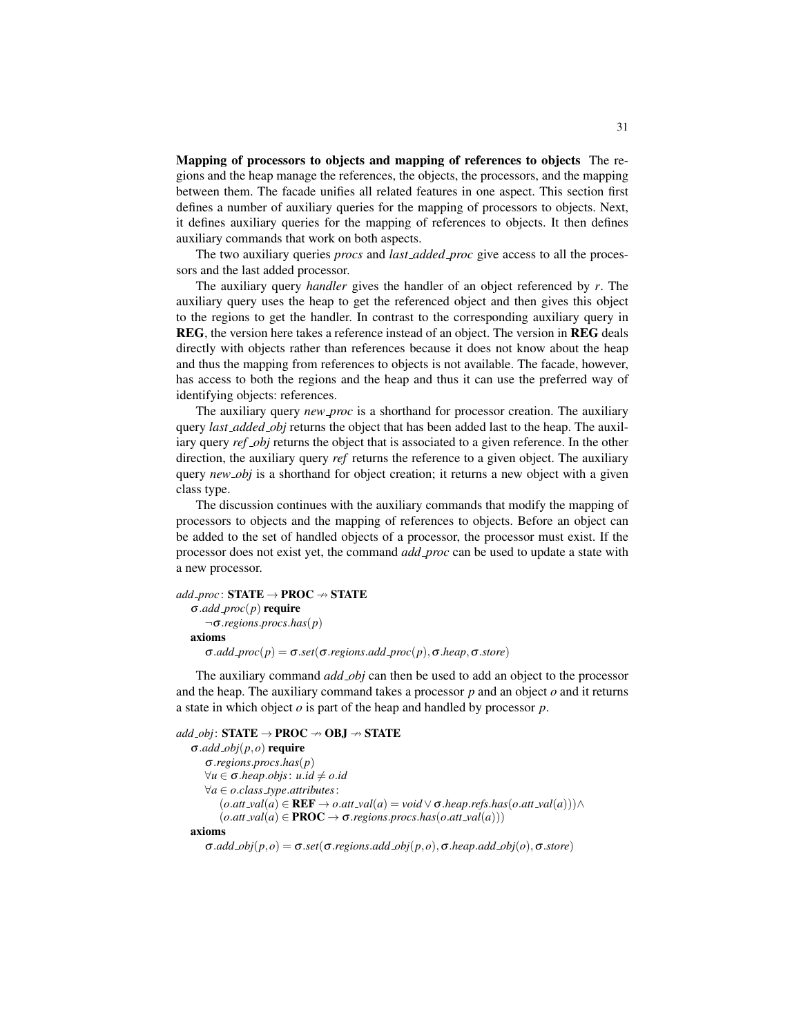Mapping of processors to objects and mapping of references to objects The regions and the heap manage the references, the objects, the processors, and the mapping between them. The facade unifies all related features in one aspect. This section first defines a number of auxiliary queries for the mapping of processors to objects. Next, it defines auxiliary queries for the mapping of references to objects. It then defines auxiliary commands that work on both aspects.

The two auxiliary queries *procs* and *last added proc* give access to all the processors and the last added processor.

The auxiliary query *handler* gives the handler of an object referenced by *r*. The auxiliary query uses the heap to get the referenced object and then gives this object to the regions to get the handler. In contrast to the corresponding auxiliary query in REG, the version here takes a reference instead of an object. The version in REG deals directly with objects rather than references because it does not know about the heap and thus the mapping from references to objects is not available. The facade, however, has access to both the regions and the heap and thus it can use the preferred way of identifying objects: references.

The auxiliary query *new proc* is a shorthand for processor creation. The auxiliary query *last added obj* returns the object that has been added last to the heap. The auxiliary query *ref obj* returns the object that is associated to a given reference. In the other direction, the auxiliary query *ref* returns the reference to a given object. The auxiliary query *new obj* is a shorthand for object creation; it returns a new object with a given class type.

The discussion continues with the auxiliary commands that modify the mapping of processors to objects and the mapping of references to objects. Before an object can be added to the set of handled objects of a processor, the processor must exist. If the processor does not exist yet, the command *add proc* can be used to update a state with a new processor.

```
add\_proc: STATE \rightarrow PROC \rightarrow STATE
   σ.add proc(p) require
      ¬σ.regions.procs.has(p)
   axioms
      σ.add proc(p) = σ.set(σ.regions.add proc(p),σ.heap,σ.store)
```
The auxiliary command *add obj* can then be used to add an object to the processor and the heap. The auxiliary command takes a processor *p* and an object *o* and it returns a state in which object *o* is part of the heap and handled by processor *p*.

```
add\_obj: STATE \rightarrow PROC \rightarrow OBJ \rightarrow STATE
    σ.add obj(p,o) require
        σ.regions.procs.has(p)
        \forall u \in \sigma.heap.objs: u.id \neq o.id
        ∀a ∈ o.class type.attributes:
             (o. \text{att\_val}(a) \in \text{REF} \rightarrow o. \text{att\_val}(a) = void \vee \sigma \text{.} \text{heap.} \text{refs.} \text{has}(o. \text{att\_val}(a)) \wedge(o. <i>att_val(a)</i> \in <b>PROC</b> \rightarrow <math>\sigma</math>.<i>regions.procs.has</i>(<i>o</i>.<i>att_val(a)</i>))axioms
         σ.add obj(p,o) = σ.set(σ.regions.add obj(p,o),σ.heap.add obj(o),σ.store)
```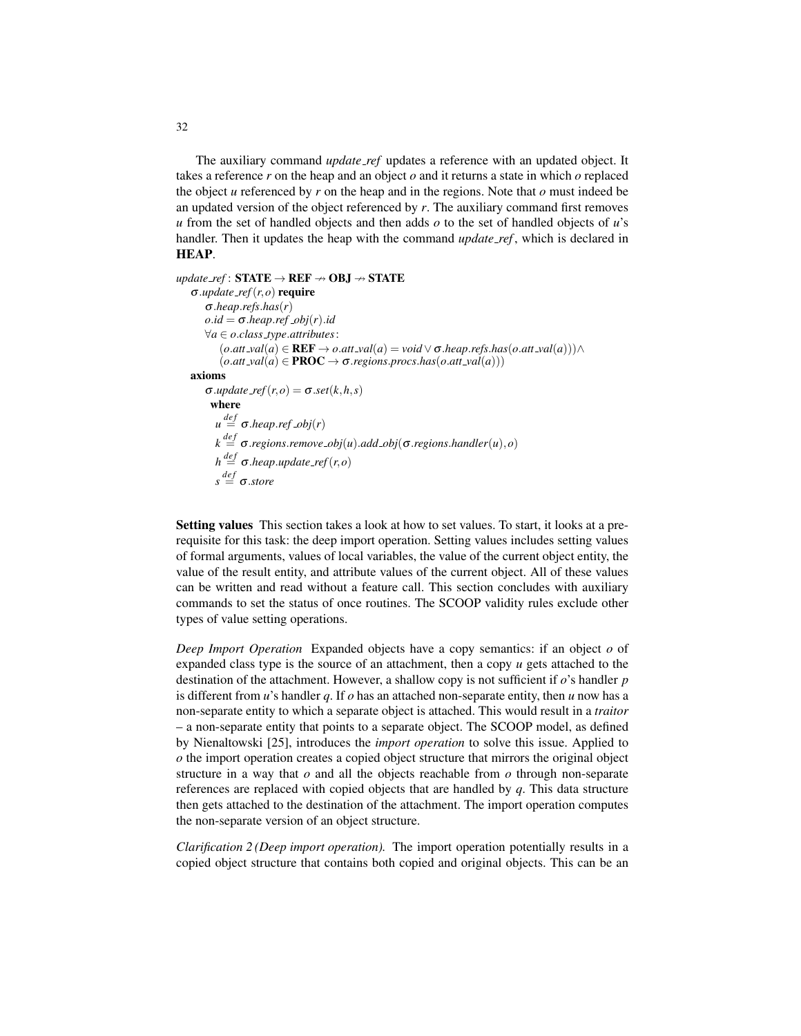The auxiliary command *update ref* updates a reference with an updated object. It takes a reference *r* on the heap and an object *o* and it returns a state in which *o* replaced the object  $u$  referenced by  $r$  on the heap and in the regions. Note that  $o$  must indeed be an updated version of the object referenced by *r*. The auxiliary command first removes  $u$  from the set of handled objects and then adds  $o$  to the set of handled objects of  $u$ 's handler. Then it updates the heap with the command *update ref* , which is declared in HEAP.

 $update\_ref$ : **STATE**  $\rightarrow$  **REF**  $\rightarrow$  **OBJ**  $\rightarrow$  **STATE** 

σ.*update ref*(*r*,*o*) require σ.*heap*.*refs*.*has*(*r*)  $o.id = \sigma \cdot \text{heap} \cdot \text{ref} \cdot \text{obj}(r) \cdot \text{id}$ ∀*a* ∈ *o*.*class type*.*attributes*:  $(o. att\_val(a) \in \text{REF} \rightarrow o. att\_val(a) = void \vee \sigma \cdot \text{heap} \cdot \text{refs} \cdot \text{has}(o. att\_val(a))) \wedge$  $(o. *att_val(a)* \in **PROC** \rightarrow  $\sigma$ .*regions.procs.has*(*o*.*att_val(a)*))$ axioms  $\sigma$ *.update\_ref* $(r, o) = \sigma$ *.set* $(k, h, s)$ where  $u \stackrel{def}{=} \sigma$ .heap.ref\_obj(r) *k de f* = σ.*regions*.*remove obj*(*u*).*add obj*(σ.*regions*.*handler*(*u*),*o*) *h*<sup> $def$ </sup>  $\sigma$ *.heap.update\_ref*(*r*,*o*) *s*<sup>def</sup> σ.*store* 

Setting values This section takes a look at how to set values. To start, it looks at a prerequisite for this task: the deep import operation. Setting values includes setting values of formal arguments, values of local variables, the value of the current object entity, the value of the result entity, and attribute values of the current object. All of these values can be written and read without a feature call. This section concludes with auxiliary commands to set the status of once routines. The SCOOP validity rules exclude other types of value setting operations.

*Deep Import Operation* Expanded objects have a copy semantics: if an object *o* of expanded class type is the source of an attachment, then a copy *u* gets attached to the destination of the attachment. However, a shallow copy is not sufficient if *o*'s handler *p* is different from *u*'s handler *q*. If *o* has an attached non-separate entity, then *u* now has a non-separate entity to which a separate object is attached. This would result in a *traitor* – a non-separate entity that points to a separate object. The SCOOP model, as defined by Nienaltowski [25], introduces the *import operation* to solve this issue. Applied to *o* the import operation creates a copied object structure that mirrors the original object structure in a way that *o* and all the objects reachable from *o* through non-separate references are replaced with copied objects that are handled by *q*. This data structure then gets attached to the destination of the attachment. The import operation computes the non-separate version of an object structure.

*Clarification 2 (Deep import operation).* The import operation potentially results in a copied object structure that contains both copied and original objects. This can be an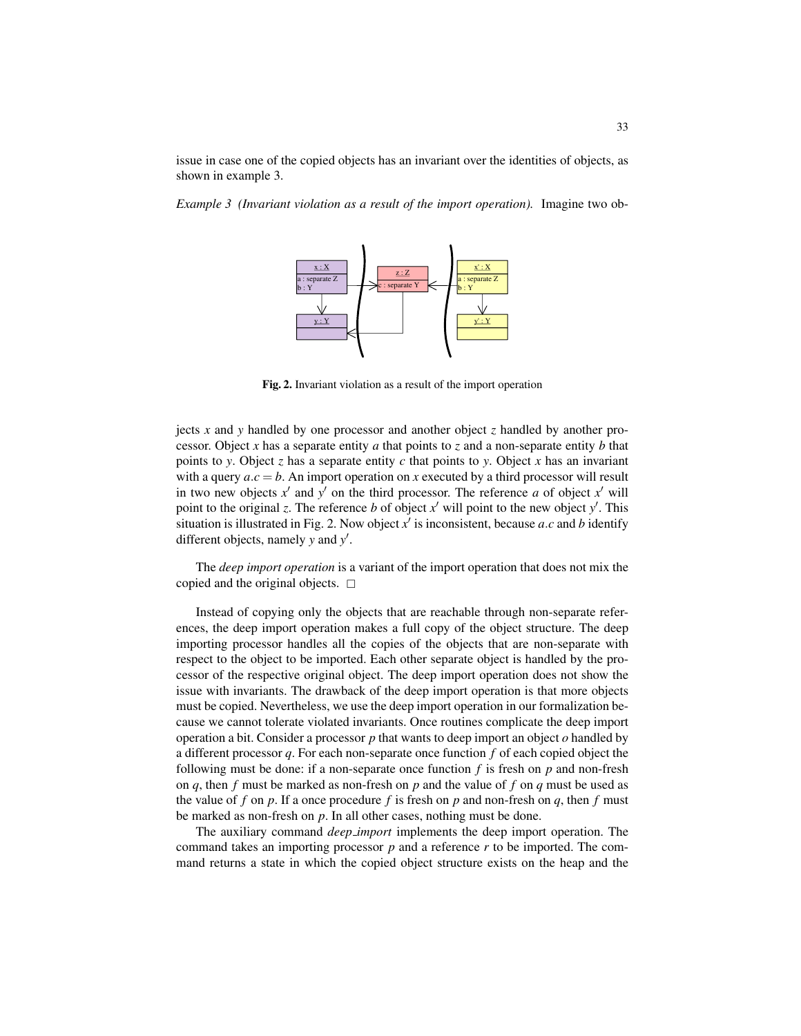issue in case one of the copied objects has an invariant over the identities of objects, as shown in example 3.

*Example 3 (Invariant violation as a result of the import operation).* Imagine two ob-



Fig. 2. Invariant violation as a result of the import operation

jects *x* and *y* handled by one processor and another object *z* handled by another processor. Object *x* has a separate entity *a* that points to *z* and a non-separate entity *b* that points to *y*. Object *z* has a separate entity *c* that points to *y*. Object *x* has an invariant with a query  $a.c = b$ . An import operation on x executed by a third processor will result in two new objects  $x'$  and  $y'$  on the third processor. The reference *a* of object  $x'$  will point to the original *z*. The reference *b* of object  $x'$  will point to the new object  $y'$ . This situation is illustrated in Fig. 2. Now object  $x'$  is inconsistent, because  $a.c$  and  $b$  identify different objects, namely *y* and *y'*.

The *deep import operation* is a variant of the import operation that does not mix the copied and the original objects.  $\square$ 

Instead of copying only the objects that are reachable through non-separate references, the deep import operation makes a full copy of the object structure. The deep importing processor handles all the copies of the objects that are non-separate with respect to the object to be imported. Each other separate object is handled by the processor of the respective original object. The deep import operation does not show the issue with invariants. The drawback of the deep import operation is that more objects must be copied. Nevertheless, we use the deep import operation in our formalization because we cannot tolerate violated invariants. Once routines complicate the deep import operation a bit. Consider a processor *p* that wants to deep import an object *o* handled by a different processor *q*. For each non-separate once function *f* of each copied object the following must be done: if a non-separate once function  $f$  is fresh on  $p$  and non-fresh on *q*, then *f* must be marked as non-fresh on *p* and the value of *f* on *q* must be used as the value of f on p. If a once procedure f is fresh on p and non-fresh on q, then f must be marked as non-fresh on *p*. In all other cases, nothing must be done.

The auxiliary command *deep import* implements the deep import operation. The command takes an importing processor *p* and a reference *r* to be imported. The command returns a state in which the copied object structure exists on the heap and the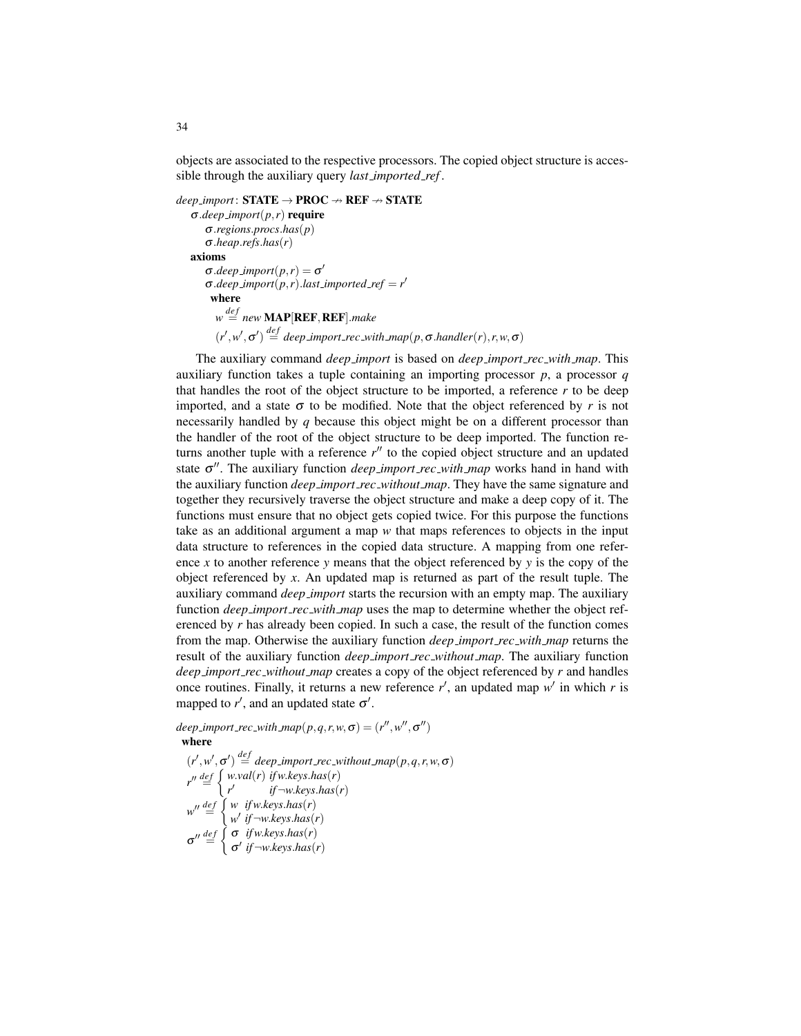objects are associated to the respective processors. The copied object structure is accessible through the auxiliary query *last imported ref* .

 $deep\_import: STATE \rightarrow PROC \nrightarrow REF \nrightarrow STATE$ σ.*deep import*(*p*,*r*) require σ.*regions*.*procs*.*has*(*p*) σ.*heap*.*refs*.*has*(*r*) axioms  $\sigma$ *.deep\_import*( $p, r$ ) =  $\sigma'$  $\sigma$ .*deep\_import* $(p, r)$ *.last\_imported\_ref* =  $r'$ where  $w \stackrel{def}{=}$  new **MAP**[**REF**, **REF**].make  $(r', w', \sigma') \stackrel{def}{=}$  *deep\_import\_rec\_with\_map* $(p, \sigma.handler(r), r, w, \sigma)$ 

The auxiliary command *deep import* is based on *deep import rec with map*. This auxiliary function takes a tuple containing an importing processor *p*, a processor *q* that handles the root of the object structure to be imported, a reference *r* to be deep imported, and a state  $\sigma$  to be modified. Note that the object referenced by *r* is not necessarily handled by *q* because this object might be on a different processor than the handler of the root of the object structure to be deep imported. The function returns another tuple with a reference  $r''$  to the copied object structure and an updated state σ''. The auxiliary function *deep\_import\_rec\_with\_map* works hand in hand with the auxiliary function *deep import rec without map*. They have the same signature and together they recursively traverse the object structure and make a deep copy of it. The functions must ensure that no object gets copied twice. For this purpose the functions take as an additional argument a map *w* that maps references to objects in the input data structure to references in the copied data structure. A mapping from one reference *x* to another reference *y* means that the object referenced by *y* is the copy of the object referenced by *x*. An updated map is returned as part of the result tuple. The auxiliary command *deep import* starts the recursion with an empty map. The auxiliary function *deep import rec with map* uses the map to determine whether the object referenced by *r* has already been copied. In such a case, the result of the function comes from the map. Otherwise the auxiliary function *deep import rec with map* returns the result of the auxiliary function *deep import rec without map*. The auxiliary function *deep import rec without map* creates a copy of the object referenced by *r* and handles once routines. Finally, it returns a new reference  $r'$ , an updated map  $w'$  in which  $r$  is mapped to  $r'$ , and an updated state  $\sigma'$ .

 $deep\_import\_rec\_with\_map(p,q,r,w,\sigma) = (r'',w'',\sigma'')$ where

 $(r', w', \sigma') \stackrel{def}{=}$  *deep\_import\_rec\_without\_map* $(p, q, r, w, \sigma)$  $r'' \stackrel{\text{def}}{=} \begin{cases}$  w.val(*r*) *if* w.keys.has(*r*) *r* 0 *if*¬*w*.*keys*.*has*(*r*)  $w'' \stackrel{def}{=} \begin{cases} w & \text{if w.} \textit{k} \text{eys.} \textit{has}(r) \\ w' & \text{if w.} \textit{k} \text{w.} \textit{k} \text{w.} \end{cases}$ *w* 0 *if*¬*w*.*keys*.*has*(*r*)  $\sigma'' \stackrel{def}{=} \begin{cases} \sigma & \text{if w.} \text{keys}.\text{has}(r) \\ \sigma' & \text{if -w.} \text{keys has} \end{cases}$ σ 0 *if*¬*w*.*keys*.*has*(*r*)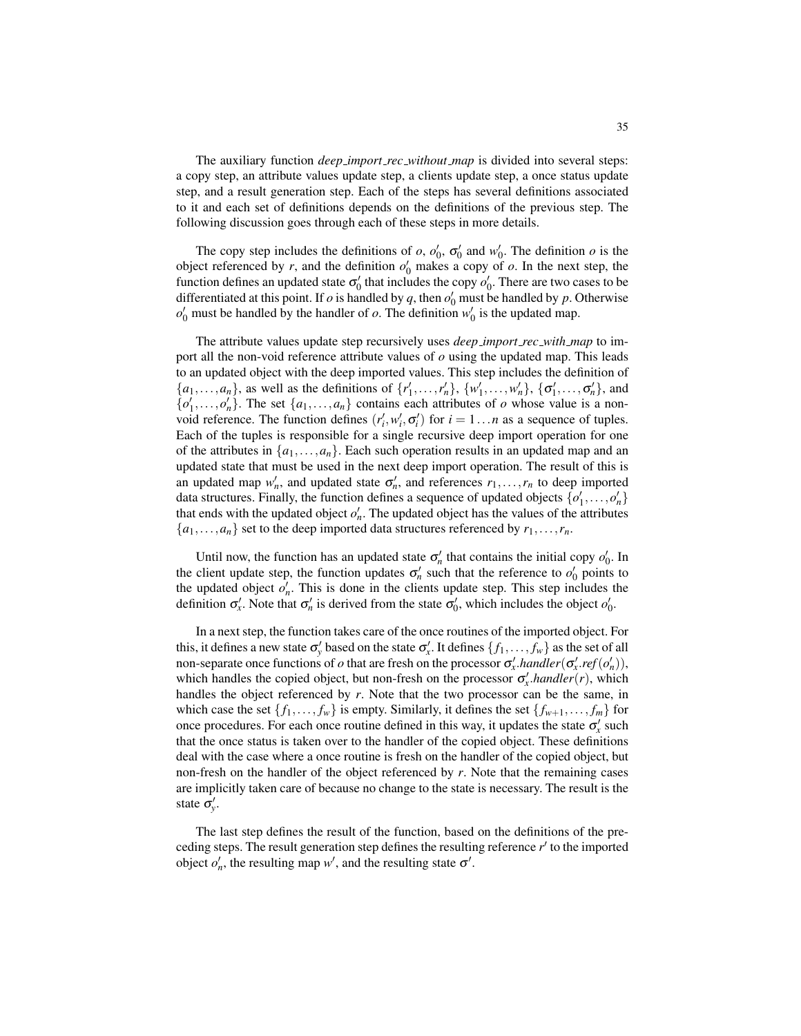The auxiliary function *deep import rec without map* is divided into several steps: a copy step, an attribute values update step, a clients update step, a once status update step, and a result generation step. Each of the steps has several definitions associated to it and each set of definitions depends on the definitions of the previous step. The following discussion goes through each of these steps in more details.

The copy step includes the definitions of *o*,  $o'_0$ ,  $\sigma'_0$  and  $w'_0$ . The definition *o* is the object referenced by  $r$ , and the definition  $o'_0$  makes a copy of  $o$ . In the next step, the function defines an updated state  $\sigma'_0$  that includes the copy  $o'_0$ . There are two cases to be differentiated at this point. If *o* is handled by *q*, then  $o'_0$  must be handled by *p*. Otherwise  $o'_0$  must be handled by the handler of *o*. The definition  $w'_0$  is the updated map.

The attribute values update step recursively uses *deep import rec with map* to import all the non-void reference attribute values of *o* using the updated map. This leads to an updated object with the deep imported values. This step includes the definition of  $\{a_1, \ldots, a_n\}$ , as well as the definitions of  $\{r'_1, \ldots, r'_n\}$ ,  $\{w'_1, \ldots, w'_n\}$ ,  $\{\sigma'_1, \ldots, \sigma'_n\}$ , and  $\{o'_1, \ldots, o'_n\}$ . The set  $\{a_1, \ldots, a_n\}$  contains each attributes of *o* whose value is a nonvoid reference. The function defines  $(r'_i, w'_i, \sigma'_i)$  for  $i = 1...n$  as a sequence of tuples. Each of the tuples is responsible for a single recursive deep import operation for one of the attributes in  $\{a_1, \ldots, a_n\}$ . Each such operation results in an updated map and an updated state that must be used in the next deep import operation. The result of this is an updated map  $w'_n$ , and updated state  $\sigma'_n$ , and references  $r_1, \ldots, r_n$  to deep imported data structures. Finally, the function defines a sequence of updated objects  $\{o'_1, \ldots, o'_n\}$ that ends with the updated object  $o'_n$ . The updated object has the values of the attributes  ${a_1, \ldots, a_n}$  set to the deep imported data structures referenced by  $r_1, \ldots, r_n$ .

Until now, the function has an updated state  $\sigma'_n$  that contains the initial copy  $o'_0$ . In the client update step, the function updates  $\sigma'_n$  such that the reference to  $o'_0$  points to the updated object  $o'_n$ . This is done in the clients update step. This step includes the definition  $\sigma'_x$ . Note that  $\sigma'_n$  is derived from the state  $\sigma'_0$ , which includes the object  $o'_0$ .

In a next step, the function takes care of the once routines of the imported object. For this, it defines a new state  $\sigma'_y$  based on the state  $\sigma'_x$ . It defines  $\{f_1,\ldots,f_w\}$  as the set of all non-separate once functions of *o* that are fresh on the processor  $\sigma'_x$ .*handler*( $\sigma'_x$ .*ref*( $o'_n$ )), which handles the copied object, but non-fresh on the processor  $\sigma'_x$ *.handler*(*r*), which handles the object referenced by *r*. Note that the two processor can be the same, in which case the set  $\{f_1, \ldots, f_w\}$  is empty. Similarly, it defines the set  $\{f_{w+1}, \ldots, f_m\}$  for once procedures. For each once routine defined in this way, it updates the state  $\sigma'_{x}$  such that the once status is taken over to the handler of the copied object. These definitions deal with the case where a once routine is fresh on the handler of the copied object, but non-fresh on the handler of the object referenced by *r*. Note that the remaining cases are implicitly taken care of because no change to the state is necessary. The result is the state  $\sigma'_{y}$ .

The last step defines the result of the function, based on the definitions of the preceding steps. The result generation step defines the resulting reference  $r'$  to the imported object  $o'_n$ , the resulting map w', and the resulting state  $\sigma'$ .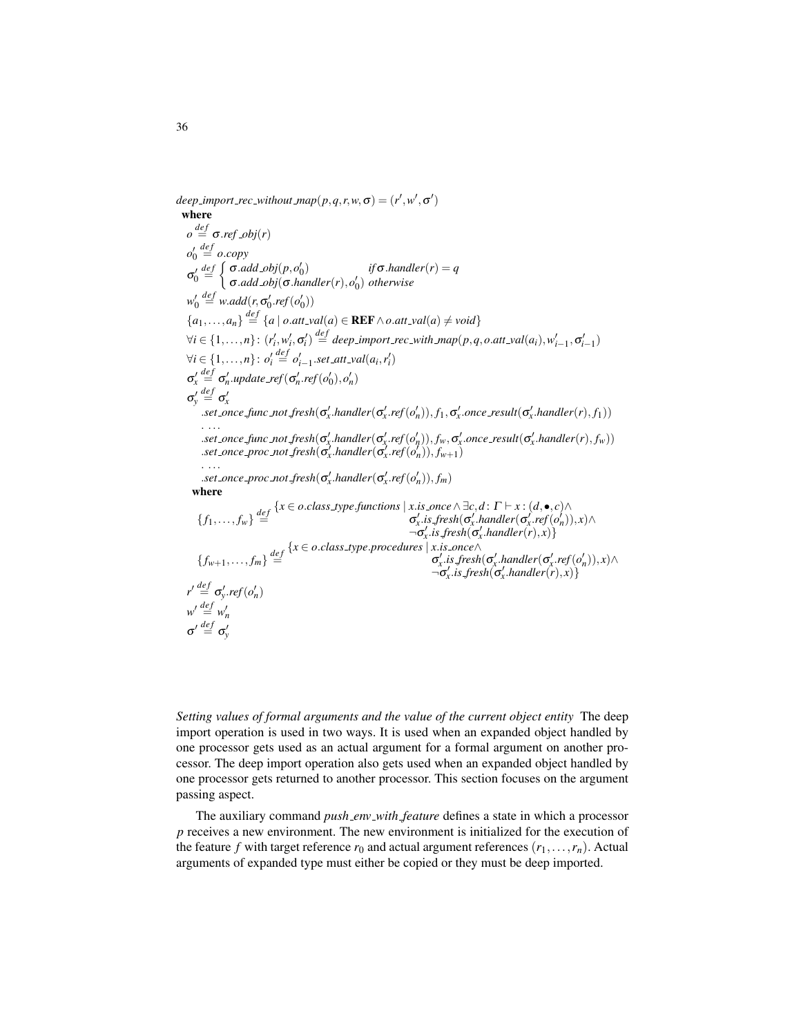$\text{deep\_import\_rec\_without\_map}(p, q, r, w, \sigma) = (r', w', \sigma')$ where  $o \stackrel{def}{=} \sigma$ *.ref \_obj*(*r*)  $o'_0 \stackrel{def}{=} o.copy$  $\boldsymbol{0}$  $\sigma'_0$  $\begin{cases} \frac{def}{=} \int \sigma \cdot \frac{add \cdot obj(p, o'_0)}{=} \int \sigma \cdot \frac{1}{\sigma} \cdot \frac{d}{\sigma} \cdot \frac{d}{\sigma} \cdot \frac{1}{\sigma} \cdot \frac{d}{\sigma} \cdot \frac{1}{\sigma} \cdot \frac{d}{\sigma} \cdot \frac{1}{\sigma} \cdot \frac{d}{\sigma} \cdot \frac{1}{\sigma} \cdot \frac{d}{\sigma} \cdot \frac{1}{\sigma} \cdot \frac{1}{\sigma} \cdot \frac{1}{\sigma} \cdot \frac{1}{\sigma} \cdot \frac{1}{\sigma} \cdot \frac{1}{\sigma} \cdot \frac{1}{\sigma} \cdot \frac$ σ.*add obj*(σ.*handler*(*r*),*o* 0 0 ) *otherwise*  $w'_0$  $\stackrel{def}{=}$  *w.add*(*r*,  $\sigma'_0$ *.ref*( $o'_0$ ))  ${a_1, \ldots, a_n} \stackrel{def}{=} {a \mid o. \text{att\_val}(a) \in \textbf{REF} \land o. \text{att\_val}(a) \neq \text{void}}$  $\forall i \in \{1,\ldots,n\}$ :  $(r'_i, w'_i, \sigma'_i) \stackrel{def}{=}$  deep\_import\_rec\_with\_map(p,q,o.att\_val(a<sub>i</sub>), $w'_{i-1}, \sigma'_{i-1}$ )  $\forall i \in \{1, \ldots, n\}$ :  $o'_i \stackrel{def}{=} o'_{i-1}$ .set\_att\_val $(a_i, r'_i)$  $\sigma'_x \stackrel{def}{=} \sigma'_n.\text{update\_ref}(\sigma'_n.\text{ref}(o'_0), o'_n)$  $\sigma'_{y} \stackrel{def}{=} \sigma'_{x}$  $=$   $\mathbf{o}_x$ <br>set\_once\_func\_not\_fresh( $\mathbf{o}'_x$ .handler( $\mathbf{o}'_x$ .ref( $o'_n$ )),  $f_1$ ,  $\mathbf{o}'_x$ .once\_result( $\mathbf{o}'_x$ .handler(r),  $f_1$ )) . ... .set\_once\_func\_not\_fresh $(\sigma'_x.handler(\sigma'_x.ref(o'_n)),f_w,\sigma'_x.once\_result(\sigma'_x.handler(r),f_w))$  $\cdot$ *set*\_once\_proc\_not\_fresh $(\sigma_x^2 \cdot \text{handler}(\sigma_x^2 \cdot \text{ref}(\sigma_n^2)), f_{w+1})$ . ...  $\mathcal{L}$ *set\_once\_proc\_not\_fresh*( $\sigma'_x$ *.handler*( $\sigma'_x$ *.ref*( $o'_n$ )),  $f_m$ ) where  ${f_1,\ldots,f_w} \stackrel{def}{=}$  ${x \in o.class\_type}$ .*functions*  $|x.is\_once \land \exists c, d : \Gamma \vdash x : (d, \bullet, c) \land$  $\sigma'_x$ .*is\_fresh*( $\sigma'_x$ .*handler*( $\sigma'_x$ .*ref*( $o'_n$ )),*x*)∧  $\neg \vec{\sigma}'_x \text{.} is \text{.}$ *fresh* $(\vec{\sigma}'_x \text{.} \text{.}$ *handler* $(\vec{r}), \vec{x})$ }  ${f_{w+1},...,f_m} \stackrel{def}{=}$ {*x* ∈ *o*.*class type*.*procedures* | *x*.*is once*∧  $\sigma'_x$ .*is fresh*( $\sigma'_x$ .*handler*( $\sigma'_x$ .*ref*( $o'_n$ )),*x*)∧  $\neg \vec{\sigma}_x'.\text{ is } \text{fresh}(\vec{\sigma}_x'.\text{handle}(\vec{r}),\vec{x})$  $r' \stackrel{def}{=} \sigma'_y \cdot ref(o'_n)$  $w' \stackrel{def}{=} w'_n$  $\sigma' \stackrel{def}{=} \sigma'_y$ 

*Setting values of formal arguments and the value of the current object entity* The deep import operation is used in two ways. It is used when an expanded object handled by one processor gets used as an actual argument for a formal argument on another processor. The deep import operation also gets used when an expanded object handled by one processor gets returned to another processor. This section focuses on the argument passing aspect.

The auxiliary command *push env with feature* defines a state in which a processor *p* receives a new environment. The new environment is initialized for the execution of the feature *f* with target reference  $r_0$  and actual argument references  $(r_1, \ldots, r_n)$ . Actual arguments of expanded type must either be copied or they must be deep imported.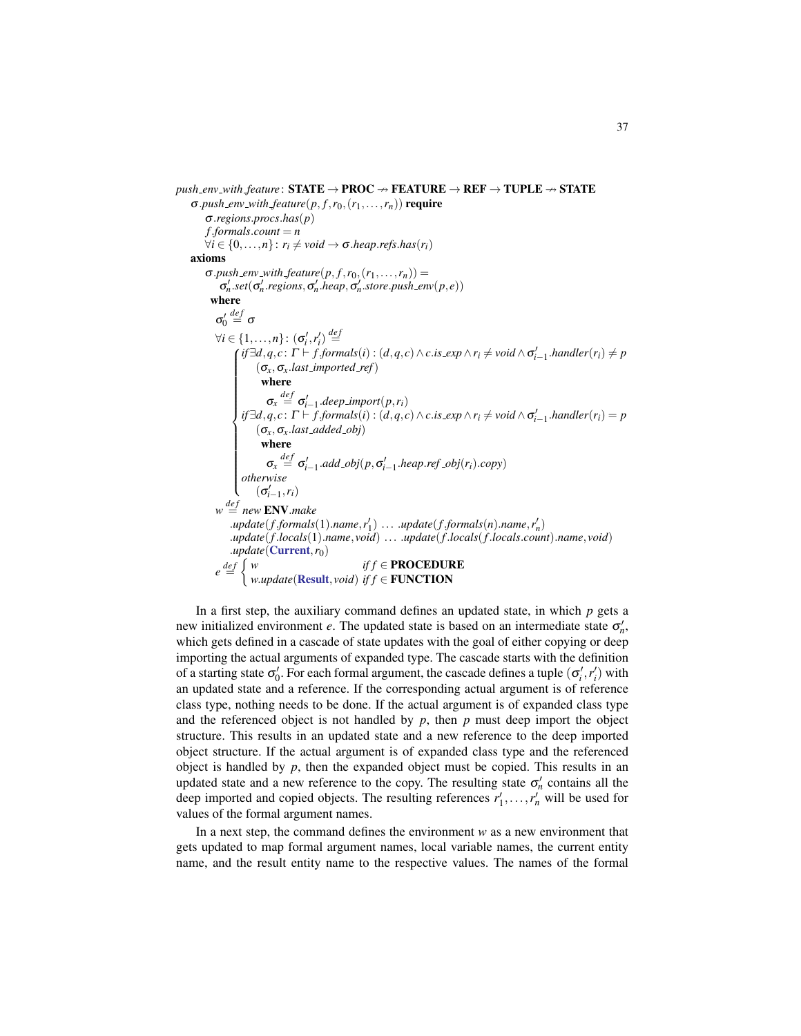$push\_env\_with\_feature\colon\thinspace \textbf{STATE}\to \textbf{PROC}\nrightarrow \textbf{FEATURE}\to \textbf{REF}\to \textbf{TUPLE}\nrightarrow \textbf{STATE}$  $\sigma$ *.push\_env\_with\_feature* $(p, f, r_0, (r_1, \ldots, r_n))$  require σ.*regions*.*procs*.*has*(*p*) *f*.*formals*.*count* = *n*  $\forall i \in \{0, \ldots, n\}$ :  $r_i \neq \text{void}$  →  $\sigma$ .heap.refs.has $(r_i)$ axioms  $\sigma$ *push\_env\_with\_feature* $(p, f, r_0, (r_1, \ldots, r_n)) =$  $\sigma'_n \cdot set(\sigma'_n \cdot regions, \sigma'_n \cdot heap, \sigma'_n \cdot store \cdot push\_{env}(p, e))$ where  $\sigma'_0$  $\stackrel{def}{=} \sigma$  $\forall i \in \{1, \ldots, n\} : (\sigma'_i, r'_i) \stackrel{def}{=}$  $\int$  if  $\exists d, q, c: \Gamma \vdash f$  formals $(i): (d, q, c) \wedge c$  is  $exp \wedge r_i \neq void \wedge \sigma'_{i-1}$  handler  $(r_i) \neq p$  $\begin{array}{c} \hline \end{array}$  $\begin{array}{c} \hline \end{array}$  $(\sigma_x, \sigma_x$ *.last\_imported\_ref*) where  $\sigma_x \stackrel{def}{=} \sigma'_{i-1}$ .*deep\_import*(*p*,*r*<sub>*i*</sub>)</sub> if  $\exists d, q, c: \Gamma \vdash f$  formals $(i): (d, q, c) \wedge c$  is  $\exp \wedge r_i \neq \nu$ oid  $\wedge \sigma'_{i-1}$  handler $(r_i) = p$  $(\sigma_x, \sigma_x$ *.last\_added\_obj*) where  $\sigma_x \stackrel{def}{=} \sigma'_{i-1}$ .*add\_obj* $(p, \sigma'_{i-1}$ *.heap.ref\_obj* $(r_i)$ *.copy*) *otherwise*  $(\sigma'_{i-1}, r_i)$  $w \stackrel{def}{=} new$  **ENV**.make  $\therefore$   $update(f, formulas(1), name, r'_1) \dots \therefore update(f, formulas(n), name, r'_n)$ .*update*(*f*.*locals*(1).*name*, *void*) ... .*update*(*f*.*locals*(*f*.*locals*.*count*).*name*, *void*) .*update*(Current,*r*0)  $e \stackrel{def}{=} \begin{cases} \end{cases}$ *w if f* ∈ PROCEDURE *w*.*update*(Result, *void*) *if f* ∈ FUNCTION

In a first step, the auxiliary command defines an updated state, in which *p* gets a new initialized environment *e*. The updated state is based on an intermediate state  $\sigma'_n$ , which gets defined in a cascade of state updates with the goal of either copying or deep importing the actual arguments of expanded type. The cascade starts with the definition of a starting state  $\sigma'_0$ . For each formal argument, the cascade defines a tuple  $(\sigma'_i, r'_i)$  with an updated state and a reference. If the corresponding actual argument is of reference class type, nothing needs to be done. If the actual argument is of expanded class type and the referenced object is not handled by  $p$ , then  $p$  must deep import the object structure. This results in an updated state and a new reference to the deep imported object structure. If the actual argument is of expanded class type and the referenced object is handled by  $p$ , then the expanded object must be copied. This results in an updated state and a new reference to the copy. The resulting state  $\sigma'_n$  contains all the deep imported and copied objects. The resulting references  $r'_1, \ldots, r'_n$  will be used for values of the formal argument names.

In a next step, the command defines the environment *w* as a new environment that gets updated to map formal argument names, local variable names, the current entity name, and the result entity name to the respective values. The names of the formal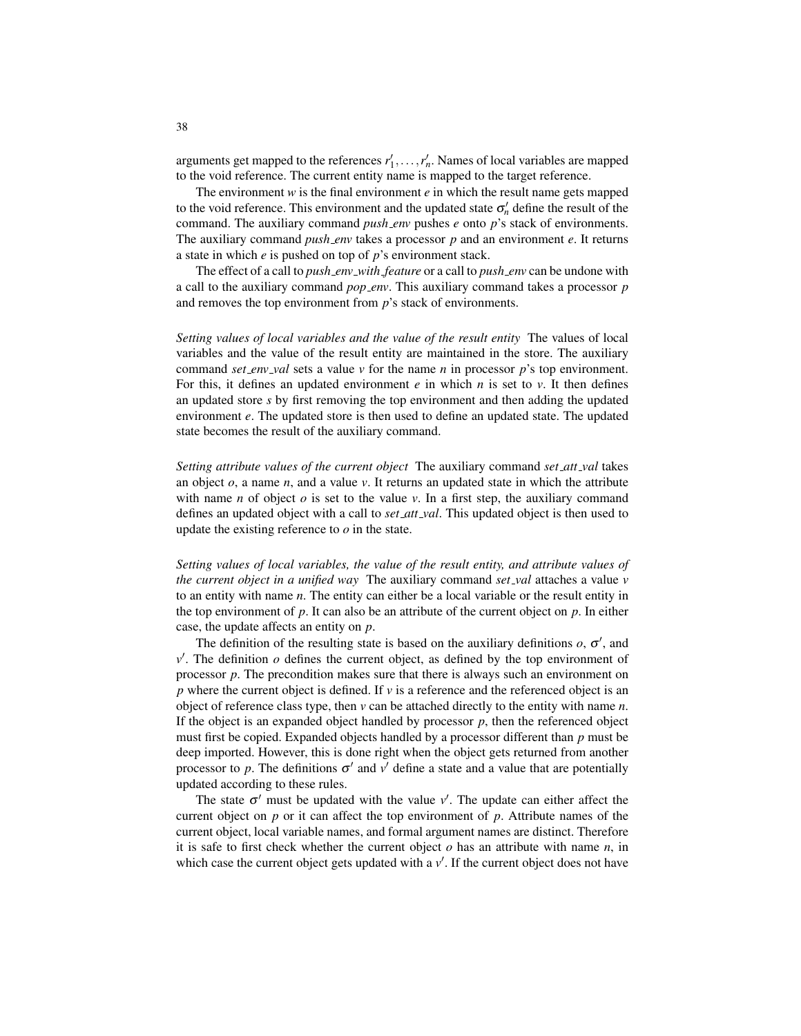arguments get mapped to the references  $r'_1, \ldots, r'_n$ . Names of local variables are mapped to the void reference. The current entity name is mapped to the target reference.

The environment  $w$  is the final environment  $e$  in which the result name gets mapped to the void reference. This environment and the updated state  $\sigma'_n$  define the result of the command. The auxiliary command *push\_env* pushes *e* onto *p*'s stack of environments. The auxiliary command *push env* takes a processor *p* and an environment *e*. It returns a state in which *e* is pushed on top of *p*'s environment stack.

The effect of a call to *push env with feature* or a call to *push env* can be undone with a call to the auxiliary command *pop env*. This auxiliary command takes a processor *p* and removes the top environment from *p*'s stack of environments.

*Setting values of local variables and the value of the result entity* The values of local variables and the value of the result entity are maintained in the store. The auxiliary command *set\_env\_val* sets a value  $\nu$  for the name *n* in processor  $p$ 's top environment. For this, it defines an updated environment  $e$  in which  $n$  is set to  $v$ . It then defines an updated store *s* by first removing the top environment and then adding the updated environment *e*. The updated store is then used to define an updated state. The updated state becomes the result of the auxiliary command.

*Setting attribute values of the current object* The auxiliary command *set att val* takes an object *o*, a name *n*, and a value *v*. It returns an updated state in which the attribute with name *n* of object  $o$  is set to the value  $v$ . In a first step, the auxiliary command defines an updated object with a call to *set att val*. This updated object is then used to update the existing reference to *o* in the state.

*Setting values of local variables, the value of the result entity, and attribute values of the current object in a unified way* The auxiliary command *set val* attaches a value *v* to an entity with name *n*. The entity can either be a local variable or the result entity in the top environment of *p*. It can also be an attribute of the current object on *p*. In either case, the update affects an entity on *p*.

The definition of the resulting state is based on the auxiliary definitions  $o, \sigma'$ , and  $v'$ . The definition  $o$  defines the current object, as defined by the top environment of processor *p*. The precondition makes sure that there is always such an environment on *p* where the current object is defined. If  $\nu$  is a reference and the referenced object is an object of reference class type, then *v* can be attached directly to the entity with name *n*. If the object is an expanded object handled by processor  $p$ , then the referenced object must first be copied. Expanded objects handled by a processor different than *p* must be deep imported. However, this is done right when the object gets returned from another processor to p. The definitions  $\sigma'$  and  $v'$  define a state and a value that are potentially updated according to these rules.

The state  $\sigma'$  must be updated with the value  $v'$ . The update can either affect the current object on *p* or it can affect the top environment of *p*. Attribute names of the current object, local variable names, and formal argument names are distinct. Therefore it is safe to first check whether the current object  $o$  has an attribute with name  $n$ , in which case the current object gets updated with a  $v'$ . If the current object does not have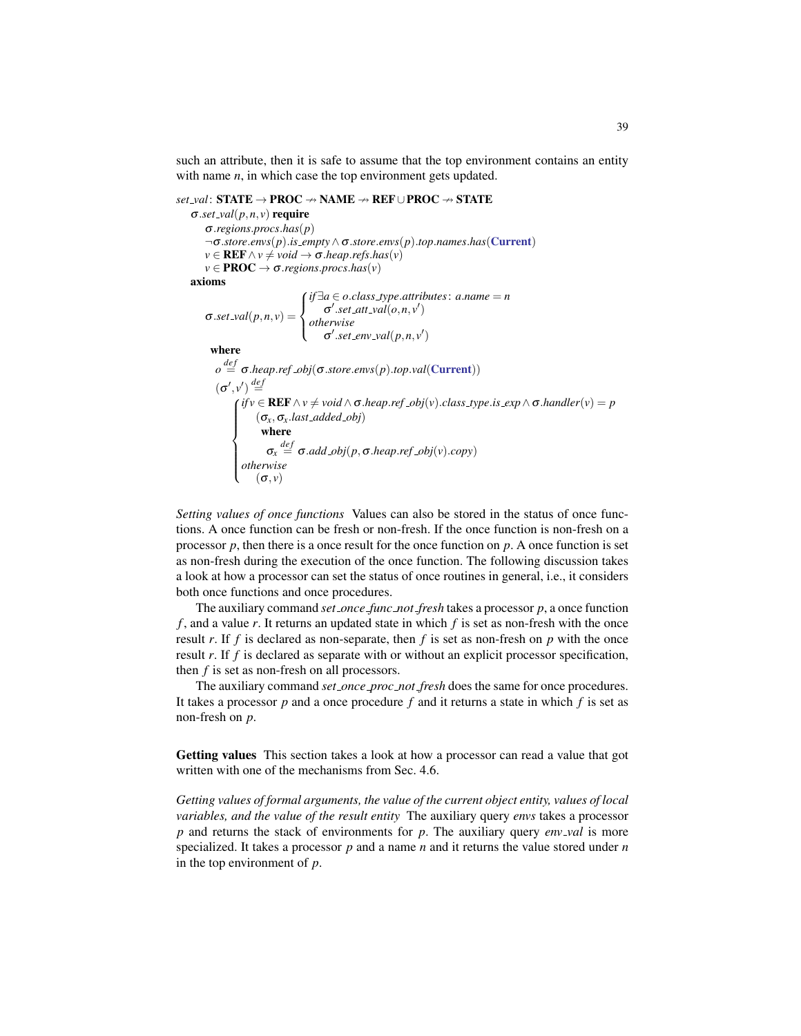such an attribute, then it is safe to assume that the top environment contains an entity with name *n*, in which case the top environment gets updated.

 $set\_val$ : **STATE**  $\rightarrow$  **PROC**  $\rightarrow$  **NAME**  $\rightarrow$  **REF∪PROC**  $\rightarrow$  **STATE**  $\sigma$ *.set\_val*( $p, n, v$ ) require σ.*regions*.*procs*.*has*(*p*) ¬σ.*store*.*envs*(*p*).*is empty*∧σ.*store*.*envs*(*p*).*top*.*names*.*has*(Current)  $v \in \text{REF} \land v \neq void \rightarrow \sigma \text{.} \text{heap.} \text{refs.} \text{has}(v)$  $v \in \textbf{PROC} \rightarrow \sigma$ .*regions.procs.has* $(v)$ axioms  $\sigma$ *.set\_val*( $p, n, v$ ) =  $\sqrt{ }$  $\int$  $\mathcal{L}$ *if* ∃*a* ∈ *o*.*class type*.*attributes*: *a*.*name* = *n*  $\sigma'$ .set\_att\_val( $o, n, v'$ ) *otherwise*  $\sigma'$ .set\_env\_val(p,n,v') where *o de f* = σ.*heap*.*ref obj*(σ.*store*.*envs*(*p*).*top*.*val*(Current))  $(\sigma', v') \stackrel{def}{=}$  $\mathbf{f}$  *if*  $v \in \mathbf{REF} \land v \neq \text{void} \land \sigma$ .heap.ref\_obj( $v$ ).class\_type.is\_exp  $\land \sigma$ .handler $(v) = p$  $\int$  $\overline{\mathcal{L}}$  $(\sigma_x, \sigma_x$ *.last\_added\_obj*) where  $\sigma_x \stackrel{def}{=} \sigma$ .add\_obj $(p, \sigma)$ .heap.ref\_obj $(v)$ .copy) *otherwise*  $(\sigma, v)$ 

*Setting values of once functions* Values can also be stored in the status of once functions. A once function can be fresh or non-fresh. If the once function is non-fresh on a processor *p*, then there is a once result for the once function on *p*. A once function is set as non-fresh during the execution of the once function. The following discussion takes a look at how a processor can set the status of once routines in general, i.e., it considers both once functions and once procedures.

The auxiliary command *set once func not fresh* takes a processor *p*, a once function *f* , and a value *r*. It returns an updated state in which *f* is set as non-fresh with the once result *r*. If *f* is declared as non-separate, then *f* is set as non-fresh on *p* with the once result *r*. If *f* is declared as separate with or without an explicit processor specification, then *f* is set as non-fresh on all processors.

The auxiliary command *set once proc not fresh* does the same for once procedures. It takes a processor  $p$  and a once procedure  $f$  and it returns a state in which  $f$  is set as non-fresh on *p*.

Getting values This section takes a look at how a processor can read a value that got written with one of the mechanisms from Sec. 4.6.

*Getting values of formal arguments, the value of the current object entity, values of local variables, and the value of the result entity* The auxiliary query *envs* takes a processor *p* and returns the stack of environments for *p*. The auxiliary query *env val* is more specialized. It takes a processor *p* and a name *n* and it returns the value stored under *n* in the top environment of *p*.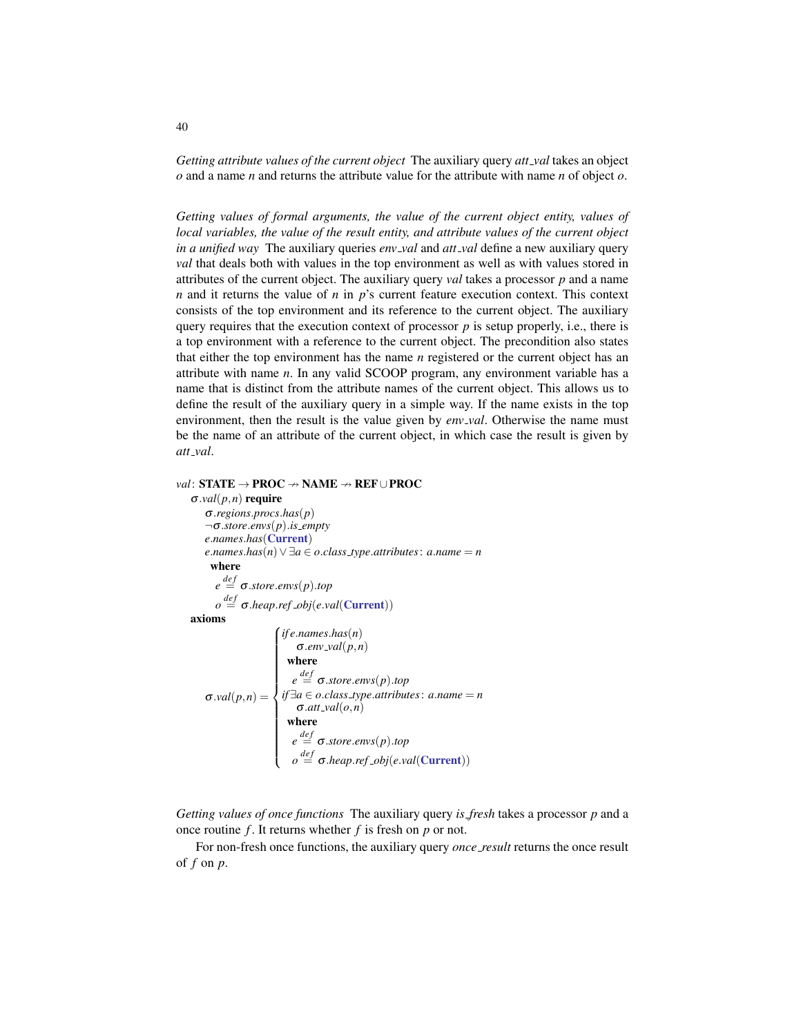*Getting attribute values of the current object* The auxiliary query *att val* takes an object *o* and a name *n* and returns the attribute value for the attribute with name *n* of object *o*.

*Getting values of formal arguments, the value of the current object entity, values of local variables, the value of the result entity, and attribute values of the current object in a unified way* The auxiliary queries *env val* and *att val* define a new auxiliary query *val* that deals both with values in the top environment as well as with values stored in attributes of the current object. The auxiliary query *val* takes a processor *p* and a name *n* and it returns the value of *n* in *p*'s current feature execution context. This context consists of the top environment and its reference to the current object. The auxiliary query requires that the execution context of processor  $p$  is setup properly, i.e., there is a top environment with a reference to the current object. The precondition also states that either the top environment has the name *n* registered or the current object has an attribute with name *n*. In any valid SCOOP program, any environment variable has a name that is distinct from the attribute names of the current object. This allows us to define the result of the auxiliary query in a simple way. If the name exists in the top environment, then the result is the value given by *env val*. Otherwise the name must be the name of an attribute of the current object, in which case the result is given by *att val*.

*val*: STATE → PROC → NAME → REF∪PROC

```
σ.val(p,n) require
   σ.regions.procs.has(p)
    ¬σ.store.envs(p).is empty
   e.names.has(Current)
   e.names.has(n)∨ ∃a ∈ o.class type.attributes: a.name = n
     where
       e
de f
= σ.store.envs(p).top
       o
de f
= σ.heap.ref obj(e.val(Current))
axioms
    \sigma.val(p,n) =
                      \sqrt{ }\begin{array}{c} \hline \end{array}\begin{array}{c} \hline \end{array}if e.names.has(n)
                            \sigma.env_val(p,n)
                          where
                           e
de f
= σ.store.envs(p).top
                         if ∃a ∈ o.class type.attributes: a.name = n
                            \sigma.att_val(o,n)
                          where
                           e \stackrel{def}{=} \sigma.store.envs(p).top
```
*Getting values of once functions* The auxiliary query *is fresh* takes a processor *p* and a once routine *f* . It returns whether *f* is fresh on *p* or not.

*o de f* = σ.*heap*.*ref obj*(*e*.*val*(Current))

For non-fresh once functions, the auxiliary query *once result* returns the once result of *f* on *p*.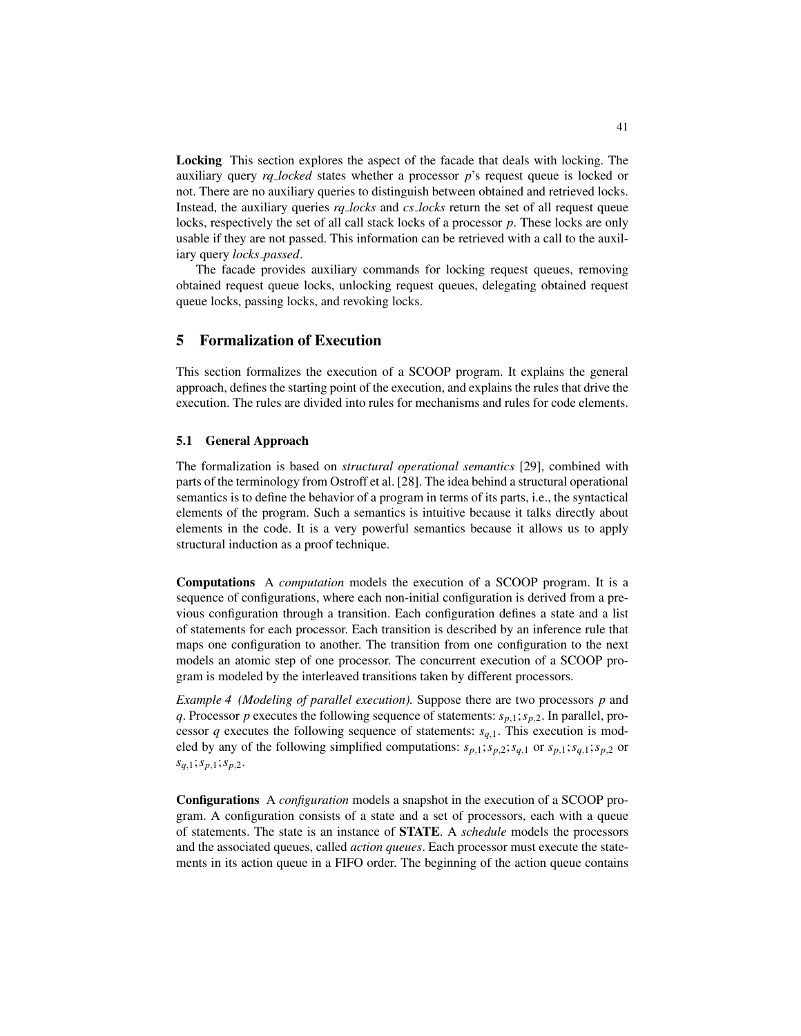Locking This section explores the aspect of the facade that deals with locking. The auxiliary query *rq locked* states whether a processor *p*'s request queue is locked or not. There are no auxiliary queries to distinguish between obtained and retrieved locks. Instead, the auxiliary queries *rq locks* and *cs locks* return the set of all request queue locks, respectively the set of all call stack locks of a processor *p*. These locks are only usable if they are not passed. This information can be retrieved with a call to the auxiliary query *locks passed*.

The facade provides auxiliary commands for locking request queues, removing obtained request queue locks, unlocking request queues, delegating obtained request queue locks, passing locks, and revoking locks.

# 5 Formalization of Execution

This section formalizes the execution of a SCOOP program. It explains the general approach, defines the starting point of the execution, and explains the rules that drive the execution. The rules are divided into rules for mechanisms and rules for code elements.

### 5.1 General Approach

The formalization is based on *structural operational semantics* [29], combined with parts of the terminology from Ostroff et al. [28]. The idea behind a structural operational semantics is to define the behavior of a program in terms of its parts, i.e., the syntactical elements of the program. Such a semantics is intuitive because it talks directly about elements in the code. It is a very powerful semantics because it allows us to apply structural induction as a proof technique.

Computations A *computation* models the execution of a SCOOP program. It is a sequence of configurations, where each non-initial configuration is derived from a previous configuration through a transition. Each configuration defines a state and a list of statements for each processor. Each transition is described by an inference rule that maps one configuration to another. The transition from one configuration to the next models an atomic step of one processor. The concurrent execution of a SCOOP program is modeled by the interleaved transitions taken by different processors.

*Example 4 (Modeling of parallel execution).* Suppose there are two processors *p* and *q*. Processor *p* executes the following sequence of statements: *sp*,1;*sp*,2. In parallel, processor *q* executes the following sequence of statements:  $s_{q,1}$ . This execution is modeled by any of the following simplified computations:  $s_{p,1}$ ;  $s_{p,2}$ ;  $s_{q,1}$  or  $s_{p,1}$ ;  $s_{q,1}$ ;  $s_{p,2}$  or *sq*,1;*sp*,1;*sp*,2.

Configurations A *configuration* models a snapshot in the execution of a SCOOP program. A configuration consists of a state and a set of processors, each with a queue of statements. The state is an instance of STATE. A *schedule* models the processors and the associated queues, called *action queues*. Each processor must execute the statements in its action queue in a FIFO order. The beginning of the action queue contains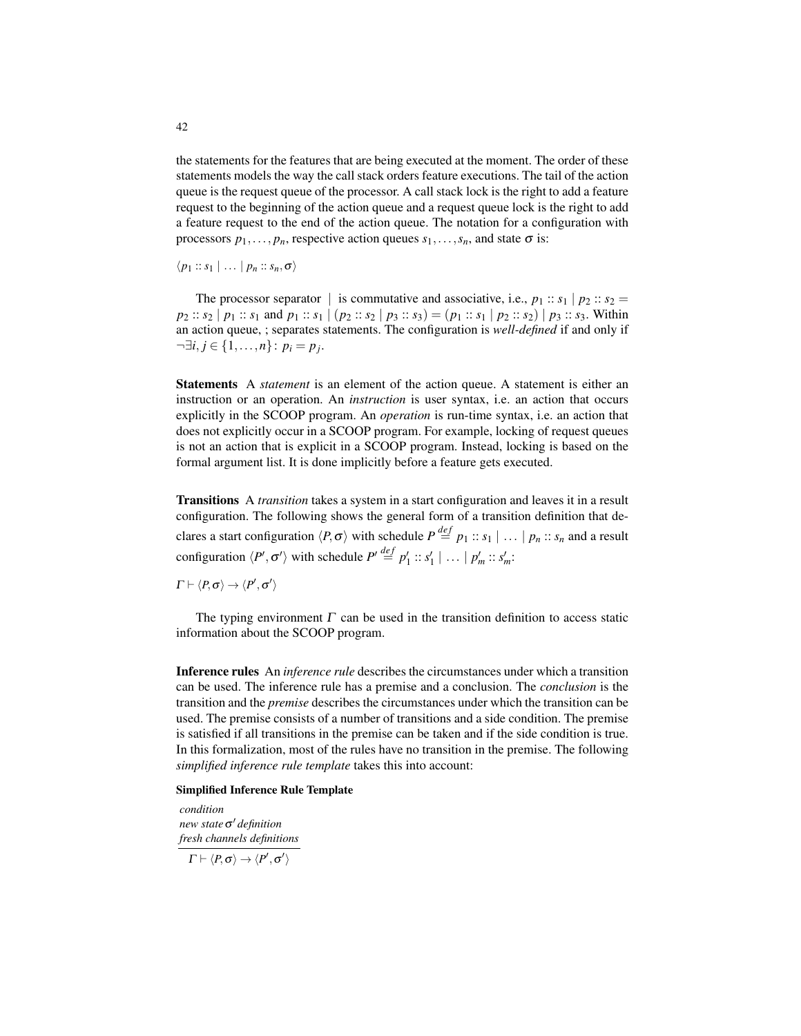the statements for the features that are being executed at the moment. The order of these statements models the way the call stack orders feature executions. The tail of the action queue is the request queue of the processor. A call stack lock is the right to add a feature request to the beginning of the action queue and a request queue lock is the right to add a feature request to the end of the action queue. The notation for a configuration with processors  $p_1, \ldots, p_n$ , respective action queues  $s_1, \ldots, s_n$ , and state  $\sigma$  is:

 $\langle p_1 :: s_1 \mid \ldots \mid p_n :: s_n, \sigma \rangle$ 

The processor separator | is commutative and associative, i.e.,  $p_1 :: s_1 | p_2 :: s_2 =$  $p_2 :: s_2 | p_1 :: s_1 \text{ and } p_1 :: s_1 | (p_2 :: s_2 | p_3 :: s_3) = (p_1 :: s_1 | p_2 :: s_2) | p_3 :: s_3. \text{ Within }$ an action queue, ; separates statements. The configuration is *well-defined* if and only if  $\neg \exists i, j \in \{1, \ldots, n\} : p_i = p_j.$ 

Statements A *statement* is an element of the action queue. A statement is either an instruction or an operation. An *instruction* is user syntax, i.e. an action that occurs explicitly in the SCOOP program. An *operation* is run-time syntax, i.e. an action that does not explicitly occur in a SCOOP program. For example, locking of request queues is not an action that is explicit in a SCOOP program. Instead, locking is based on the formal argument list. It is done implicitly before a feature gets executed.

Transitions A *transition* takes a system in a start configuration and leaves it in a result configuration. The following shows the general form of a transition definition that declares a start configuration  $\langle P, \sigma \rangle$  with schedule  $P \stackrel{def}{=} p_1 :: s_1 \mid ... \mid p_n :: s_n$  and a result configuration  $\langle P', \sigma' \rangle$  with schedule  $P' \stackrel{def}{=} p'_1 :: s'_1 \mid ... \mid p'_m :: s'_m$ .

 $\Gamma \vdash \langle P,\sigma\rangle \rightarrow \langle P',\sigma'\rangle$ 

The typing environment  $\Gamma$  can be used in the transition definition to access static information about the SCOOP program.

Inference rules An *inference rule* describes the circumstances under which a transition can be used. The inference rule has a premise and a conclusion. The *conclusion* is the transition and the *premise* describes the circumstances under which the transition can be used. The premise consists of a number of transitions and a side condition. The premise is satisfied if all transitions in the premise can be taken and if the side condition is true. In this formalization, most of the rules have no transition in the premise. The following *simplified inference rule template* takes this into account:

### Simplified Inference Rule Template

*condition new state*σ <sup>0</sup> *definition fresh channels definitions*  $\Gamma \vdash \langle P,\sigma\rangle \rightarrow \langle P',\sigma'\rangle$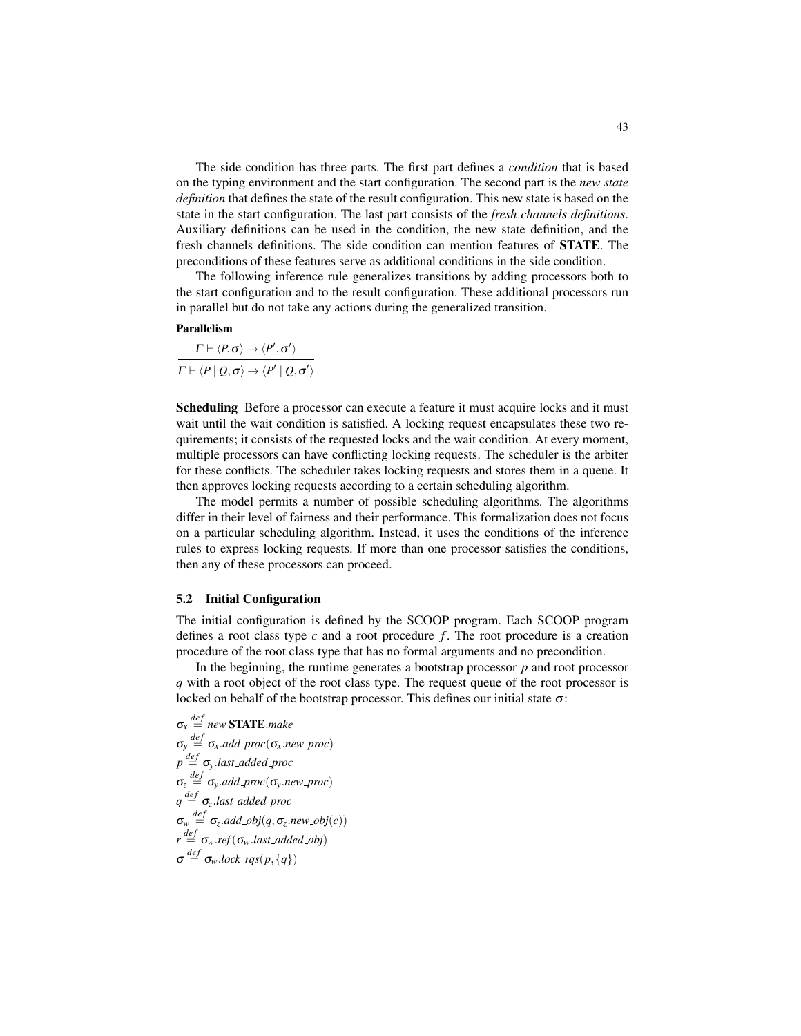The side condition has three parts. The first part defines a *condition* that is based on the typing environment and the start configuration. The second part is the *new state definition* that defines the state of the result configuration. This new state is based on the state in the start configuration. The last part consists of the *fresh channels definitions*. Auxiliary definitions can be used in the condition, the new state definition, and the fresh channels definitions. The side condition can mention features of STATE. The preconditions of these features serve as additional conditions in the side condition.

The following inference rule generalizes transitions by adding processors both to the start configuration and to the result configuration. These additional processors run in parallel but do not take any actions during the generalized transition.

### Parallelism

 $\Gamma \vdash \langle P,\sigma\rangle \rightarrow \langle P',\sigma'\rangle$  $\Gamma\vdash \langle P\,|\,Q,\sigma\rangle\rightarrow \langle P'\,|\,Q,\sigma'\rangle$ 

Scheduling Before a processor can execute a feature it must acquire locks and it must wait until the wait condition is satisfied. A locking request encapsulates these two requirements; it consists of the requested locks and the wait condition. At every moment, multiple processors can have conflicting locking requests. The scheduler is the arbiter for these conflicts. The scheduler takes locking requests and stores them in a queue. It then approves locking requests according to a certain scheduling algorithm.

The model permits a number of possible scheduling algorithms. The algorithms differ in their level of fairness and their performance. This formalization does not focus on a particular scheduling algorithm. Instead, it uses the conditions of the inference rules to express locking requests. If more than one processor satisfies the conditions, then any of these processors can proceed.

### 5.2 Initial Configuration

The initial configuration is defined by the SCOOP program. Each SCOOP program defines a root class type  $c$  and a root procedure  $f$ . The root procedure is a creation procedure of the root class type that has no formal arguments and no precondition.

In the beginning, the runtime generates a bootstrap processor  $p$  and root processor *q* with a root object of the root class type. The request queue of the root processor is locked on behalf of the bootstrap processor. This defines our initial state  $\sigma$ :

$$
\sigma_x \stackrel{def}{=} new \textbf{STATE}.\textit{make}
$$
\n
$$
\sigma_y \stackrel{def}{=} \sigma_x.\textit{add\_proc}(\sigma_x.\textit{new\_proc})
$$
\n
$$
p \stackrel{def}{=} \sigma_y.\textit{last}\textit{.added\_proc}
$$
\n
$$
\sigma_z \stackrel{def}{=} \sigma_y.\textit{last}\textit{.added\_proc}
$$
\n
$$
q \stackrel{def}{=} \sigma_z.\textit{last}\textit{.added\_proc}
$$
\n
$$
\sigma_w \stackrel{def}{=} \sigma_z.\textit{last}\textit{.added\_obj}(q, \sigma_z.\textit{new\_obj}(c))
$$
\n
$$
r \stackrel{def}{=} \sigma_w.\textit{ref}(\sigma_w.\textit{last}\textit{.added}\textit{.obj})
$$
\n
$$
\sigma \stackrel{def}{=} \sigma_w.\textit{lock\_rg}(p, \{q\})
$$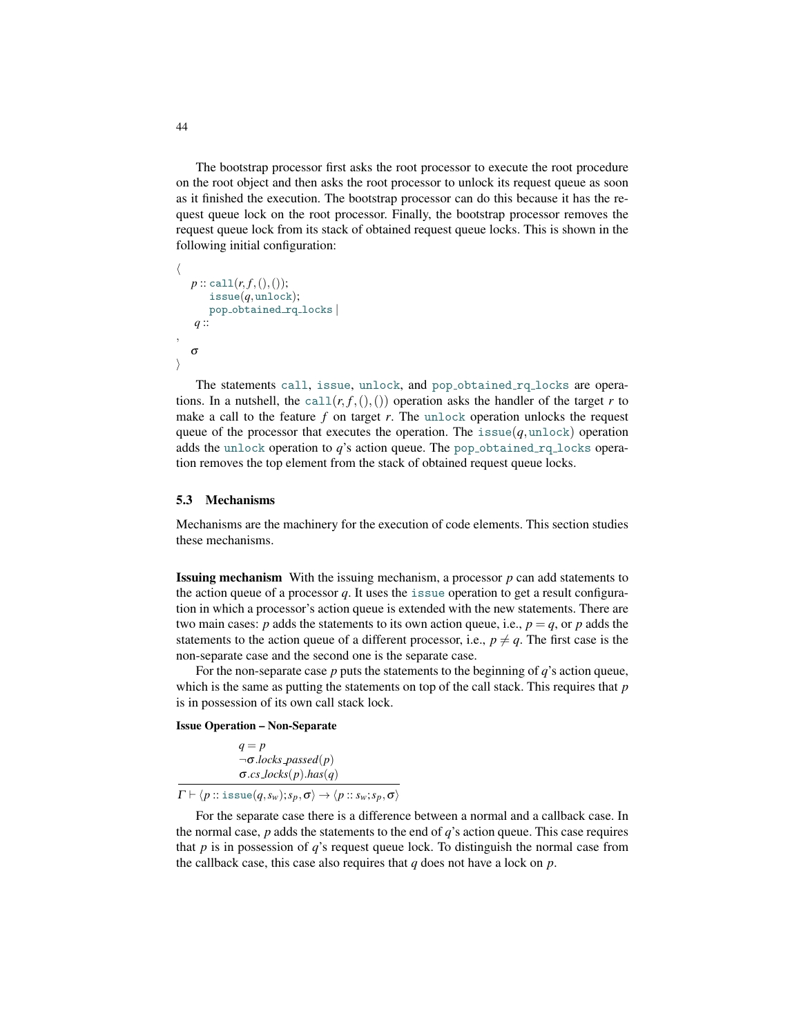The bootstrap processor first asks the root processor to execute the root procedure on the root object and then asks the root processor to unlock its request queue as soon as it finished the execution. The bootstrap processor can do this because it has the request queue lock on the root processor. Finally, the bootstrap processor removes the request queue lock from its stack of obtained request queue locks. This is shown in the following initial configuration:

```
p::\mathtt{call}(r, f,(),());issue(q,unlock);
    pop obtained rq locks |
q ::
σ
```
The statements call, issue, unlock, and pop obtained rq locks are operations. In a nutshell, the call $(r, f, (h), (h)$  operation asks the handler of the target *r* to make a call to the feature  $f$  on target  $r$ . The unlock operation unlocks the request queue of the processor that executes the operation. The  $i$ sue $(q,$ unlock) operation adds the unlock operation to *q*'s action queue. The pop obtained rq locks operation removes the top element from the stack of obtained request queue locks.

### 5.3 Mechanisms

Mechanisms are the machinery for the execution of code elements. This section studies these mechanisms.

Issuing mechanism With the issuing mechanism, a processor *p* can add statements to the action queue of a processor *q*. It uses the issue operation to get a result configuration in which a processor's action queue is extended with the new statements. There are two main cases: *p* adds the statements to its own action queue, i.e.,  $p = q$ , or *p* adds the statements to the action queue of a different processor, i.e.,  $p \neq q$ . The first case is the non-separate case and the second one is the separate case.

For the non-separate case *p* puts the statements to the beginning of *q*'s action queue, which is the same as putting the statements on top of the call stack. This requires that *p* is in possession of its own call stack lock.

## Issue Operation – Non-Separate

*q* = *p* ¬σ.*locks passed*(*p*) σ.*cs locks*(*p*).*has*(*q*)

 $\Gamma \vdash \langle p:: \text{issue}(q, s_w); s_p, \sigma \rangle \rightarrow \langle p:: s_w; s_p, \sigma \rangle$ 

For the separate case there is a difference between a normal and a callback case. In the normal case, *p* adds the statements to the end of *q*'s action queue. This case requires that *p* is in possession of *q*'s request queue lock. To distinguish the normal case from the callback case, this case also requires that *q* does not have a lock on *p*.

44

 $\langle$ 

,

i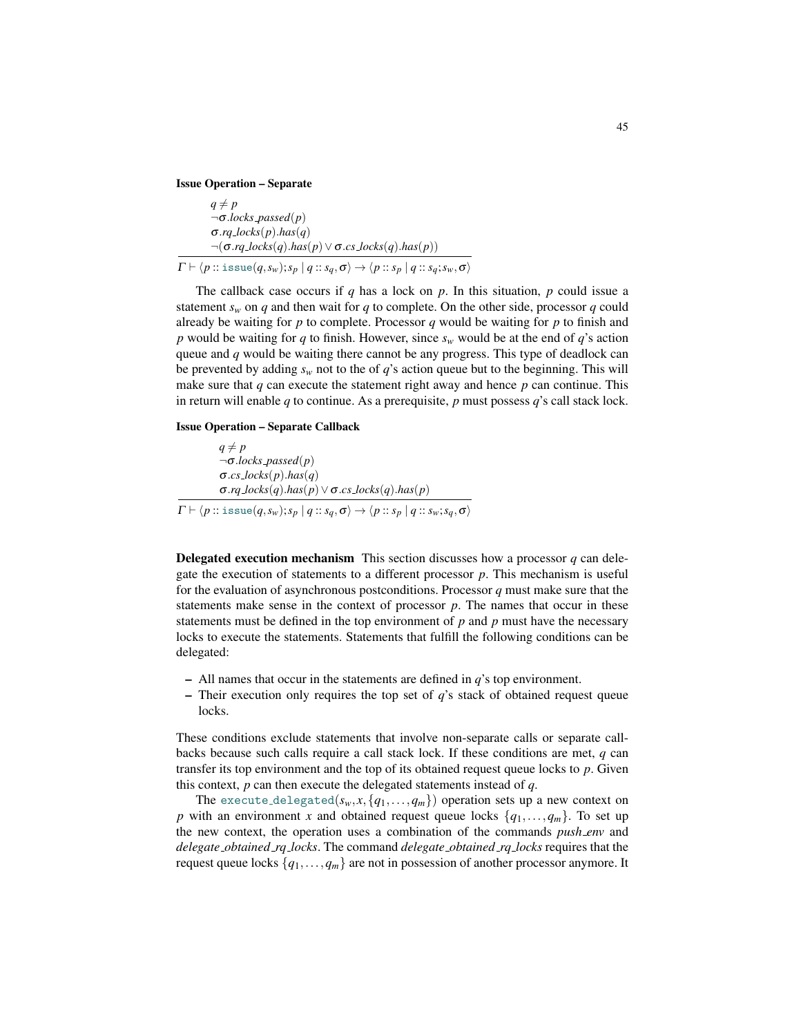Issue Operation – Separate

 $q \neq p$ ¬σ.*locks passed*(*p*) σ.*rq locks*(*p*).*has*(*q*) ¬(σ.*rq locks*(*q*).*has*(*p*)∨σ.*cs locks*(*q*).*has*(*p*))  $\Gamma \vdash \langle p:: \text{issue}(q,s_w); s_p \ | \ q:: s_q, \sigma \rangle \rightarrow \langle p:: s_p \ | \ q:: s_q; s_w, \sigma \rangle$ 

The callback case occurs if  $q$  has a lock on  $p$ . In this situation,  $p$  could issue a statement  $s_w$  on *q* and then wait for *q* to complete. On the other side, processor *q* could already be waiting for *p* to complete. Processor *q* would be waiting for *p* to finish and *p* would be waiting for *q* to finish. However, since *s<sup>w</sup>* would be at the end of *q*'s action queue and *q* would be waiting there cannot be any progress. This type of deadlock can be prevented by adding  $s_w$  not to the of *q*'s action queue but to the beginning. This will make sure that *q* can execute the statement right away and hence *p* can continue. This in return will enable *q* to continue. As a prerequisite, *p* must possess *q*'s call stack lock.

### Issue Operation – Separate Callback

 $q \neq p$ ¬σ.*locks passed*(*p*) σ.*cs locks*(*p*).*has*(*q*)  $\sigma$ *.rq*  $\lnot$ *ocks*(*q*).*has*(*p*)  $\lor$   $\sigma$ *.cs*  $\lnot$ *ocks*(*q*).*has*(*p*)  $\Gamma \vdash \langle p:: \text{issue}(q, s_w); s_p | q:: s_a, \sigma \rangle \rightarrow \langle p:: s_p | q:: s_w; s_a, \sigma \rangle$ 

Delegated execution mechanism This section discusses how a processor *q* can delegate the execution of statements to a different processor *p*. This mechanism is useful for the evaluation of asynchronous postconditions. Processor *q* must make sure that the statements make sense in the context of processor  $p$ . The names that occur in these statements must be defined in the top environment of *p* and *p* must have the necessary locks to execute the statements. Statements that fulfill the following conditions can be delegated:

- All names that occur in the statements are defined in *q*'s top environment.
- Their execution only requires the top set of *q*'s stack of obtained request queue locks.

These conditions exclude statements that involve non-separate calls or separate callbacks because such calls require a call stack lock. If these conditions are met, *q* can transfer its top environment and the top of its obtained request queue locks to *p*. Given this context, *p* can then execute the delegated statements instead of *q*.

The execute delegated( $s_w$ ,  $x$ ,  $\{q_1, \ldots, q_m\}$ ) operation sets up a new context on *p* with an environment *x* and obtained request queue locks  $\{q_1, \ldots, q_m\}$ . To set up the new context, the operation uses a combination of the commands *push env* and *delegate obtained rq locks*. The command *delegate obtained rq locks* requires that the request queue locks  $\{q_1, \ldots, q_m\}$  are not in possession of another processor anymore. It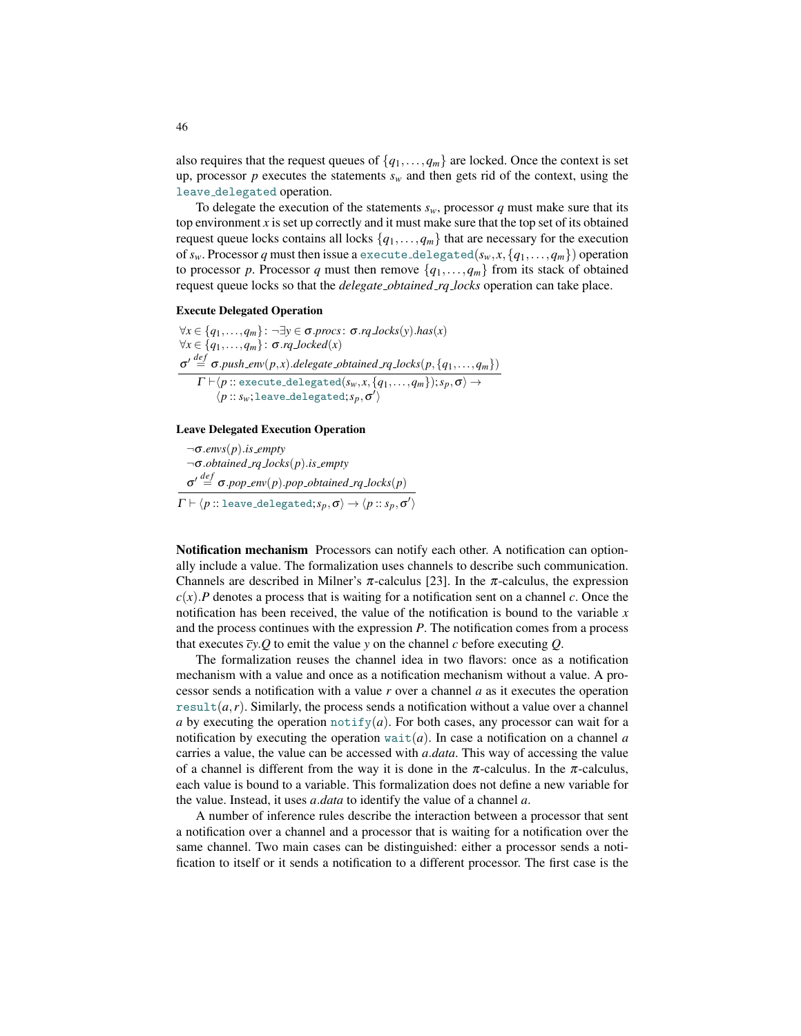also requires that the request queues of  $\{q_1, \ldots, q_m\}$  are locked. Once the context is set up, processor  $p$  executes the statements  $s_w$  and then gets rid of the context, using the leave delegated operation.

To delegate the execution of the statements  $s_w$ , processor  $q$  must make sure that its top environment *x* is set up correctly and it must make sure that the top set of its obtained request queue locks contains all locks  $\{q_1, \ldots, q_m\}$  that are necessary for the execution of  $s_w$ . Processor *q* must then issue a execute delegated( $s_w$ ,  $x$ , { $q_1$ ,..., $q_m$ }) operation to processor *p*. Processor *q* must then remove  $\{q_1, \ldots, q_m\}$  from its stack of obtained request queue locks so that the *delegate obtained rq locks* operation can take place.

### Execute Delegated Operation

∀*x* ∈ {*q*1,...,*qm*}: ¬∃*y* ∈ σ.*procs*: σ.*rq locks*(*y*).*has*(*x*) ∀*x* ∈ {*q*1,...,*qm*}: σ.*rq locked*(*x*)  $\sigma' \stackrel{def}{=} \sigma$ .push\_env(p,x).delegate\_obtained\_rq\_locks(p,{q<sub>1</sub>,...,q<sub>m</sub>})  $\Gamma\vdash\!\langle p\text{ :: execute\_deleted}(s_w,\allowbreak x,\allowbreak \{q_1,\ldots,q_m\});\allowbreak s_p,\allowbreak\sigma\rangle\rightarrow$  $\langle p::s_w;\texttt{leave\_deleted};s_p,\sigma'\rangle$ 

### Leave Delegated Execution Operation

¬σ.*envs*(*p*).*is empty* ¬σ.*obtained rq locks*(*p*).*is empty*  $σ' \stackrel{def}{=} σ. pop\_env(p).pop\_obtained\_rq\_locks(p)$  $\Gamma \vdash \langle p\text{ ::} \texttt{leave\_deleted}; s_p, \sigma\rangle \rightarrow \langle p\text{ :: }s_p, \sigma'\rangle$ 

Notification mechanism Processors can notify each other. A notification can optionally include a value. The formalization uses channels to describe such communication. Channels are described in Milner's  $\pi$ -calculus [23]. In the  $\pi$ -calculus, the expression  $c(x)$ . P denotes a process that is waiting for a notification sent on a channel c. Once the notification has been received, the value of the notification is bound to the variable *x* and the process continues with the expression *P*. The notification comes from a process that executes  $\overline{c}y$ . *Q* to emit the value *y* on the channel *c* before executing *Q*.

The formalization reuses the channel idea in two flavors: once as a notification mechanism with a value and once as a notification mechanism without a value. A processor sends a notification with a value *r* over a channel *a* as it executes the operation result $(a, r)$ . Similarly, the process sends a notification without a value over a channel *a* by executing the operation notify(*a*). For both cases, any processor can wait for a notification by executing the operation wait(*a*). In case a notification on a channel *a* carries a value, the value can be accessed with *a*.*data*. This way of accessing the value of a channel is different from the way it is done in the  $\pi$ -calculus. In the  $\pi$ -calculus, each value is bound to a variable. This formalization does not define a new variable for the value. Instead, it uses *a*.*data* to identify the value of a channel *a*.

A number of inference rules describe the interaction between a processor that sent a notification over a channel and a processor that is waiting for a notification over the same channel. Two main cases can be distinguished: either a processor sends a notification to itself or it sends a notification to a different processor. The first case is the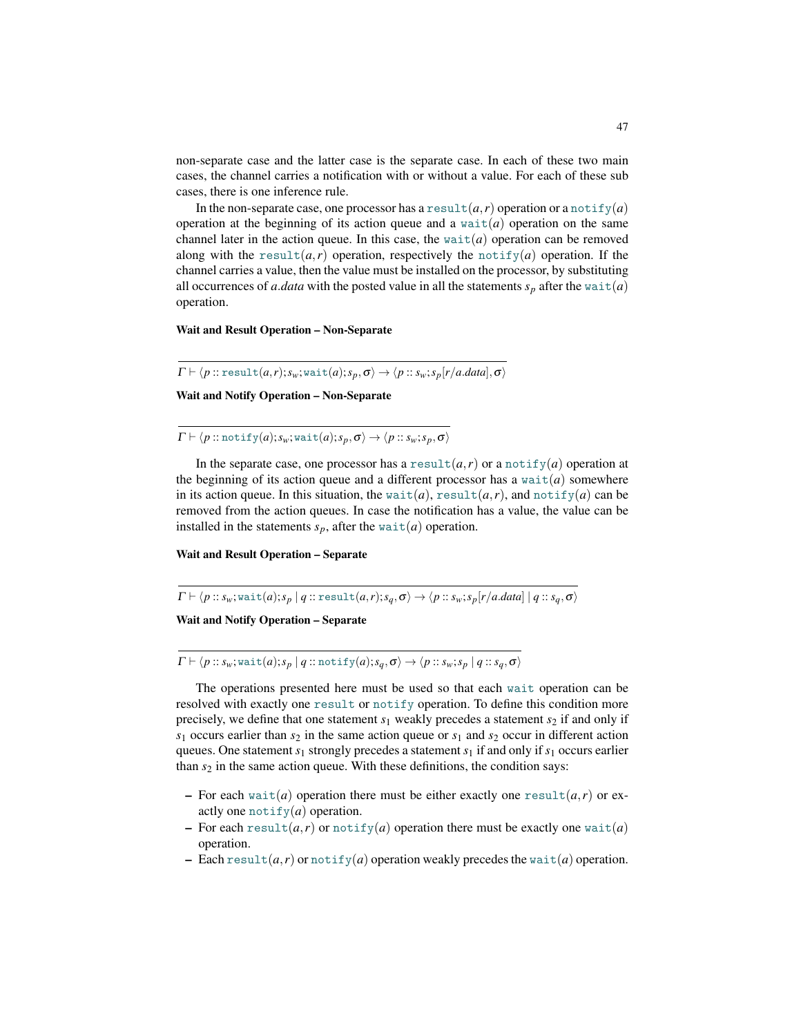non-separate case and the latter case is the separate case. In each of these two main cases, the channel carries a notification with or without a value. For each of these sub cases, there is one inference rule.

In the non-separate case, one processor has a result $(a, r)$  operation or a notify(*a*) operation at the beginning of its action queue and a wait $(a)$  operation on the same channel later in the action queue. In this case, the wait $(a)$  operation can be removed along with the result $(a, r)$  operation, respectively the notify(*a*) operation. If the channel carries a value, then the value must be installed on the processor, by substituting all occurrences of *a.data* with the posted value in all the statements  $s_p$  after the wait(*a*) operation.

Wait and Result Operation – Non-Separate

 $\Gamma \vdash \langle p:: \text{result}(a,r); s_w; \text{wait}(a); s_p, \sigma \rangle \rightarrow \langle p:: s_w; s_p[r/a.data], \sigma \rangle$ 

Wait and Notify Operation – Non-Separate

 $\Gamma \vdash \langle p::\text{notify}(a); s_w; \text{wait}(a); s_p, \sigma \rangle \rightarrow \langle p::s_w; s_p, \sigma \rangle$ 

In the separate case, one processor has a result $(a, r)$  or a notify(*a*) operation at the beginning of its action queue and a different processor has a  $wait(a)$  somewhere in its action queue. In this situation, the wait(*a*), result(*a*,*r*), and notify(*a*) can be removed from the action queues. In case the notification has a value, the value can be installed in the statements  $s_p$ , after the wait $(a)$  operation.

Wait and Result Operation – Separate

 $\Gamma \vdash \langle p :: s_w; \text{wait}(a); s_p | q :: \text{result}(a,r); s_a, \sigma \rangle \rightarrow \langle p :: s_w; s_p | r/a.data | q :: s_a, \sigma \rangle$ 

Wait and Notify Operation – Separate

 $\Gamma \vdash \langle p :: s_w; \text{wait}(a); s_p | q :: \text{notify}(a); s_q, \sigma \rangle \rightarrow \langle p :: s_w; s_p | q :: s_q, \sigma \rangle$ 

The operations presented here must be used so that each wait operation can be resolved with exactly one result or notify operation. To define this condition more precisely, we define that one statement  $s_1$  weakly precedes a statement  $s_2$  if and only if  $s_1$  occurs earlier than  $s_2$  in the same action queue or  $s_1$  and  $s_2$  occur in different action queues. One statement  $s_1$  strongly precedes a statement  $s_1$  if and only if  $s_1$  occurs earlier than  $s_2$  in the same action queue. With these definitions, the condition says:

- For each wait(*a*) operation there must be either exactly one result( $a$ ,*r*) or exactly one notify $(a)$  operation.
- For each result( $a$ , $r$ ) or notify( $a$ ) operation there must be exactly one wait( $a$ ) operation.
- $-$  Each result $(a, r)$  or notify(*a*) operation weakly precedes the wait(*a*) operation.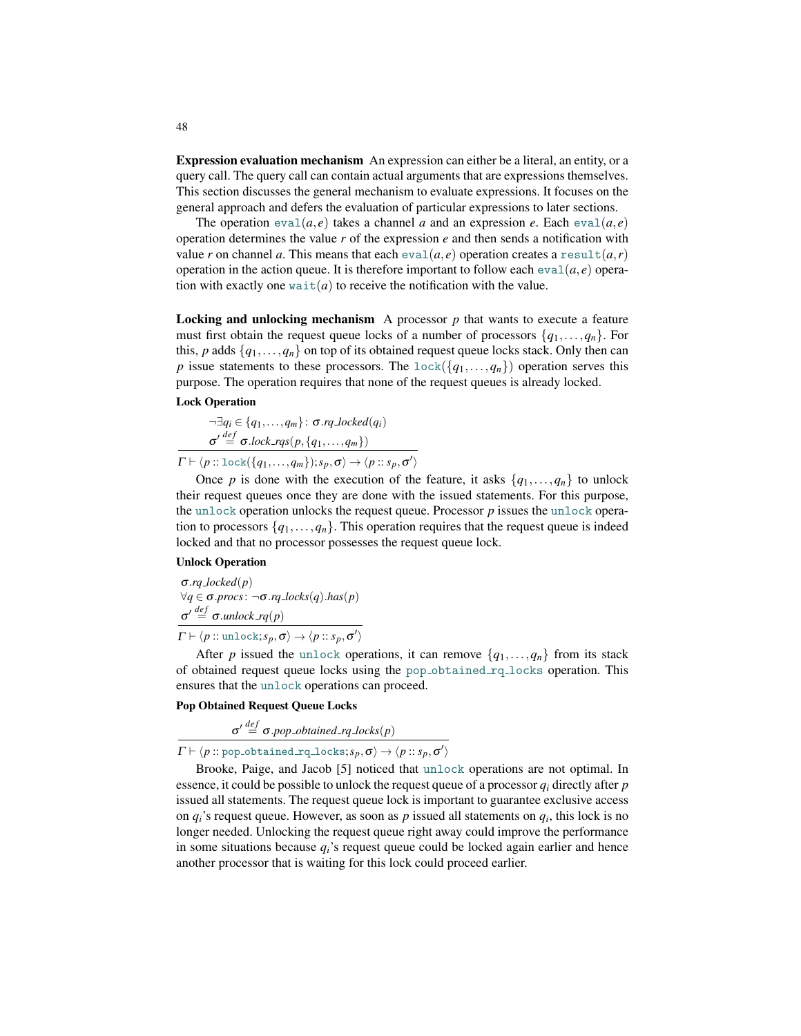Expression evaluation mechanism An expression can either be a literal, an entity, or a query call. The query call can contain actual arguments that are expressions themselves. This section discusses the general mechanism to evaluate expressions. It focuses on the general approach and defers the evaluation of particular expressions to later sections.

The operation  $eval(a, e)$  takes a channel *a* and an expression *e*. Each eval(*a*,*e*) operation determines the value *r* of the expression *e* and then sends a notification with value *r* on channel *a*. This means that each eval(*a*,*e*) operation creates a result(*a*,*r*) operation in the action queue. It is therefore important to follow each eval( $a, e$ ) operation with exactly one  $\text{wait}(a)$  to receive the notification with the value.

**Locking and unlocking mechanism** A processor  $p$  that wants to execute a feature must first obtain the request queue locks of a number of processors  $\{q_1, \ldots, q_n\}$ . For this, *p* adds  $\{q_1, \ldots, q_n\}$  on top of its obtained request queue locks stack. Only then can *p* issue statements to these processors. The  $l \circ c \cdot k(\{q_1, \ldots, q_n\})$  operation serves this purpose. The operation requires that none of the request queues is already locked.

## Lock Operation

 $\neg \exists q_i \in \{q_1, \ldots, q_m\}$ :  $\sigma.\mathit{rq\_locked}(q_i)$  $\sigma' \stackrel{def}{=} \sigma \cdot lock\_rqs(p, \{q_1, \ldots, q_m\})$ 

 $\Gamma \vdash \langle p::\texttt{lock}(\{q_1,\ldots,q_m\}); s_p, \sigma\rangle \rightarrow \langle p::s_p, \sigma'\rangle$ 

Once *p* is done with the execution of the feature, it asks  $\{q_1, \ldots, q_n\}$  to unlock their request queues once they are done with the issued statements. For this purpose, the unlock operation unlocks the request queue. Processor *p* issues the unlock operation to processors  $\{q_1, \ldots, q_n\}$ . This operation requires that the request queue is indeed locked and that no processor possesses the request queue lock.

# Unlock Operation

σ.*rq locked*(*p*) ∀*q* ∈ σ.*procs*: ¬σ.*rq locks*(*q*).*has*(*p*)  $\sigma' \stackrel{def}{=} \sigma$ *.unlock\_rq*(*p*)

 $\Gamma \vdash \langle p::\text{unlock}; s_p, \sigma \rangle \rightarrow \langle p:: s_p, \sigma' \rangle$ 

After *p* issued the unlock operations, it can remove  $\{q_1, \ldots, q_n\}$  from its stack of obtained request queue locks using the pop obtained rq locks operation. This ensures that the unlock operations can proceed.

## Pop Obtained Request Queue Locks

 $\sigma' \stackrel{def}{=} \sigma$ .pop\_obtained\_rq\_locks(p)

 $\Gamma \vdash \langle p::\texttt{pop\_obtained\_rq\_locks}; s_p, \sigma\rangle \rightarrow \langle p::s_p, \sigma'\rangle$ 

Brooke, Paige, and Jacob [5] noticed that unlock operations are not optimal. In essence, it could be possible to unlock the request queue of a processor *q<sup>i</sup>* directly after *p* issued all statements. The request queue lock is important to guarantee exclusive access on  $q_i$ 's request queue. However, as soon as  $p$  issued all statements on  $q_i$ , this lock is no longer needed. Unlocking the request queue right away could improve the performance in some situations because  $q_i$ 's request queue could be locked again earlier and hence another processor that is waiting for this lock could proceed earlier.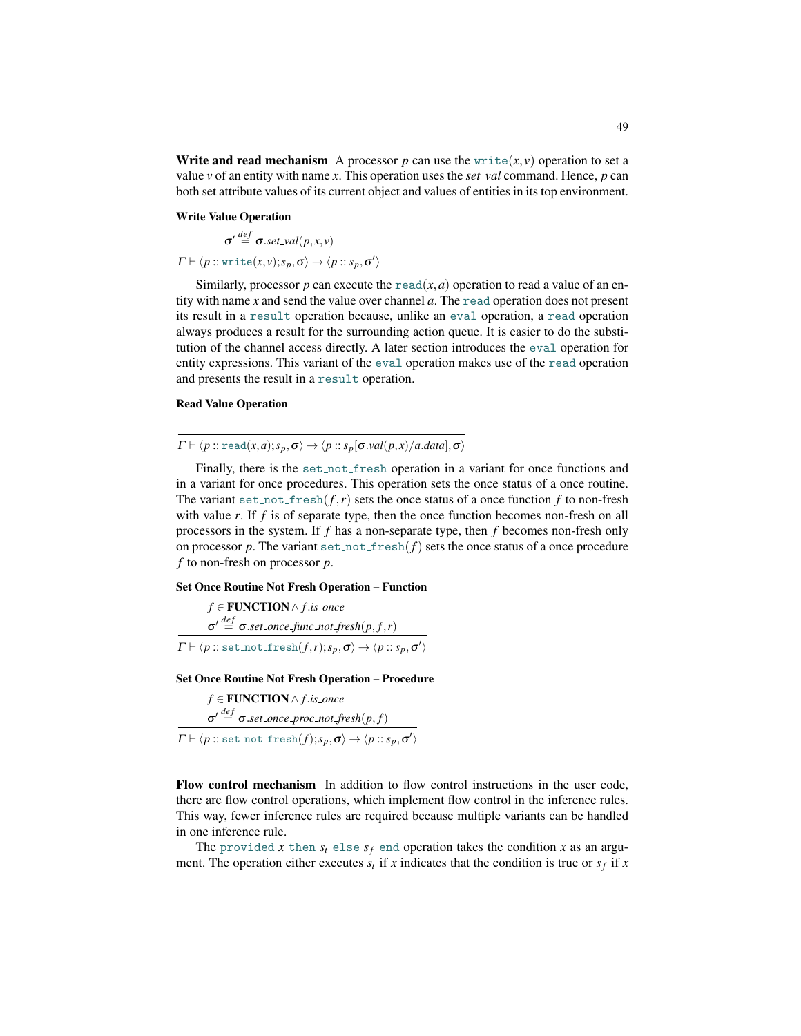Write and read mechanism A processor p can use the write $(x, y)$  operation to set a value *v* of an entity with name *x*. This operation uses the *set val* command. Hence, *p* can both set attribute values of its current object and values of entities in its top environment.

## Write Value Operation

 $\sigma' \stackrel{def}{=} \sigma \text{.} set\_val(p, x, v)$  $\Gamma \vdash \langle p :: \texttt{write}(x, v); s_p, \sigma \rangle \rightarrow \langle p :: s_p, \sigma' \rangle$ 

Similarly, processor *p* can execute the  $\text{read}(x, a)$  operation to read a value of an entity with name *x* and send the value over channel *a*. The read operation does not present its result in a result operation because, unlike an eval operation, a read operation always produces a result for the surrounding action queue. It is easier to do the substitution of the channel access directly. A later section introduces the eval operation for entity expressions. This variant of the eval operation makes use of the read operation and presents the result in a result operation.

### Read Value Operation

 $\Gamma \vdash \langle p:: \texttt{read}(x, a); s_p, \sigma \rangle \rightarrow \langle p:: s_p[\sigma.val(p, x) / a.data], \sigma \rangle$ 

Finally, there is the set not fresh operation in a variant for once functions and in a variant for once procedures. This operation sets the once status of a once routine. The variant set not fresh $(f, r)$  sets the once status of a once function f to non-fresh with value *r*. If *f* is of separate type, then the once function becomes non-fresh on all processors in the system. If *f* has a non-separate type, then *f* becomes non-fresh only on processor p. The variant set not fresh $(f)$  sets the once status of a once procedure *f* to non-fresh on processor *p*.

## Set Once Routine Not Fresh Operation – Function

*f* ∈ FUNCTION∧ *f*.*is once*  $\sigma' \stackrel{def}{=} \sigma$  *.set\_once\_func\_not\_fresh*( $p, f, r$ )  $\Gamma \vdash \langle p \text{ :: set\_not\_first}(f, r) ; s_p, \sigma \rangle \rightarrow \langle p \text{ :: } s_p, \sigma' \rangle$ 

Set Once Routine Not Fresh Operation – Procedure

*f* ∈ FUNCTION∧ *f*.*is once*  $\sigma' \stackrel{def}{=} \sigma$  *.set\_once\_proc\_not\_fresh*(*p*, *f*)  $\Gamma \vdash \langle p:: \texttt{set\_not\_fresh}(f); s_p, \sigma\rangle \rightarrow \langle p:: s_p, \sigma'\rangle$ 

Flow control mechanism In addition to flow control instructions in the user code, there are flow control operations, which implement flow control in the inference rules. This way, fewer inference rules are required because multiple variants can be handled in one inference rule.

The provided *x* then  $s_t$  else  $s_f$  end operation takes the condition *x* as an argument. The operation either executes  $s_t$  if *x* indicates that the condition is true or  $s_f$  if *x*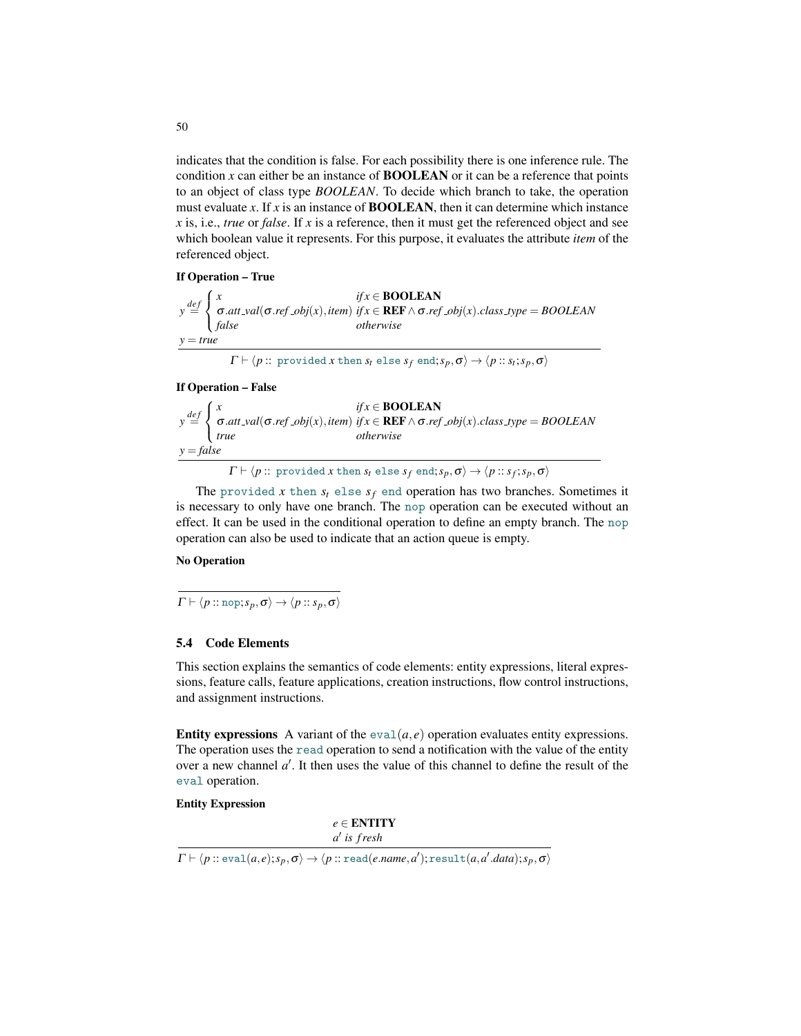indicates that the condition is false. For each possibility there is one inference rule. The condition *x* can either be an instance of **BOOLEAN** or it can be a reference that points to an object of class type *BOOLEAN*. To decide which branch to take, the operation must evaluate  $x$ . If  $x$  is an instance of **BOOLEAN**, then it can determine which instance *x* is, i.e., *true* or *false*. If *x* is a reference, then it must get the referenced object and see which boolean value it represents. For this purpose, it evaluates the attribute *item* of the referenced object.

### If Operation – True

$$
y \stackrel{def}{=} \begin{cases} x & \text{if } x \in \textbf{BOOLEAN} \\ \sigma \text{.att_val}(\sigma \text{.ref\_obj}(x), item) & \text{if } x \in \textbf{REF} \land \sigma \text{.ref\_obj}(x) \text{.class\_type} = BOOLEAN \\ \text{false} & \text{otherwise} \end{cases}
$$

 $\Gamma \vdash \langle p~::~\text{provided}~x~\text{then}~s_t~\text{else}~s_f~\text{end};s_p,\sigma \rangle \rightarrow \langle p::s_t;s_p,\sigma \rangle$ 

## If Operation – False

$$
y \stackrel{def}{=} \begin{cases} x & \text{if } x \in \textbf{BOOLEAN} \\ \sigma \text{.att-val}(\sigma \text{.ref\_obj}(x), \text{item}) & \text{if } x \in \textbf{REF} \land \sigma \text{.ref\_obj}(x) \text{.class\_type} = BOOLEAN \\ \text{true} & \text{otherwise} \end{cases}
$$

 $\Gamma \vdash \langle p::$  provided  $x$  then  $s_t$  else  $s_f$  end;  $s_p, \sigma \rangle \rightarrow \langle p::s_f; s_p, \sigma \rangle$ 

The provided  $x$  then  $s_t$  else  $s_f$  end operation has two branches. Sometimes it is necessary to only have one branch. The nop operation can be executed without an effect. It can be used in the conditional operation to define an empty branch. The nop operation can also be used to indicate that an action queue is empty.

# No Operation

 $\Gamma \vdash \langle p :: \text{nop}; s_p, \sigma \rangle \rightarrow \langle p :: s_p, \sigma \rangle$ 

## 5.4 Code Elements

This section explains the semantics of code elements: entity expressions, literal expressions, feature calls, feature applications, creation instructions, flow control instructions, and assignment instructions.

**Entity expressions** A variant of the  $eval(a, e)$  operation evaluates entity expressions. The operation uses the read operation to send a notification with the value of the entity over a new channel  $a'$ . It then uses the value of this channel to define the result of the eval operation.

Entity Expression

| $e \in$ ENTITY |
|----------------|
| $a'$ is fresh  |

 $\Gamma \vdash \langle p::{\texttt{eval}}(a,e);s_p,\sigma\rangle \rightarrow \langle p::{\texttt{read}}(e.\textit{name},a');{\texttt{result}}(a,a'.\textit{data});s_p,\sigma\rangle$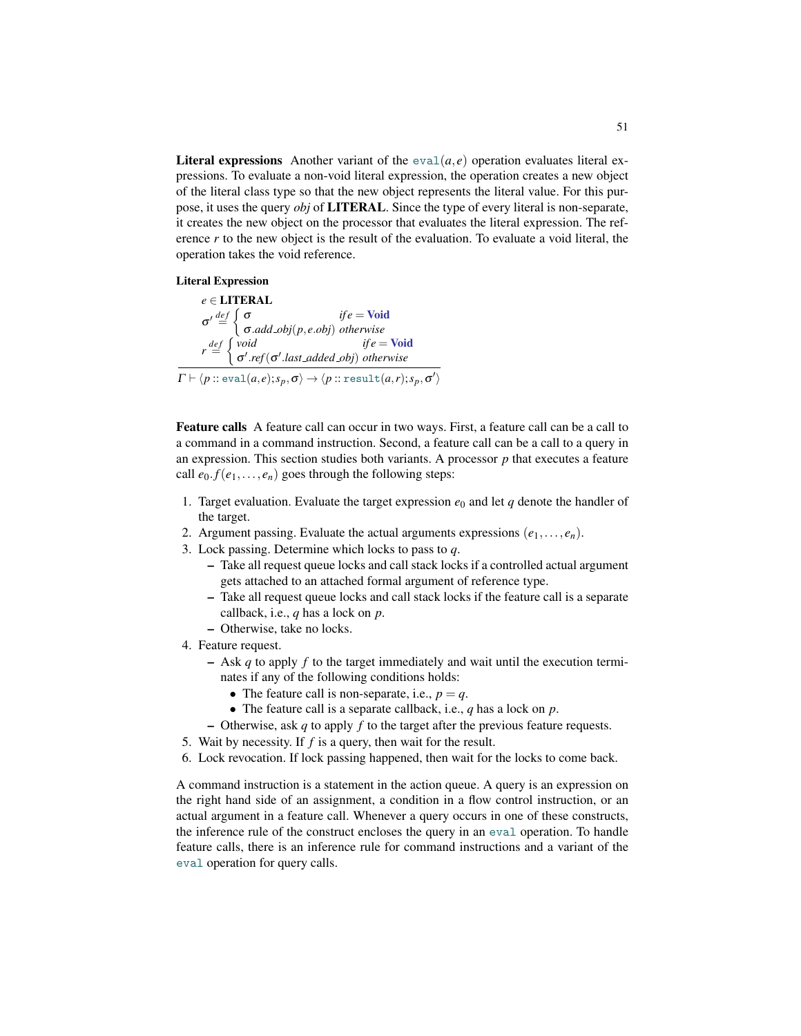**Literal expressions** Another variant of the eval( $a, e$ ) operation evaluates literal expressions. To evaluate a non-void literal expression, the operation creates a new object of the literal class type so that the new object represents the literal value. For this purpose, it uses the query *obj* of LITERAL. Since the type of every literal is non-separate, it creates the new object on the processor that evaluates the literal expression. The reference *r* to the new object is the result of the evaluation. To evaluate a void literal, the operation takes the void reference.

## Literal Expression

*e* ∈ LITERAL  $\sigma' \stackrel{def}{=} \begin{cases} \sigma & \text{if } e = \text{Void} \\ \sigma & \text{otherwise} \end{cases}$ σ.*add obj*(*p*, *e*.*obj*) *otherwise*  $r \stackrel{\text{def}}{=} \begin{cases}$  void<br>  $r \stackrel{\text{def}}{=} \begin{cases}$  void<br>  $r \stackrel{\text{def}}{=} \end{cases}$  *ref* ( $\pi$ ) let edded abi) otherwise. σ 0 .*ref*(σ 0 .*last added obj*) *otherwise*  $\Gamma \vdash \langle p::\texttt{eval}(a,e);s_p,\sigma\rangle \rightarrow \langle p::\texttt{result}(a,r);s_p,\sigma'\rangle$ 

Feature calls A feature call can occur in two ways. First, a feature call can be a call to a command in a command instruction. Second, a feature call can be a call to a query in an expression. This section studies both variants. A processor *p* that executes a feature call  $e_0$ ,  $f(e_1,..., e_n)$  goes through the following steps:

- 1. Target evaluation. Evaluate the target expression  $e_0$  and let  $q$  denote the handler of the target.
- 2. Argument passing. Evaluate the actual arguments expressions  $(e_1, \ldots, e_n)$ .
- 3. Lock passing. Determine which locks to pass to *q*.
	- Take all request queue locks and call stack locks if a controlled actual argument gets attached to an attached formal argument of reference type.
	- Take all request queue locks and call stack locks if the feature call is a separate callback, i.e., *q* has a lock on *p*.
	- Otherwise, take no locks.
- 4. Feature request.
	- Ask *q* to apply *f* to the target immediately and wait until the execution terminates if any of the following conditions holds:
		- The feature call is non-separate, i.e.,  $p = q$ .
		- The feature call is a separate callback, i.e., *q* has a lock on *p*.
	- Otherwise, ask *q* to apply *f* to the target after the previous feature requests.
- 5. Wait by necessity. If *f* is a query, then wait for the result.
- 6. Lock revocation. If lock passing happened, then wait for the locks to come back.

A command instruction is a statement in the action queue. A query is an expression on the right hand side of an assignment, a condition in a flow control instruction, or an actual argument in a feature call. Whenever a query occurs in one of these constructs, the inference rule of the construct encloses the query in an eval operation. To handle feature calls, there is an inference rule for command instructions and a variant of the eval operation for query calls.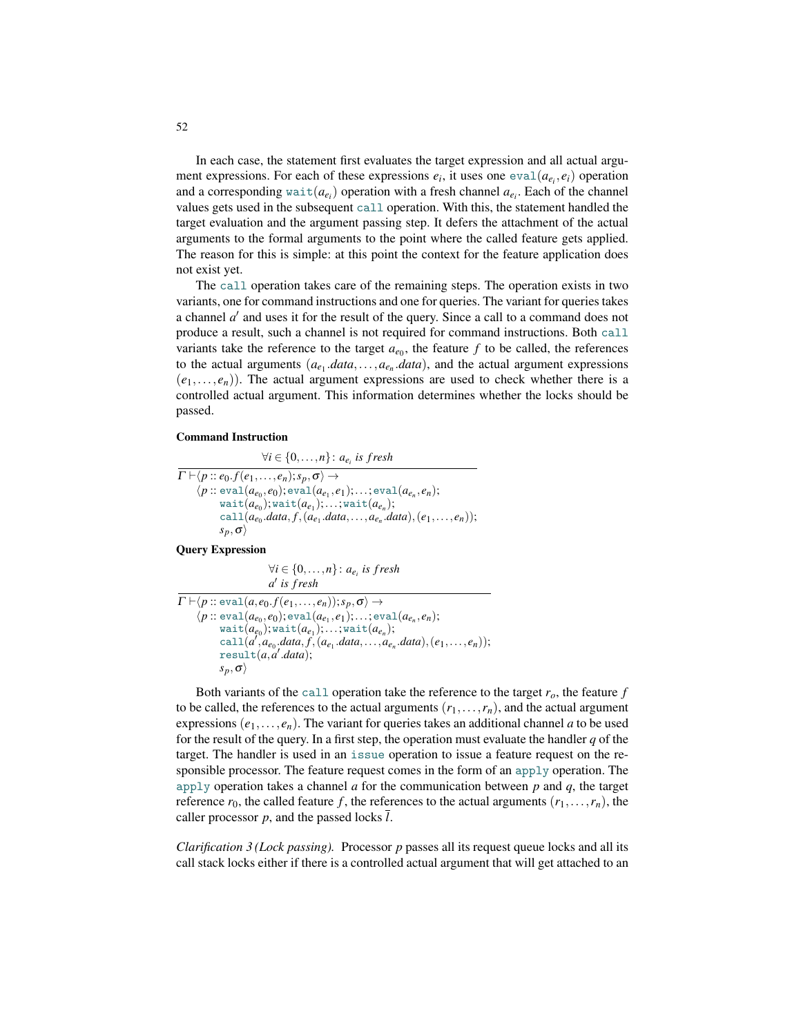In each case, the statement first evaluates the target expression and all actual argument expressions. For each of these expressions  $e_i$ , it uses one  $eval(a_{e_i}, e_i)$  operation and a corresponding  $\text{wait}(a_{e_i})$  operation with a fresh channel  $a_{e_i}$ . Each of the channel values gets used in the subsequent call operation. With this, the statement handled the target evaluation and the argument passing step. It defers the attachment of the actual arguments to the formal arguments to the point where the called feature gets applied. The reason for this is simple: at this point the context for the feature application does not exist yet.

The call operation takes care of the remaining steps. The operation exists in two variants, one for command instructions and one for queries. The variant for queries takes a channel  $a'$  and uses it for the result of the query. Since a call to a command does not produce a result, such a channel is not required for command instructions. Both call variants take the reference to the target  $a_{e_0}$ , the feature  $f$  to be called, the references to the actual arguments  $(a_{e_1}.data, ..., a_{e_n}.data)$ , and the actual argument expressions  $(e_1, \ldots, e_n)$ ). The actual argument expressions are used to check whether there is a controlled actual argument. This information determines whether the locks should be passed.

### Command Instruction

 $∀i ∈ {0, ..., n}$ : *a*<sub>*ei*</sub> *is f resh*  $\Gamma \vdash \langle p :: e_0.f(e_1,\ldots,e_n); s_p, \sigma \rangle \rightarrow$  $\langle p::{\tt eval}(a_{e_0},e_0);{\tt eval}(a_{e_1},e_1); \ldots;{\tt eval}(a_{e_n},e_n);$  $\text{wait}(a_{e_0});$ wait $(a_{e_1});\ldots;\text{wait}(a_{e_n});$  $\text{call}(a_{e_0}.data, f, (a_{e_1}.data, \ldots, a_{e_n}.data), (e_1, \ldots, e_n));$  $s_p, \sigma$ 

Query Expression

 $∀i ∈ {0, ..., n}$ : *a*<sub>*ei*</sub> *is fresh a* 0 *is f resh*

 $\Gamma \vdash \langle p :: \text{eval}(a, e_0.f(e_1,\ldots, e_n)); s_p, \sigma \rangle \rightarrow$  $\langle p::{\tt eval}(a_{e_0},e_0);{\tt eval}(a_{e_1},e_1); \ldots;{\tt eval}(a_{e_n},e_n);$  $\text{wait}(a_{e_0});$ wait $(a_{e_1});\ldots;\text{wait}(a_{e_n});$  $\text{call}(a', a_{e_0}.data, f, (a_{e_1}.data, \ldots, a_{e_n}.data), (e_1, \ldots, e_n));$ result(*a*,*a* 0 .*data*);  $s_p, \sigma$ 

Both variants of the call operation take the reference to the target  $r<sub>o</sub>$ , the feature  $f$ to be called, the references to the actual arguments  $(r_1, \ldots, r_n)$ , and the actual argument expressions  $(e_1, \ldots, e_n)$ . The variant for queries takes an additional channel *a* to be used for the result of the query. In a first step, the operation must evaluate the handler *q* of the target. The handler is used in an issue operation to issue a feature request on the responsible processor. The feature request comes in the form of an apply operation. The apply operation takes a channel *a* for the communication between *p* and *q*, the target reference  $r_0$ , the called feature  $f$ , the references to the actual arguments  $(r_1, \ldots, r_n)$ , the caller processor *p*, and the passed locks *l*.

*Clarification 3 (Lock passing).* Processor *p* passes all its request queue locks and all its call stack locks either if there is a controlled actual argument that will get attached to an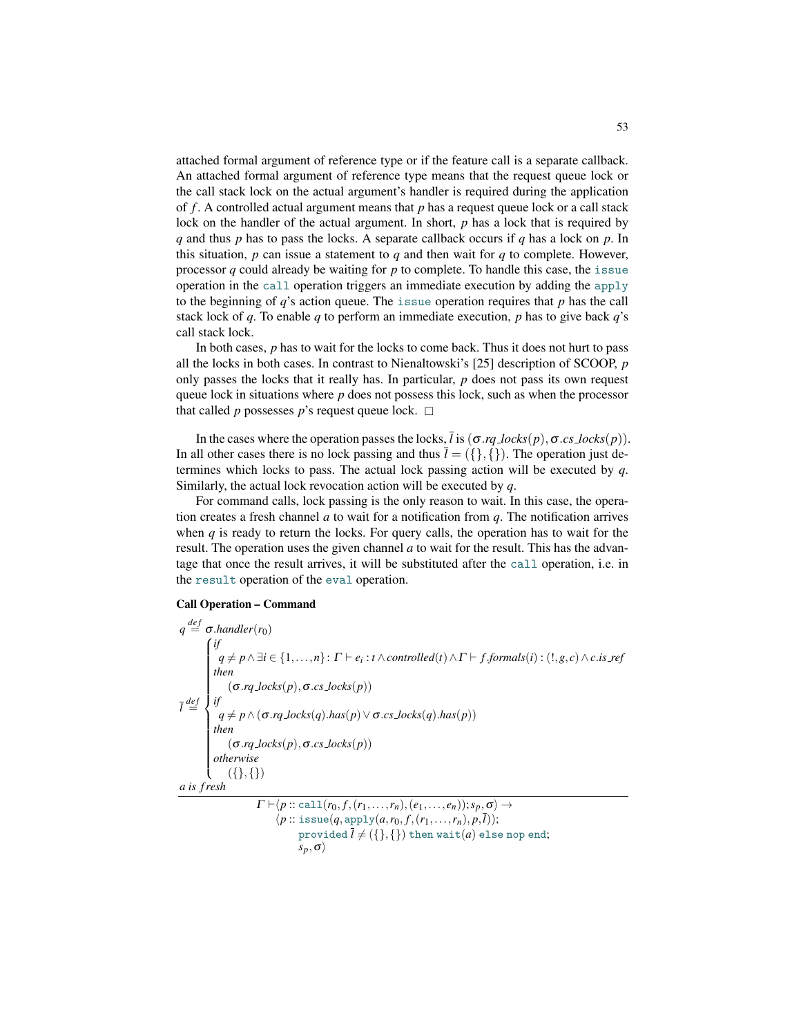attached formal argument of reference type or if the feature call is a separate callback. An attached formal argument of reference type means that the request queue lock or the call stack lock on the actual argument's handler is required during the application of *f* . A controlled actual argument means that *p* has a request queue lock or a call stack lock on the handler of the actual argument. In short, *p* has a lock that is required by *q* and thus *p* has to pass the locks. A separate callback occurs if *q* has a lock on *p*. In this situation, *p* can issue a statement to *q* and then wait for *q* to complete. However, processor *q* could already be waiting for *p* to complete. To handle this case, the issue operation in the call operation triggers an immediate execution by adding the apply to the beginning of *q*'s action queue. The issue operation requires that *p* has the call stack lock of *q*. To enable *q* to perform an immediate execution, *p* has to give back *q*'s call stack lock.

In both cases, *p* has to wait for the locks to come back. Thus it does not hurt to pass all the locks in both cases. In contrast to Nienaltowski's [25] description of SCOOP, *p* only passes the locks that it really has. In particular, *p* does not pass its own request queue lock in situations where *p* does not possess this lock, such as when the processor that called *p* possesses *p*'s request queue lock.  $\Box$ 

In the cases where the operation passes the locks,  $\bar{l}$  is ( $\sigma$ *.rq locks*( $p$ ), $\sigma$ *.cs locks*( $p$ )). In all other cases there is no lock passing and thus  $\bar{l} = (\{\}, \{\})$ . The operation just determines which locks to pass. The actual lock passing action will be executed by *q*. Similarly, the actual lock revocation action will be executed by *q*.

For command calls, lock passing is the only reason to wait. In this case, the operation creates a fresh channel *a* to wait for a notification from *q*. The notification arrives when  $q$  is ready to return the locks. For query calls, the operation has to wait for the result. The operation uses the given channel *a* to wait for the result. This has the advantage that once the result arrives, it will be substituted after the call operation, i.e. in the result operation of the eval operation.

## Call Operation – Command

 $q \stackrel{def}{=} \sigma$ .handler(*r*<sub>0</sub>)  $l \stackrel{def}{=}$  *if*  $\begin{array}{c} \hline \end{array}$  $\begin{array}{c} \hline \end{array}$  $q \neq p \land \exists i \in \{1, \ldots, n\}$ :  $\Gamma \vdash e_i : t \land \text{controlled}(t) \land \Gamma \vdash f \text{.}formals(i) : (1, g, c) \land c \text{.} is\_ref$ *then*  $(\sigma.\textit{rq\_locks}(p), \sigma.\textit{cs\_locks}(p))$ *if*  $q \neq p \land (\sigma.\textit{rq\_locks}(q).\textit{has}(p) \lor \sigma.\textit{cs\_locks}(q).\textit{has}(p))$ *then*  $(\sigma.\textit{rq\_locks}(p), \sigma.\textit{cs\_locks}(p))$ *otherwise*  $({},\{\})$ *a is f resh*

$$
\Gamma \vdash \langle p::\text{call}(r_0,f,(r_1,\ldots,r_n),(e_1,\ldots,e_n)); s_p, \sigma \rangle \rightarrow \langle p::\text{issue}(q,\text{apply}(a,r_0,f,(r_1,\ldots,r_n),p,\bar{l})); \\ \text{provided } \bar{l} \neq (\{\},\{\}) \text{ then } \text{wait}(a) \text{ else } \text{nop end}; \\ s_p, \sigma \rangle
$$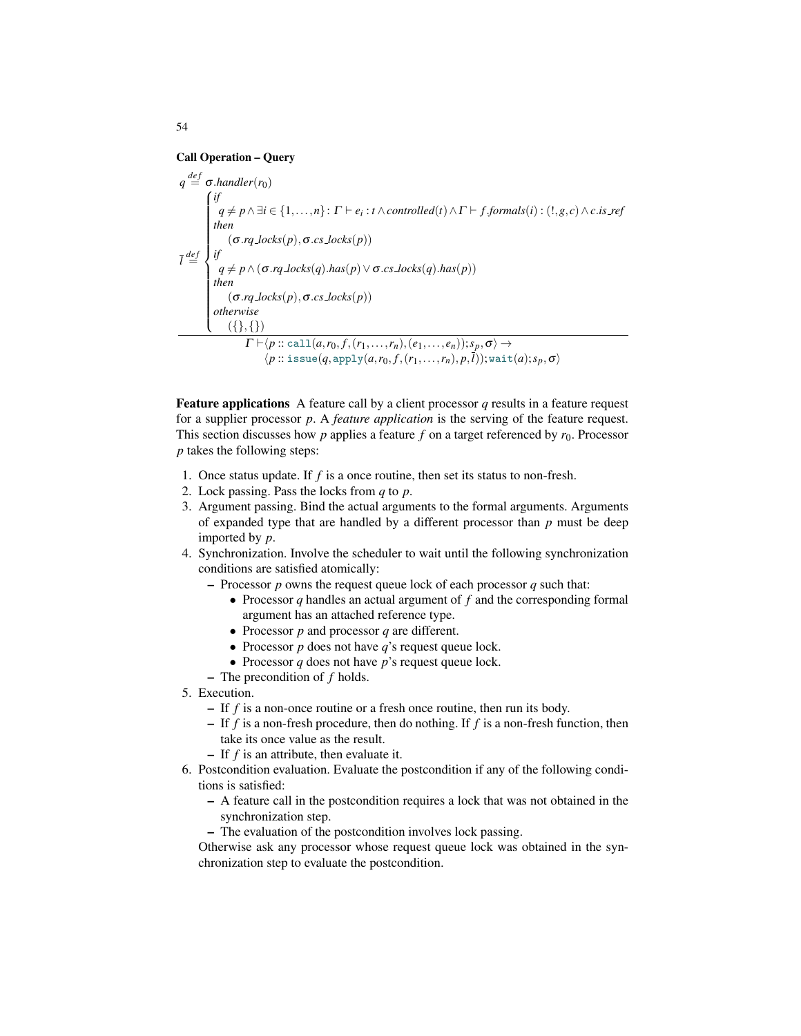## Call Operation – Query

 $q \stackrel{def}{=} \sigma$ .handler( $r_0$ )  $l \stackrel{def}{=}$  $\sqrt{ }$  $\begin{array}{c} \hline \end{array}$  $\begin{array}{c} \hline \end{array}$ *if*  $q \neq p \land \exists i \in \{1, \ldots, n\}$ :  $\Gamma \vdash e_i : t \land \text{controlled}(t) \land \Gamma \vdash f \text{.}formals(i) : (1, g, c) \land c \text{.} is \text{.}ref$ *then*  $(\sigma.\textit{rq\_locks}(p), \sigma.\textit{cs\_locks}(p))$ *if*  $q \neq p \land (\sigma.\textit{rq\_locks}(q).\textit{has}(p) \lor \sigma.\textit{cs\_locks}(q).\textit{has}(p))$ *then*  $(\sigma.\textit{rq\_locks}(p), \sigma.\textit{cs\_locks}(p))$ *otherwise*  $({},\{\})$  $\Gamma \vdash \langle p::\text{call}(a, r_0, f, (r_1, \ldots, r_n), (e_1, \ldots, e_n)); s_p, \sigma \rangle \rightarrow$ 

 $\langle p::\text{issue}(q,\text{apply}(a,r_0,f,(r_1,\ldots,r_n),p,\vec{l})\rangle;$ wait $(a);s_p,\sigma\rangle$ 

Feature applications A feature call by a client processor *q* results in a feature request for a supplier processor *p*. A *feature application* is the serving of the feature request. This section discusses how *p* applies a feature *f* on a target referenced by  $r_0$ . Processor *p* takes the following steps:

- 1. Once status update. If *f* is a once routine, then set its status to non-fresh.
- 2. Lock passing. Pass the locks from *q* to *p*.
- 3. Argument passing. Bind the actual arguments to the formal arguments. Arguments of expanded type that are handled by a different processor than *p* must be deep imported by *p*.
- 4. Synchronization. Involve the scheduler to wait until the following synchronization conditions are satisfied atomically:
	- $\overline{\phantom{a}}$  Processor *p* owns the request queue lock of each processor *q* such that:
		- Processor *q* handles an actual argument of *f* and the corresponding formal argument has an attached reference type.
		- Processor *p* and processor *q* are different.
		- Processor *p* does not have *q*'s request queue lock.
		- Processor *q* does not have *p*'s request queue lock.
	- The precondition of *f* holds.
- 5. Execution.
	- If *f* is a non-once routine or a fresh once routine, then run its body.
	- If *f* is a non-fresh procedure, then do nothing. If *f* is a non-fresh function, then take its once value as the result.
	- If *f* is an attribute, then evaluate it.
- 6. Postcondition evaluation. Evaluate the postcondition if any of the following conditions is satisfied:
	- A feature call in the postcondition requires a lock that was not obtained in the synchronization step.
	- The evaluation of the postcondition involves lock passing.

Otherwise ask any processor whose request queue lock was obtained in the synchronization step to evaluate the postcondition.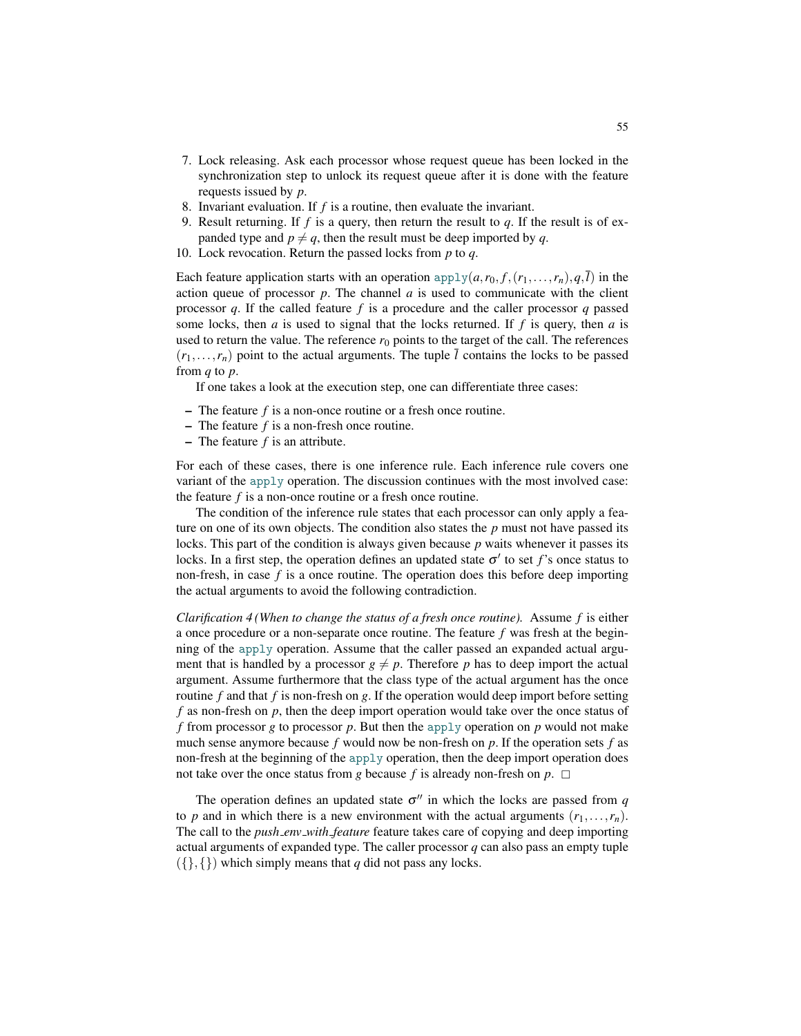- 7. Lock releasing. Ask each processor whose request queue has been locked in the synchronization step to unlock its request queue after it is done with the feature requests issued by *p*.
- 8. Invariant evaluation. If *f* is a routine, then evaluate the invariant.
- 9. Result returning. If *f* is a query, then return the result to *q*. If the result is of expanded type and  $p \neq q$ , then the result must be deep imported by q.
- 10. Lock revocation. Return the passed locks from *p* to *q*.

Each feature application starts with an operation  $\text{apply}(a, r_0, f, (r_1, \ldots, r_n), q, l)$  in the action queue of processor  $p$ . The channel  $a$  is used to communicate with the client processor *q*. If the called feature *f* is a procedure and the caller processor *q* passed some locks, then *a* is used to signal that the locks returned. If *f* is query, then *a* is used to return the value. The reference  $r_0$  points to the target of the call. The references  $(r_1, \ldots, r_n)$  point to the actual arguments. The tuple *l* contains the locks to be passed from *q* to *p*.

If one takes a look at the execution step, one can differentiate three cases:

- The feature *f* is a non-once routine or a fresh once routine.
- The feature *f* is a non-fresh once routine.
- The feature *f* is an attribute.

For each of these cases, there is one inference rule. Each inference rule covers one variant of the apply operation. The discussion continues with the most involved case: the feature *f* is a non-once routine or a fresh once routine.

The condition of the inference rule states that each processor can only apply a feature on one of its own objects. The condition also states the *p* must not have passed its locks. This part of the condition is always given because *p* waits whenever it passes its locks. In a first step, the operation defines an updated state  $\sigma'$  to set *f*'s once status to non-fresh, in case *f* is a once routine. The operation does this before deep importing the actual arguments to avoid the following contradiction.

*Clarification 4 (When to change the status of a fresh once routine).* Assume *f* is either a once procedure or a non-separate once routine. The feature *f* was fresh at the beginning of the apply operation. Assume that the caller passed an expanded actual argument that is handled by a processor  $g \neq p$ . Therefore p has to deep import the actual argument. Assume furthermore that the class type of the actual argument has the once routine  $f$  and that  $f$  is non-fresh on  $g$ . If the operation would deep import before setting *f* as non-fresh on *p*, then the deep import operation would take over the once status of *f* from processor *g* to processor *p*. But then the apply operation on *p* would not make much sense anymore because *f* would now be non-fresh on *p*. If the operation sets *f* as non-fresh at the beginning of the apply operation, then the deep import operation does not take over the once status from *g* because *f* is already non-fresh on *p*.  $\Box$ 

The operation defines an updated state  $\sigma''$  in which the locks are passed from  $q$ to *p* and in which there is a new environment with the actual arguments  $(r_1, \ldots, r_n)$ . The call to the *push env with feature* feature takes care of copying and deep importing actual arguments of expanded type. The caller processor *q* can also pass an empty tuple  $({},{{},{{}}$ ) which simply means that *q* did not pass any locks.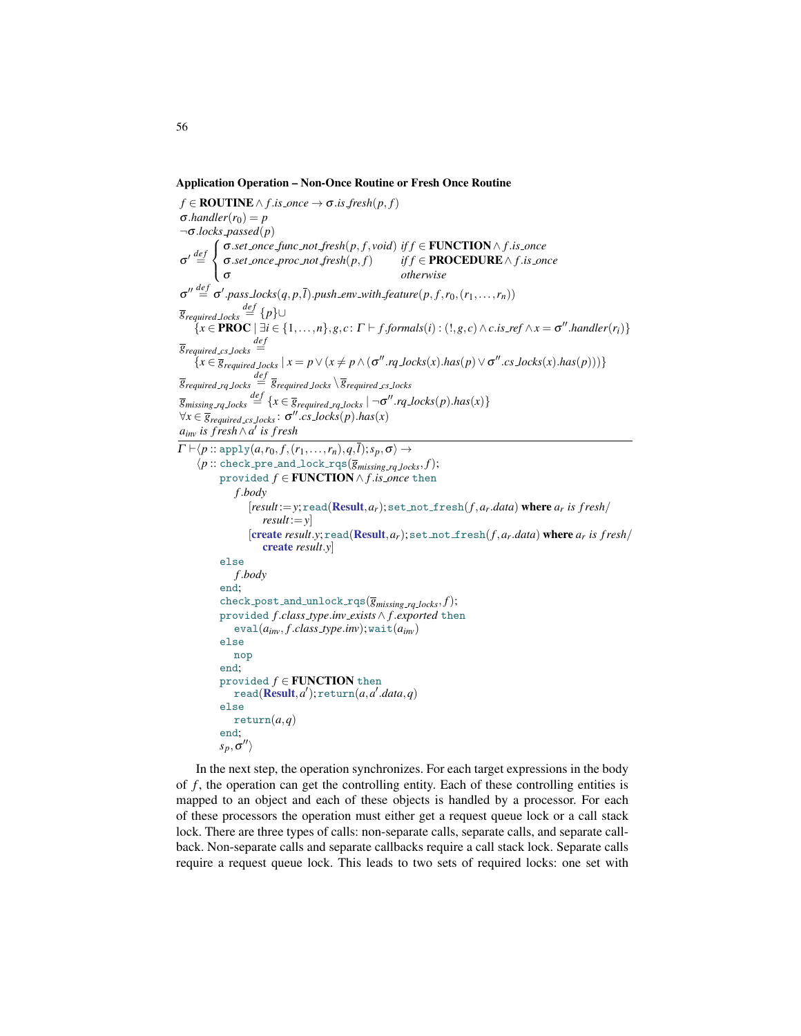#### Application Operation – Non-Once Routine or Fresh Once Routine

 $f \in \text{ROUTINE} \land f.is\_once \rightarrow \sigma.is\_fresh(p, f)$  $\sigma$ *.handler*( $r_0$ ) =  $p$ ¬σ.*locks passed*(*p*)  $\sigma' \stackrel{def}{=}$  $\sqrt{ }$  $\int \sigma$ *.set once func not fresh*(*p*, *f*, *void*) *if*  $f \in$  **FUNCTION** $\wedge$  *f*.*is once noce noce not fresh*(*n*, *f*) *if*  $f \in$  **PROCEDURE**  $\wedge$  *f is on*  $\sigma$  $\sigma$ *.set\_once\_proc\_not\_fresh* $(p, f)$  *if*  $f \in \mathbf{PROCEDURE} \wedge f$ *.is\_once* σ *otherwise*  $\sigma'' \stackrel{def}{=} \sigma'.pass\_locks(q, p, \bar{l}).push\_env\_with\_feature(p, f, r_0, (r_1, \ldots, r_n))$ *grequired locks de f* = {*p*}∪  $\{x \in \textbf{PROC} \mid \exists i \in \{1,\ldots,n\}, g, c: \Gamma \vdash f \text{.} \text{formals}(i): (1,g,c) \wedge c \text{.} \text{is} \text{.} \text{ref} \wedge x = \sigma'' \text{.} \text{handler}(r_i)\}$ *grequired cs locks de f* =  ${x \in \overline{g}}_{required\_locks} | x = p \vee (x \neq p \wedge (\sigma'', \text{rq\_locks}(x) \cdot \text{has}(p) \vee \sigma'', \text{cs\_locks}(x) \cdot \text{has}(p)))}$  $\overline{\mathcal{B}}$  *required\_rq\_locks*  $\stackrel{def}{=} \overline{\mathcal{B}}$  *required\_locks*  $\setminus \overline{\mathcal{B}}$  *required\_cs\_locks*  $\overline{g}_{missing\_rq\_locks} \stackrel{def}{=} \{x \in \overline{g}_{required\_rq\_locks} \mid \neg \sigma'', \neg q\_locks(p).has(x)\}$  $\forall x \in \overline{\mathcal{B}}_{required\_cs\_locks}$ :  $\sigma''.cs\_locks(p).has(x)$ *ainv is f resh*∧*a* 0 *is f resh*  $\Gamma \vdash \langle p :: \text{apply}(a, r_0, f, (r_1, \ldots, r_n), q, \overline{l}); s_p, \sigma \rangle \rightarrow$  $\phi$  :: check pre and lock rqs( $\overline{g}_{missing\_rq\_locks}, f$ ); provided *f* ∈ FUNCTION∧ *f*.*is once* then *f*.*body*  $[result:=y; read(Result, a_r); set not_fresh(f, a_r.data)$  where  $a_r$  *is fresh*  $result:=y$  $[create result.y, read(Result.a<sub>r</sub>); set not_fresh(f.a<sub>r</sub>.data) where a<sub>r</sub> is fresh/$ create *result*.*y*] else *f*.*body* end;  $\label{eq:ex} \text{check\_post\_and\_unlock\_rqs}(\overline{g}_{missing\_rq\_locks}, f);$ provided *f*.*class type*.*inv exists*∧ *f*.*exported* then  $eval(a_{inv}, f.class\_type.inv);$ wait $(a_{inv})$ else nop end; provided *f* ∈ FUNCTION then  $\texttt{read}(\textbf{Result},a');\texttt{return}(a,a'.\textit{data},q)$ else return(*a*,*q*) end;  $\langle s_p, \sigma'' \rangle$ 

In the next step, the operation synchronizes. For each target expressions in the body of *f* , the operation can get the controlling entity. Each of these controlling entities is mapped to an object and each of these objects is handled by a processor. For each of these processors the operation must either get a request queue lock or a call stack lock. There are three types of calls: non-separate calls, separate calls, and separate callback. Non-separate calls and separate callbacks require a call stack lock. Separate calls require a request queue lock. This leads to two sets of required locks: one set with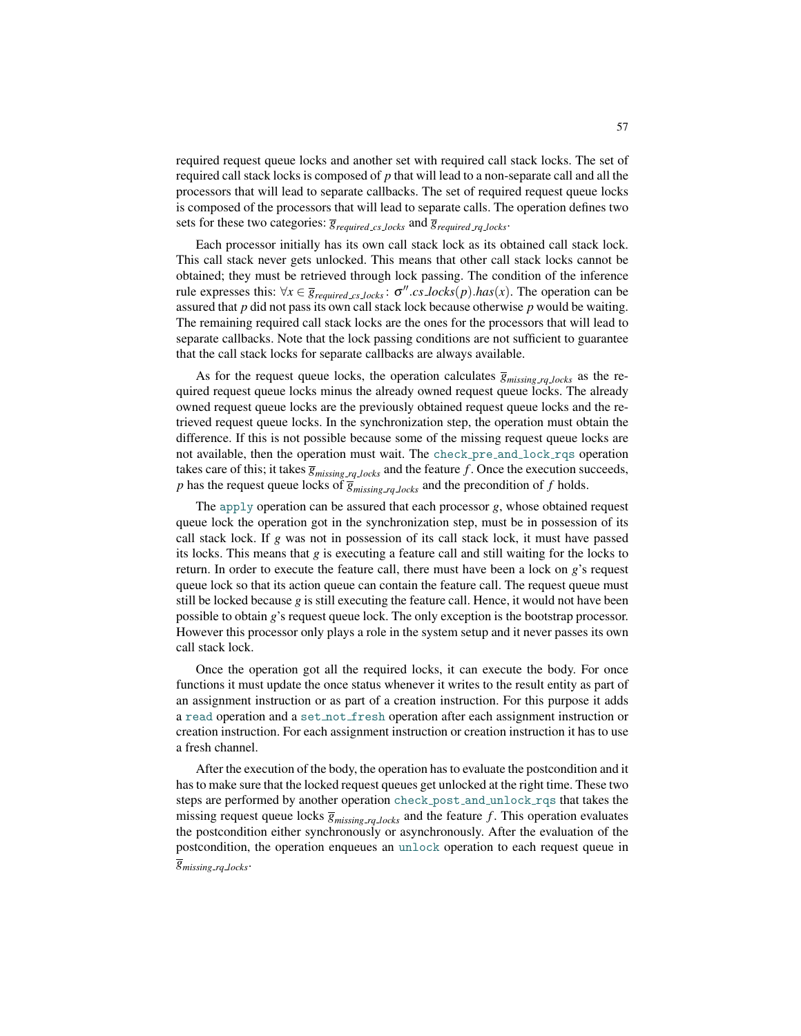required request queue locks and another set with required call stack locks. The set of required call stack locks is composed of *p* that will lead to a non-separate call and all the processors that will lead to separate callbacks. The set of required request queue locks is composed of the processors that will lead to separate calls. The operation defines two sets for these two categories: *grequired cs locks* and *grequired rq locks*.

Each processor initially has its own call stack lock as its obtained call stack lock. This call stack never gets unlocked. This means that other call stack locks cannot be obtained; they must be retrieved through lock passing. The condition of the inference rule expresses this:  $\forall x \in \overline{g}_{required\text{ }cos\text{ }loss}$ :  $\sigma''.cs\text{ }locks(p)\text{ }has(x)$ . The operation can be assured that *p* did not pass its own call stack lock because otherwise *p* would be waiting. The remaining required call stack locks are the ones for the processors that will lead to separate callbacks. Note that the lock passing conditions are not sufficient to guarantee that the call stack locks for separate callbacks are always available.

As for the request queue locks, the operation calculates  $\bar{g}_{missing\_rq\_locks}$  as the required request queue locks minus the already owned request queue locks. The already owned request queue locks are the previously obtained request queue locks and the retrieved request queue locks. In the synchronization step, the operation must obtain the difference. If this is not possible because some of the missing request queue locks are not available, then the operation must wait. The check pre and lock rqs operation takes care of this; it takes  $\overline{g}_{missing, rq\_locks}$  and the feature f. Once the execution succeeds, *p* has the request queue locks of  $\overline{g}_{missing\_rq\_locks}$  and the precondition of *f* holds.

The apply operation can be assured that each processor  $g$ , whose obtained request queue lock the operation got in the synchronization step, must be in possession of its call stack lock. If *g* was not in possession of its call stack lock, it must have passed its locks. This means that *g* is executing a feature call and still waiting for the locks to return. In order to execute the feature call, there must have been a lock on  $g$ 's request queue lock so that its action queue can contain the feature call. The request queue must still be locked because *g* is still executing the feature call. Hence, it would not have been possible to obtain *g*'s request queue lock. The only exception is the bootstrap processor. However this processor only plays a role in the system setup and it never passes its own call stack lock.

Once the operation got all the required locks, it can execute the body. For once functions it must update the once status whenever it writes to the result entity as part of an assignment instruction or as part of a creation instruction. For this purpose it adds a read operation and a set not fresh operation after each assignment instruction or creation instruction. For each assignment instruction or creation instruction it has to use a fresh channel.

After the execution of the body, the operation has to evaluate the postcondition and it has to make sure that the locked request queues get unlocked at the right time. These two steps are performed by another operation check post and unlock rqs that takes the missing request queue locks  $\overline{g}_{missing\_rq\_locks}$  and the feature *f*. This operation evaluates the postcondition either synchronously or asynchronously. After the evaluation of the postcondition, the operation enqueues an unlock operation to each request queue in *gmissing rq locks*.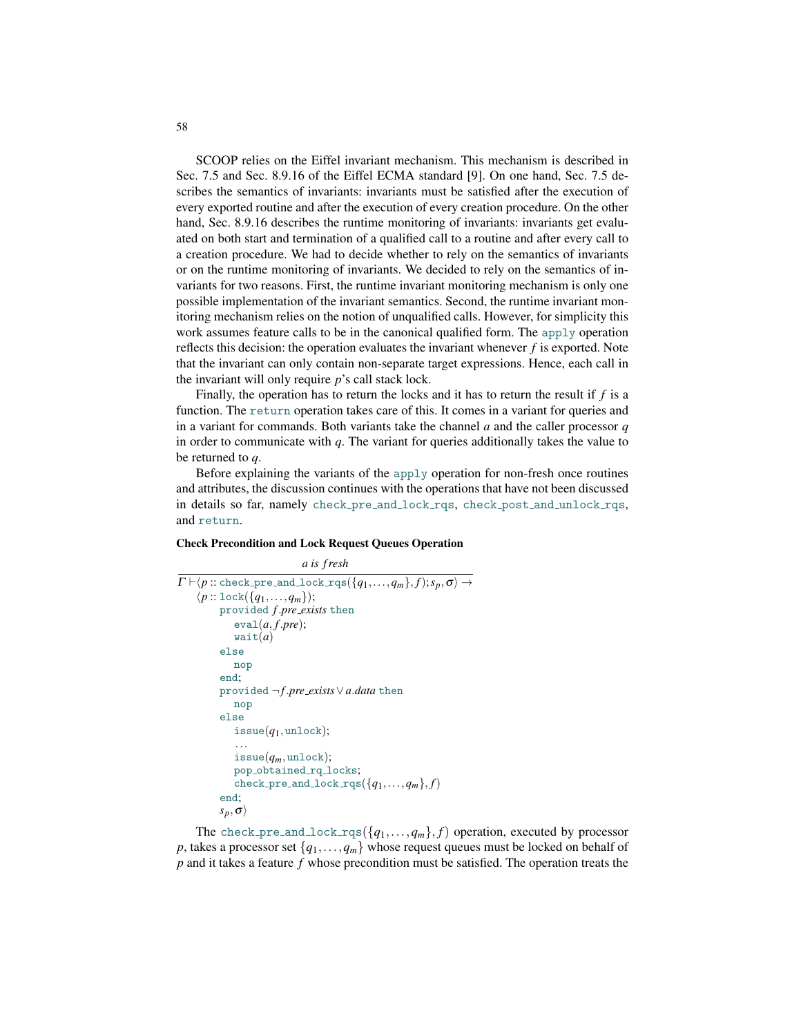SCOOP relies on the Eiffel invariant mechanism. This mechanism is described in Sec. 7.5 and Sec. 8.9.16 of the Eiffel ECMA standard [9]. On one hand, Sec. 7.5 describes the semantics of invariants: invariants must be satisfied after the execution of every exported routine and after the execution of every creation procedure. On the other hand, Sec. 8.9.16 describes the runtime monitoring of invariants: invariants get evaluated on both start and termination of a qualified call to a routine and after every call to a creation procedure. We had to decide whether to rely on the semantics of invariants or on the runtime monitoring of invariants. We decided to rely on the semantics of invariants for two reasons. First, the runtime invariant monitoring mechanism is only one possible implementation of the invariant semantics. Second, the runtime invariant monitoring mechanism relies on the notion of unqualified calls. However, for simplicity this work assumes feature calls to be in the canonical qualified form. The apply operation reflects this decision: the operation evaluates the invariant whenever *f* is exported. Note that the invariant can only contain non-separate target expressions. Hence, each call in the invariant will only require *p*'s call stack lock.

Finally, the operation has to return the locks and it has to return the result if *f* is a function. The return operation takes care of this. It comes in a variant for queries and in a variant for commands. Both variants take the channel *a* and the caller processor *q* in order to communicate with *q*. The variant for queries additionally takes the value to be returned to *q*.

Before explaining the variants of the apply operation for non-fresh once routines and attributes, the discussion continues with the operations that have not been discussed in details so far, namely check pre and lock rqs, check post and unlock rqs, and return.

### Check Precondition and Lock Request Queues Operation

```
a is f resh
\overline{\Gamma \vdash \langle p::\text{check\_pre\_and\_lock\_rgs}(\{q_1,\ldots,q_m\},f);s_p,\sigma\rangle} \rightarrow\langle p:: \text{lock}(\{q_1,\ldots,q_m\});\rangleprovided f.pre exists then
              eval(a, f.\textit{pre});wait(a)else
              nop
           end;
           provided ¬f.pre exists∨a.data then
              nop
           else
              issue(q_1,unlock);
               ...
              issue(q_m,unlock);
              pop_obtained_rq_locks;
              check_pre_and_lock_rqs({q_1},...,q_m), f)end;
           s_p, \sigma
```
The check pre and lock rqs $({q_1},...,q_m), f$  operation, executed by processor *p*, takes a processor set  $\{q_1, \ldots, q_m\}$  whose request queues must be locked on behalf of *p* and it takes a feature *f* whose precondition must be satisfied. The operation treats the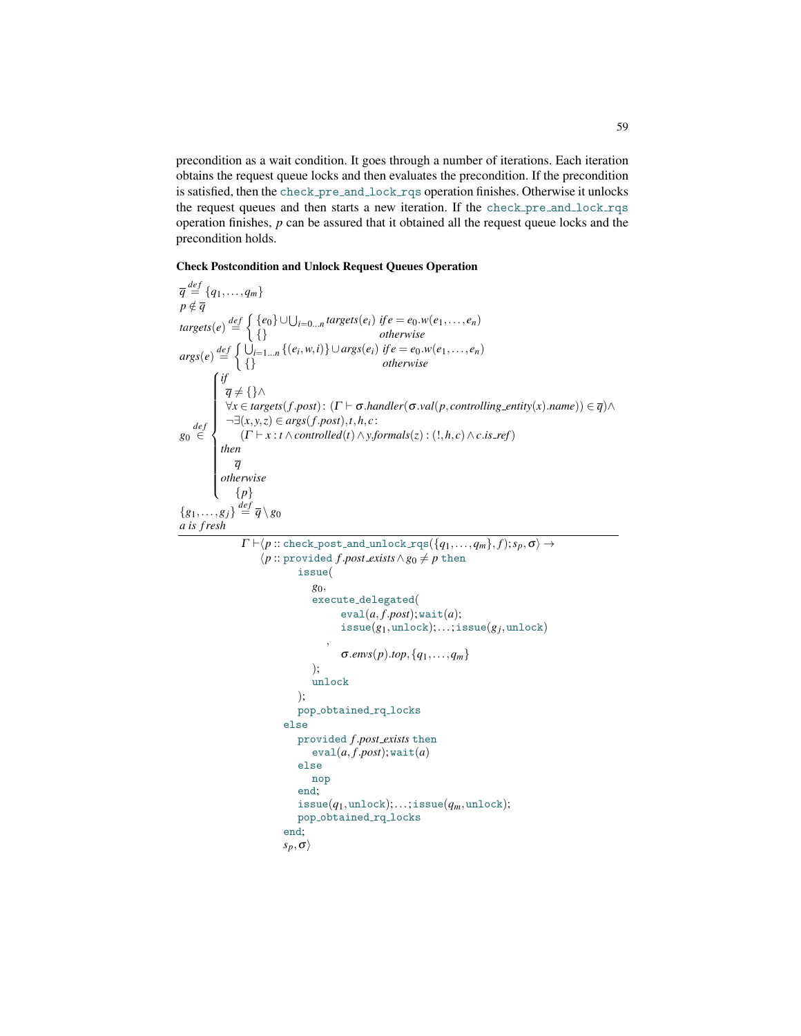precondition as a wait condition. It goes through a number of iterations. Each iteration obtains the request queue locks and then evaluates the precondition. If the precondition is satisfied, then the check\_pre\_and\_lock\_rqs operation finishes. Otherwise it unlocks the request queues and then starts a new iteration. If the check pre and lock rqs operation finishes, *p* can be assured that it obtained all the request queue locks and the precondition holds.

## Check Postcondition and Unlock Request Queues Operation

```
\overline{q} \stackrel{def}{=} \{q_1,\ldots,q_m\}p\notin \overline{q}t \text{argets}(e) \stackrel{def}{=} \left\{ \begin{array}{l} \{e_0\} \cup \bigcup_{i=0...n} \text{targets}(e_i) \text{ if } e = e_0 \cdot w(e_1, \dots, e_n) \\ \Omega \end{array} \right\}{} otherwise
 args(e) \stackrel{def}{=} \left\{ \bigcup_{i=1...n} \left\{ (e_i, w, i) \right\} \cup args(e_i) \text{ if } e = e_0 \cdot w(e_1, \dots, e_n) \right\}{} otherwise
 def<br>g<sub>0</sub> ∈

if
           \begin{array}{c} \hline \end{array}\begin{array}{c} \hline \end{array}q ≠ {}∧
                \forall x \in \text{targets}(f.\text{post}): (\Gamma \vdash \sigma.\text{handler}(\sigma.\text{val}(p,\text{controlling\_entity}(x).\text{name})) \in \overline{q}) \land\neg \exists (x, y, z) \in args(f. post), t, h, c:
                     (\Gamma \vdash x : t \land \text{controlled}(t) \land y \text{, formulas}(z) : (!, h, c) \land c \text{.is\_ref})then
             q
             otherwise
                   {p}
 {g_1, \ldots, g_j} \stackrel{def}{=} \overline{q} \setminus g_0a is f resh
                    \Gamma \vdash \langle p::\text{check-post-and-unlock.rqs}(\{q_1,\ldots,q_m\},f); s_p, \sigma \rangle \rightarrow\langle p :: provided f.post_exists ∧g<sup>0</sup> ≠ p then
                                       issue(
                                            g0,
                                            execute delegated(
                                                     eval(a, f. post); wait(a);issue(g1,unlock);...;issue(gj
,unlock)
                                                 ,
                                                     σ.envs(p).top,{q1,...,qm}
                                            );
                                            unlock
                                       );
                                       pop obtained rq locks
                                  else
                                       provided f.post exists then
                                            eval(a, f. post); wait(a)else
                                           nop
                                       end;
                                       issue(q_1,unlock);...;issue(q_m,unlock);
                                       pop obtained rq locks
                                  end;
                                  s_p, \sigma
```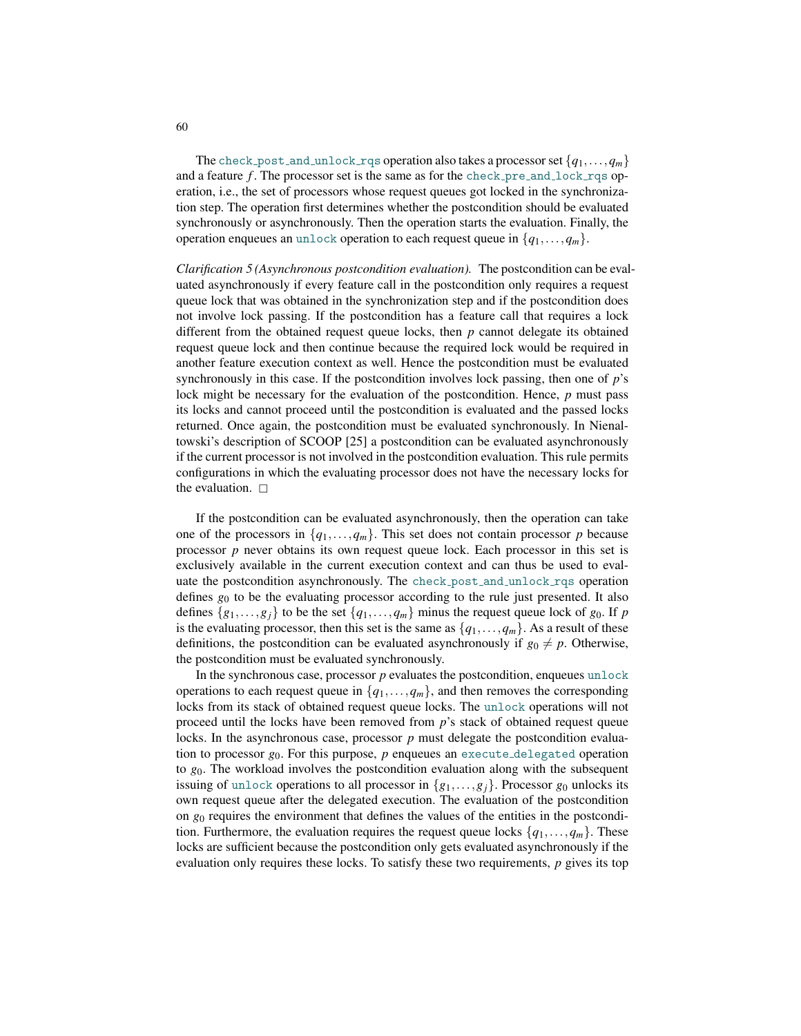The check post and unlock rqs operation also takes a processor set  $\{q_1, \ldots, q_m\}$ and a feature  $f$ . The processor set is the same as for the check  $pre\_and\_lock\_rg$  soperation, i.e., the set of processors whose request queues got locked in the synchronization step. The operation first determines whether the postcondition should be evaluated synchronously or asynchronously. Then the operation starts the evaluation. Finally, the operation enqueues an unlock operation to each request queue in  $\{q_1, \ldots, q_m\}$ .

*Clarification 5 (Asynchronous postcondition evaluation).* The postcondition can be evaluated asynchronously if every feature call in the postcondition only requires a request queue lock that was obtained in the synchronization step and if the postcondition does not involve lock passing. If the postcondition has a feature call that requires a lock different from the obtained request queue locks, then *p* cannot delegate its obtained request queue lock and then continue because the required lock would be required in another feature execution context as well. Hence the postcondition must be evaluated synchronously in this case. If the postcondition involves lock passing, then one of *p*'s lock might be necessary for the evaluation of the postcondition. Hence, *p* must pass its locks and cannot proceed until the postcondition is evaluated and the passed locks returned. Once again, the postcondition must be evaluated synchronously. In Nienaltowski's description of SCOOP [25] a postcondition can be evaluated asynchronously if the current processor is not involved in the postcondition evaluation. This rule permits configurations in which the evaluating processor does not have the necessary locks for the evaluation.  $\square$ 

If the postcondition can be evaluated asynchronously, then the operation can take one of the processors in  $\{q_1, \ldots, q_m\}$ . This set does not contain processor *p* because processor *p* never obtains its own request queue lock. Each processor in this set is exclusively available in the current execution context and can thus be used to evaluate the postcondition asynchronously. The check\_post\_and\_unlock\_rqs operation defines *g*<sup>0</sup> to be the evaluating processor according to the rule just presented. It also defines  $\{g_1, \ldots, g_j\}$  to be the set  $\{q_1, \ldots, q_m\}$  minus the request queue lock of  $g_0$ . If *p* is the evaluating processor, then this set is the same as  $\{q_1, \ldots, q_m\}$ . As a result of these definitions, the postcondition can be evaluated asynchronously if  $g_0 \neq p$ . Otherwise, the postcondition must be evaluated synchronously.

In the synchronous case, processor *p* evaluates the postcondition, enqueues unlock operations to each request queue in  $\{q_1, \ldots, q_m\}$ , and then removes the corresponding locks from its stack of obtained request queue locks. The unlock operations will not proceed until the locks have been removed from *p*'s stack of obtained request queue locks. In the asynchronous case, processor *p* must delegate the postcondition evaluation to processor *g*0. For this purpose, *p* enqueues an execute delegated operation to *g*0. The workload involves the postcondition evaluation along with the subsequent issuing of unlock operations to all processor in  $\{g_1, \ldots, g_j\}$ . Processor  $g_0$  unlocks its own request queue after the delegated execution. The evaluation of the postcondition on *g*<sup>0</sup> requires the environment that defines the values of the entities in the postcondition. Furthermore, the evaluation requires the request queue locks  $\{q_1, \ldots, q_m\}$ . These locks are sufficient because the postcondition only gets evaluated asynchronously if the evaluation only requires these locks. To satisfy these two requirements, *p* gives its top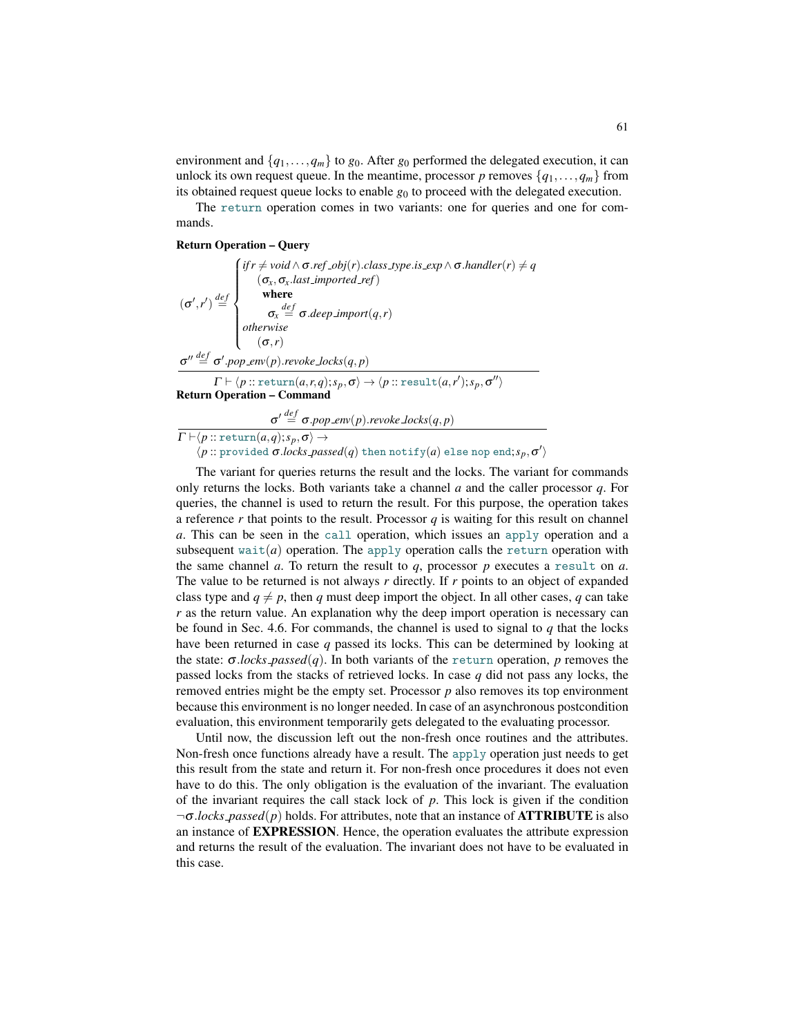environment and  $\{q_1, \ldots, q_m\}$  to  $g_0$ . After  $g_0$  performed the delegated execution, it can unlock its own request queue. In the meantime, processor p removes  $\{q_1, \ldots, q_m\}$  from its obtained request queue locks to enable *g*<sup>0</sup> to proceed with the delegated execution.

The return operation comes in two variants: one for queries and one for commands.

### Return Operation – Query

 $(\sigma', r') \stackrel{def}{=}$  $\sqrt{ }$  $\int$  $\overline{\mathcal{L}}$  $if r \neq void \land \sigma.ref\_obj(r).class\_type.is\_exp \land \sigma.handler(r) \neq q$  $(\sigma_x, \sigma_x$ *.last\_imported\_ref*) where  $\sigma_x \stackrel{def}{=} \sigma$ .deep\_*import*(*q*,*r*) *otherwise* (σ,*r*)  $σ'' \stackrel{def}{=} σ'.pop\_env(p).revoke\_locks(q, p)$ 

 $\Gamma \vdash \langle p \text{ :: return}(a,r,q); s_p, \sigma \rangle \rightarrow \langle p \text{ :: result}(a,r'); s_p, \sigma'' \rangle$ Return Operation – Command

 $\sigma' \stackrel{def}{=} \sigma$ .pop\_env(p).revoke\_locks(q, p)

### $\Gamma\vdash\!\langle p\text{::return}(a,q);s_p,\sigma\rangle\rightarrow$

 $\langle p::$  provided  $\sigma$ *.locks\_passed*( $q$ ) then notify( $a$ ) else nop end; $s_p, \sigma' \rangle$ 

The variant for queries returns the result and the locks. The variant for commands only returns the locks. Both variants take a channel *a* and the caller processor *q*. For queries, the channel is used to return the result. For this purpose, the operation takes a reference  $r$  that points to the result. Processor  $q$  is waiting for this result on channel *a*. This can be seen in the call operation, which issues an apply operation and a subsequent  $wait(a)$  operation. The apply operation calls the return operation with the same channel *a*. To return the result to *q*, processor *p* executes a result on *a*. The value to be returned is not always *r* directly. If *r* points to an object of expanded class type and  $q \neq p$ , then *q* must deep import the object. In all other cases, *q* can take *r* as the return value. An explanation why the deep import operation is necessary can be found in Sec. 4.6. For commands, the channel is used to signal to *q* that the locks have been returned in case *q* passed its locks. This can be determined by looking at the state:  $\sigma$ *.locks\_passed(q)*. In both variants of the return operation, *p* removes the passed locks from the stacks of retrieved locks. In case *q* did not pass any locks, the removed entries might be the empty set. Processor *p* also removes its top environment because this environment is no longer needed. In case of an asynchronous postcondition evaluation, this environment temporarily gets delegated to the evaluating processor.

Until now, the discussion left out the non-fresh once routines and the attributes. Non-fresh once functions already have a result. The apply operation just needs to get this result from the state and return it. For non-fresh once procedures it does not even have to do this. The only obligation is the evaluation of the invariant. The evaluation of the invariant requires the call stack lock of *p*. This lock is given if the condition ¬σ.*locks passed*(*p*) holds. For attributes, note that an instance of ATTRIBUTE is also an instance of EXPRESSION. Hence, the operation evaluates the attribute expression and returns the result of the evaluation. The invariant does not have to be evaluated in this case.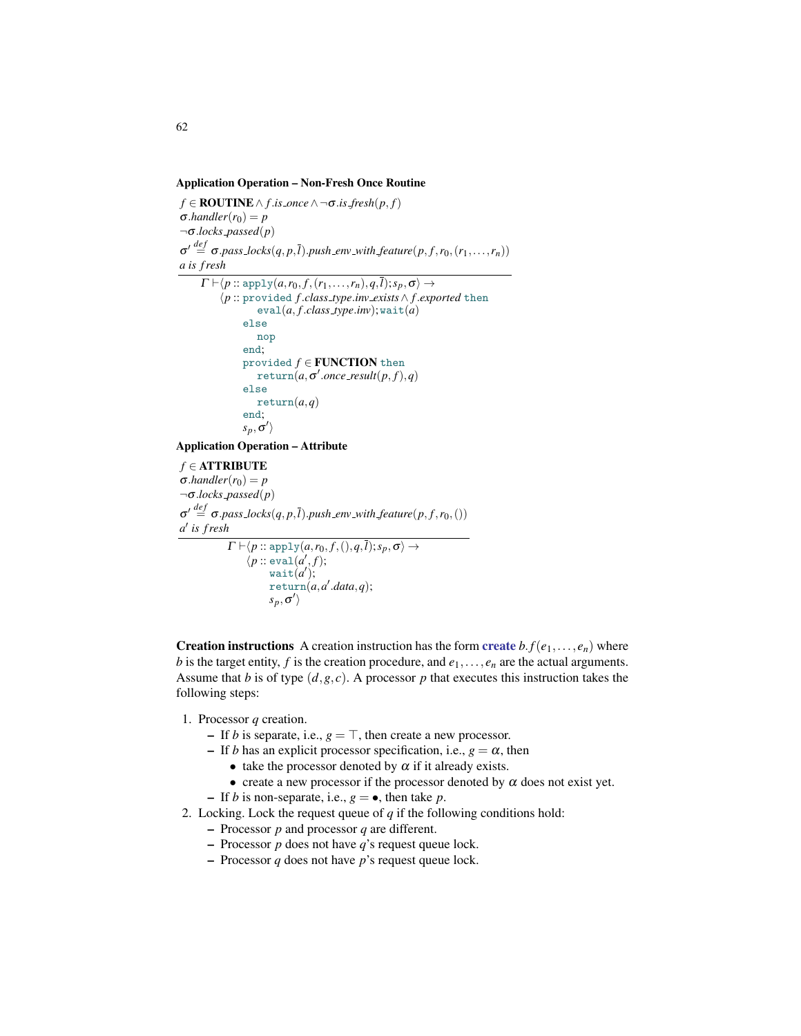### Application Operation – Non-Fresh Once Routine

 $f \in \text{ROUTINE} \land f.is\_once \land \neg \sigma.is\_fresh(p, f)$  $\sigma$ *.handler*( $r_0$ ) =  $p$ ¬σ.*locks passed*(*p*)  $\sigma' \stackrel{def}{=} \sigma$ .pass\_locks(q, p, l̄).push\_env\_with\_feature(p, f, r<sub>0</sub>, (r<sub>1</sub>, . . . , r<sub>n</sub>)) *a is f resh*  $\Gamma \vdash \langle p :: \text{apply}(a, r_0, f, (r_1, \ldots, r_n), q, \overline{l} \rangle; s_p, \sigma \rangle \rightarrow$ h*p* :: provided *f*.*class type*.*inv exists*∧ *f*.*exported* then  $eval(a, f.class_type.inv); wait(a)$ else nop end; provided *f* ∈ FUNCTION then  $\texttt{return}(a, \sigma'.once\_result(p, f), q)$ else return(*a*,*q*) end;  $\langle s_p, \sigma' \rangle$ Application Operation – Attribute

*f* ∈ ATTRIBUTE  $\sigma$ *.handler*( $r_0$ ) =  $p$ ¬σ.*locks passed*(*p*)  $\sigma' \stackrel{def}{=} \sigma$ .pass\_locks( $q$ ,  $p$ , $\bar{l}$ ).push\_env\_with\_feature( $p$ ,  $f$ ,  $r_0$ ,()) *a* 0 *is f resh*  $\Gamma \vdash \langle p :: \text{apply}(a, r_0, f,(), q, \overline{l}); s_p, \sigma \rangle \rightarrow$  $\langle p::$  eval $(a', f);$  $\text{wait}(a')$ ;  $\operatorname{return}(a, a'.data, q);$  $\langle s_p, \sigma' \rangle$ 

**Creation instructions** A creation instruction has the form **create**  $b.f(e_1,...,e_n)$  where *b* is the target entity, *f* is the creation procedure, and  $e_1, \ldots, e_n$  are the actual arguments. Assume that *b* is of type  $(d, g, c)$ . A processor *p* that executes this instruction takes the following steps:

- 1. Processor *q* creation.
	- If *b* is separate, i.e.,  $g = \top$ , then create a new processor.
	- If *b* has an explicit processor specification, i.e.,  $g = \alpha$ , then
		- take the processor denoted by  $\alpha$  if it already exists.
		- create a new processor if the processor denoted by  $\alpha$  does not exist yet.
	- If *b* is non-separate, i.e.,  $g = \bullet$ , then take *p*.
- 2. Locking. Lock the request queue of  $q$  if the following conditions hold:
	- Processor *p* and processor *q* are different.
	- Processor *p* does not have *q*'s request queue lock.
	- Processor *q* does not have *p*'s request queue lock.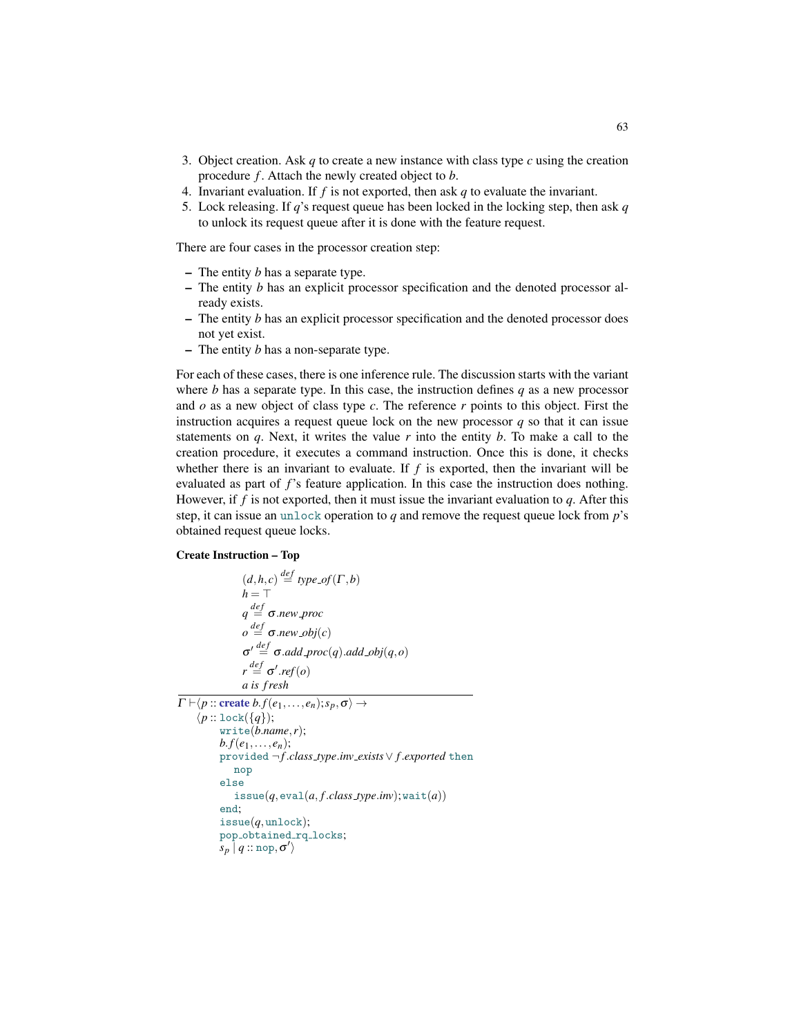- 3. Object creation. Ask *q* to create a new instance with class type *c* using the creation procedure *f* . Attach the newly created object to *b*.
- 4. Invariant evaluation. If *f* is not exported, then ask *q* to evaluate the invariant.
- 5. Lock releasing. If *q*'s request queue has been locked in the locking step, then ask *q* to unlock its request queue after it is done with the feature request.

There are four cases in the processor creation step:

- The entity *b* has a separate type.
- The entity *b* has an explicit processor specification and the denoted processor already exists.
- The entity *b* has an explicit processor specification and the denoted processor does not yet exist.
- The entity *b* has a non-separate type.

For each of these cases, there is one inference rule. The discussion starts with the variant where *b* has a separate type. In this case, the instruction defines *q* as a new processor and *o* as a new object of class type *c*. The reference *r* points to this object. First the instruction acquires a request queue lock on the new processor  $q$  so that it can issue statements on *q*. Next, it writes the value *r* into the entity *b*. To make a call to the creation procedure, it executes a command instruction. Once this is done, it checks whether there is an invariant to evaluate. If  $f$  is exported, then the invariant will be evaluated as part of *f*'s feature application. In this case the instruction does nothing. However, if *f* is not exported, then it must issue the invariant evaluation to *q*. After this step, it can issue an unlock operation to *q* and remove the request queue lock from *p*'s obtained request queue locks.

## Create Instruction – Top

```
(d, h, c) \stackrel{def}{=} type\_of(\Gamma, b)h = \topq
de f
= σ.new proc
                    o \stackrel{def}{=} \sigma.new_obj(c)\sigma' \stackrel{def}{=} \sigma.add_proc(q).add_obj(q,o)
                    r \stackrel{def}{=} \sigma'.\mathit{ref}(o)a is f resh
\Gamma \vdash \langle p : \text{create } b.f(e_1,\ldots,e_n); s_p, \sigma \rangle \rightarrow\langle p:: \texttt{lock}(\{q\});write(b.name,r);
            b.f(e_1,...,e_n);provided ¬f.class type.inv exists∨ f.exported then
                nop
            else
                 issue(q, eval(a, f.class_type.inv); wait(a))end;
            issue(q,unlock);
            pop_obtained_rq_locks;
             \overline{s_p} q :: nop, \sigma' \rangle
```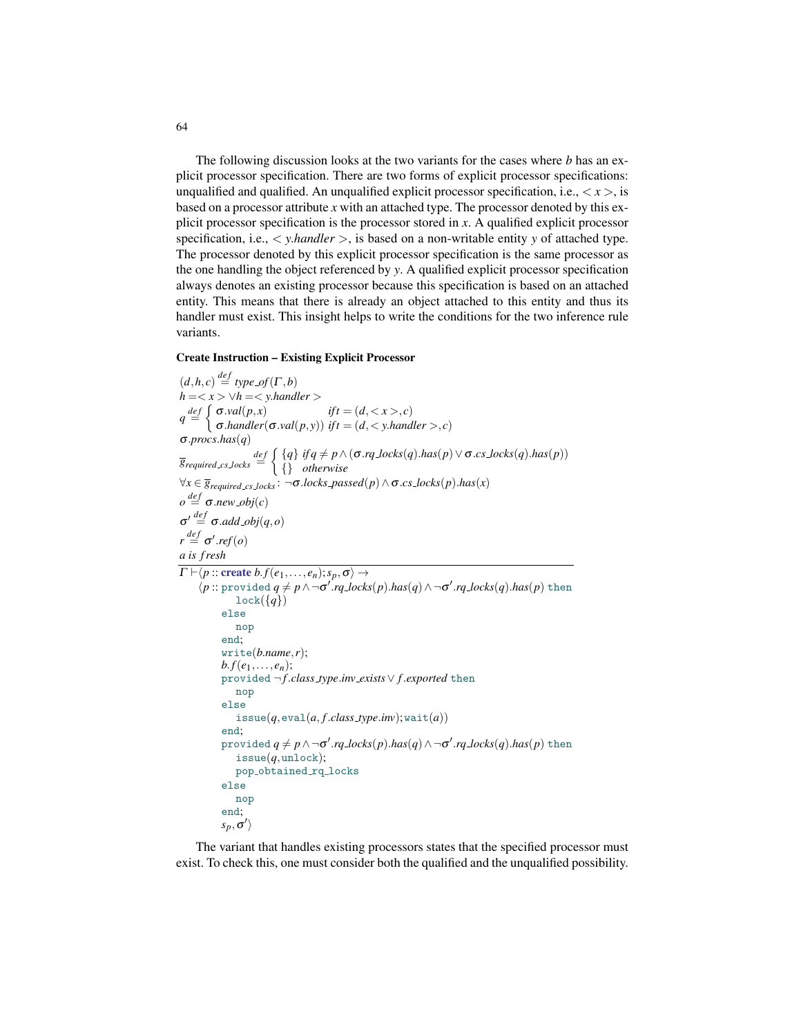The following discussion looks at the two variants for the cases where *b* has an explicit processor specification. There are two forms of explicit processor specifications: unqualified and qualified. An unqualified explicit processor specification, i.e.,  $\langle x \rangle$ , is based on a processor attribute *x* with an attached type. The processor denoted by this explicit processor specification is the processor stored in *x*. A qualified explicit processor specification, i.e., < *y*.*handler* >, is based on a non-writable entity *y* of attached type. The processor denoted by this explicit processor specification is the same processor as the one handling the object referenced by *y*. A qualified explicit processor specification always denotes an existing processor because this specification is based on an attached entity. This means that there is already an object attached to this entity and thus its handler must exist. This insight helps to write the conditions for the two inference rule variants.

## Create Instruction – Existing Explicit Processor

 $(d, h, c) \stackrel{def}{=} type\_of(\Gamma, b)$  $h = \langle x \rangle \lor h = \langle y \rangle$ *handler*  $q \stackrel{\text{def}}{=} \begin{cases} \sigma \cdot val(p,x) & \text{if } t = (d, < x>, c) \\ \sigma \cdot \text{d} \cdot val(p,x) & \text{if } t = (d, < x, d) \end{cases}$  $\sigma$ *.handler*( $\sigma$ *.val*( $p$ *,y*)) *if*  $t = (d, \langle$ *y.handler* $>$ *,c*) σ.*procs*.*has*(*q*)  $g$ <sup>*g*</sup><sub>*g*</sub> *def*<sub>1</sub>  $\{q\}$  *if*  $q \neq p \land (\sigma . rq \text{.} \textit{locks}(q) \text{.} \textit{has}(q) \lor \sigma . cs \text{.} \textit{locks}(q) \text{.} \textit{has}(p))$ {} *otherwise*  $∀x ∈ \overline{g}_{required\_cs\_locks}$ : ¬**σ**.*locks\_passed*(*p*)∧**σ**.*cs*\_*locks*(*p*).*has*(*x*)  $o \stackrel{def}{=} \sigma$ .new\_obj(c)  $\sigma' \stackrel{def}{=} \sigma$ .add\_obj(*q*,*o*)  $r \stackrel{def}{=} \sigma'.\mathit{ref}(o)$ *a is f resh*  $\Gamma \vdash \langle p : \text{create } b.f(e_1,\ldots,e_n); s_p, \sigma \rangle \rightarrow$  $\Diamond$ *p* :: provided  $q \neq p \land \neg \sigma'.rq\_locks(p). has(q) \land \neg \sigma'.rq\_locks(q). has(p)$  then lock({*q*}) else nop end; write(*b*.*name*,*r*);  $b.f(e_1,...,e_n);$ provided ¬*f*.*class type*.*inv exists*∨ *f*.*exported* then nop else  $i$ ssue $(q, eval(a, f.class_type.inv); wait(a))$ end;  $\mathsf{provided}\ q \neq p \land \neg \sigma'.rq\_locks(p). has(q) \land \neg \sigma'.rq\_locks(q). has(p) \ \mathsf{then}$ issue(*q*,unlock); pop obtained rq locks else nop end;  $\langle s_p, \sigma' \rangle$ 

The variant that handles existing processors states that the specified processor must exist. To check this, one must consider both the qualified and the unqualified possibility.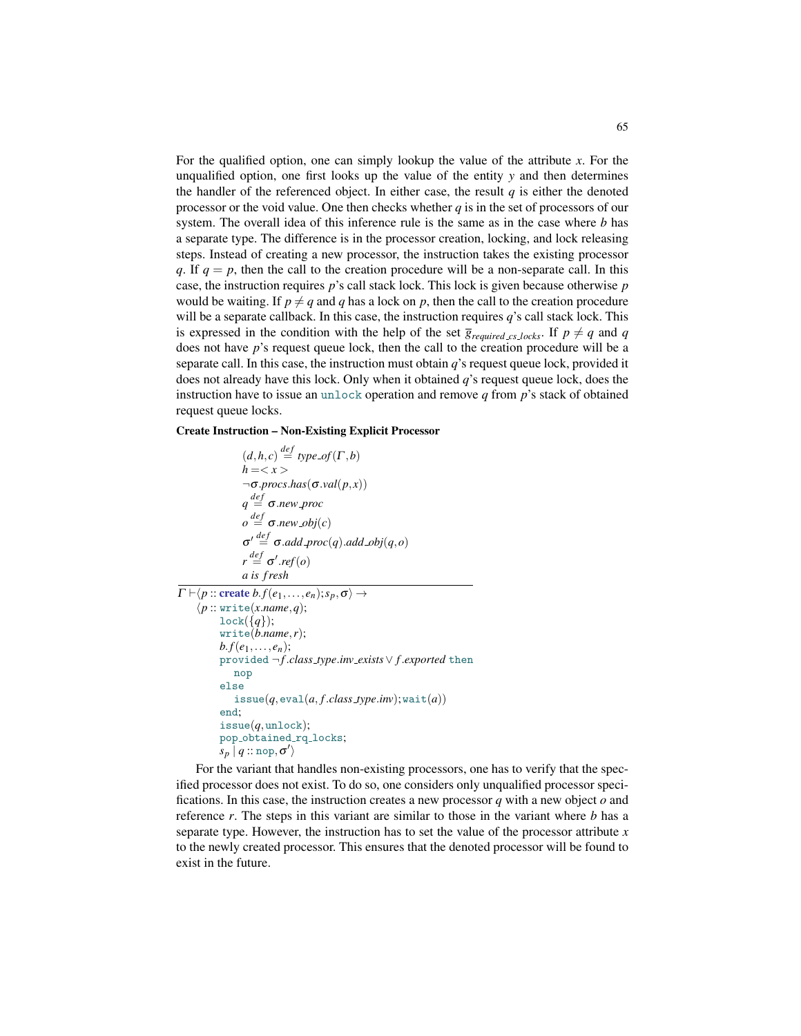For the qualified option, one can simply lookup the value of the attribute *x*. For the unqualified option, one first looks up the value of the entity  $y$  and then determines the handler of the referenced object. In either case, the result  $q$  is either the denoted processor or the void value. One then checks whether *q* is in the set of processors of our system. The overall idea of this inference rule is the same as in the case where *b* has a separate type. The difference is in the processor creation, locking, and lock releasing steps. Instead of creating a new processor, the instruction takes the existing processor *q*. If  $q = p$ , then the call to the creation procedure will be a non-separate call. In this case, the instruction requires *p*'s call stack lock. This lock is given because otherwise *p* would be waiting. If  $p \neq q$  and  $q$  has a lock on  $p$ , then the call to the creation procedure will be a separate callback. In this case, the instruction requires *q*'s call stack lock. This is expressed in the condition with the help of the set  $\bar{g}_{required\text{-}cs\text{-}locks}$ . If  $p \neq q$  and *q* does not have *p*'s request queue lock, then the call to the creation procedure will be a separate call. In this case, the instruction must obtain *q*'s request queue lock, provided it does not already have this lock. Only when it obtained *q*'s request queue lock, does the instruction have to issue an unlock operation and remove *q* from *p*'s stack of obtained request queue locks.

Create Instruction – Non-Existing Explicit Processor

 $(d, h, c) \stackrel{def}{=} type\_of(\Gamma, b)$  $h =$  $¬σ. *procs. has*(σ. *val*(*p*,*x*))$ *q de f* = σ.*new proc*  $o \stackrel{def}{=} \sigma$ .new\_obj(c)  $\sigma' \stackrel{def}{=} \sigma$ .*add\_proc*(*q*).*add\_obj*(*q*,*o*)  $r \stackrel{def}{=} \sigma'.\mathit{ref}(o)$ *a is f resh*  $\Gamma \vdash \langle p : \text{create } b.f(e_1,\ldots,e_n); s_p, \sigma \rangle \rightarrow$  $\langle p::$  write(*x*.*name*,*q*);  $lock({q})$ ; write(*b*.*name*,*r*);  $b.f(e_1,...,e_n);$ provided ¬*f*.*class type*.*inv exists*∨ *f*.*exported* then nop else  $i$ ssue $(q, eval(a, f.class_type.inv); wait(a))$ end; issue(*q*,unlock); pop obtained rq locks;  $\overline{s_p \mid q::\texttt{nop}, \sigma' \rangle}$ 

For the variant that handles non-existing processors, one has to verify that the specified processor does not exist. To do so, one considers only unqualified processor specifications. In this case, the instruction creates a new processor *q* with a new object *o* and reference *r*. The steps in this variant are similar to those in the variant where *b* has a separate type. However, the instruction has to set the value of the processor attribute *x* to the newly created processor. This ensures that the denoted processor will be found to exist in the future.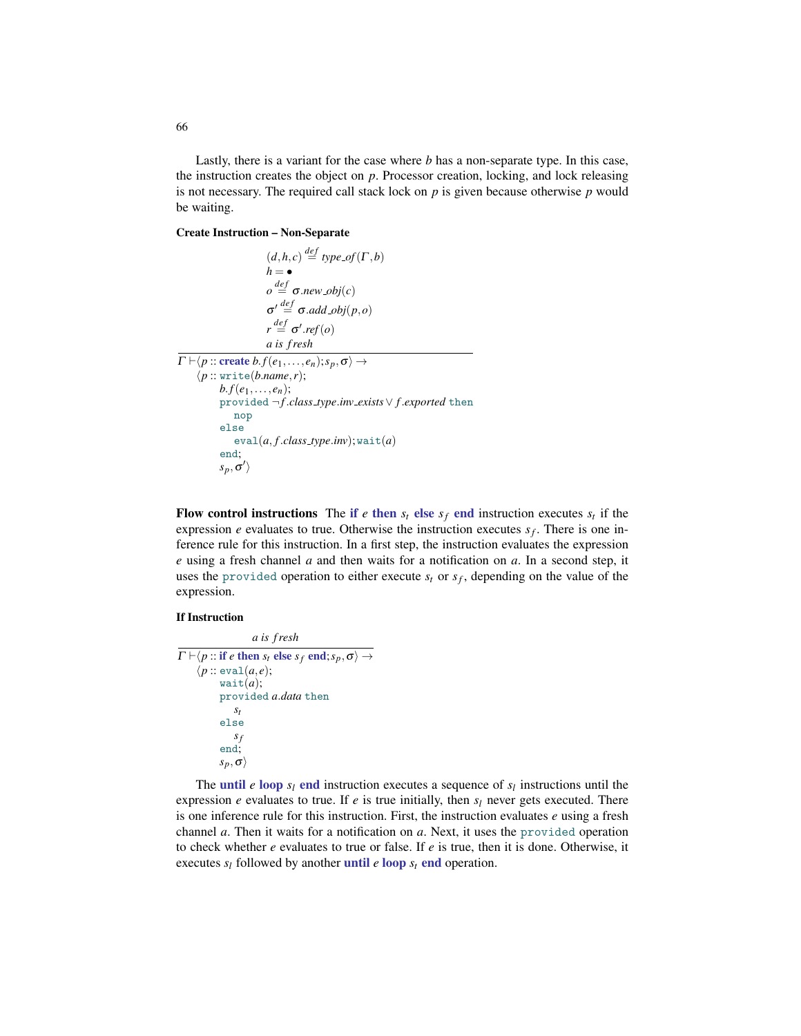Lastly, there is a variant for the case where *b* has a non-separate type. In this case, the instruction creates the object on  $p$ . Processor creation, locking, and lock releasing is not necessary. The required call stack lock on *p* is given because otherwise *p* would be waiting.

## Create Instruction – Non-Separate

```
(d, h, c) \stackrel{def}{=} type\_of(\Gamma, b)h = \bulleto \stackrel{def}{=} \sigma.new_obj(c)
                              \sigma' \stackrel{def}{=} \sigma.add_obj(p, o)r \stackrel{def}{=} \sigma'.\mathit{ref}(o)a is f resh
\Gamma \vdash \langle p : \text{create } b.f(e_1,\ldots,e_n); s_p, \sigma \rangle \rightarrow\langle p:: write(b.name,r);
              b.f(e_1,...,e_n);provided ¬f.class type.inv exists∨ f.exported then
                  nop
              else
                   eval(a, f.class_type.inv); wait(a)end;
               \langle s_p, \sigma' \rangle
```
Flow control instructions The if *e* then  $s_t$  else  $s_f$  end instruction executes  $s_t$  if the expression *e* evaluates to true. Otherwise the instruction executes  $s_f$ . There is one inference rule for this instruction. In a first step, the instruction evaluates the expression *e* using a fresh channel *a* and then waits for a notification on *a*. In a second step, it uses the provided operation to either execute  $s_t$  or  $s_f$ , depending on the value of the expression.

## If Instruction

```
a is f resh
\overline{\Gamma \vdash \langle p : \text{if } e \text{ then } s_t \text{ else } s_f \text{ end}; s_p, \sigma \rangle}\langle p :: eval(a,e);
                wait(a);provided a.data then
                     st
                else
                     sf
                end;
                \langle s_p, \sigma \rangle
```
The **until** *e* loop  $s_l$  end instruction executes a sequence of  $s_l$  instructions until the expression *e* evaluates to true. If *e* is true initially, then  $s_l$  never gets executed. There is one inference rule for this instruction. First, the instruction evaluates *e* using a fresh channel *a*. Then it waits for a notification on *a*. Next, it uses the provided operation to check whether *e* evaluates to true or false. If *e* is true, then it is done. Otherwise, it executes  $s_l$  followed by another **until** *e* loop  $s_t$  end operation.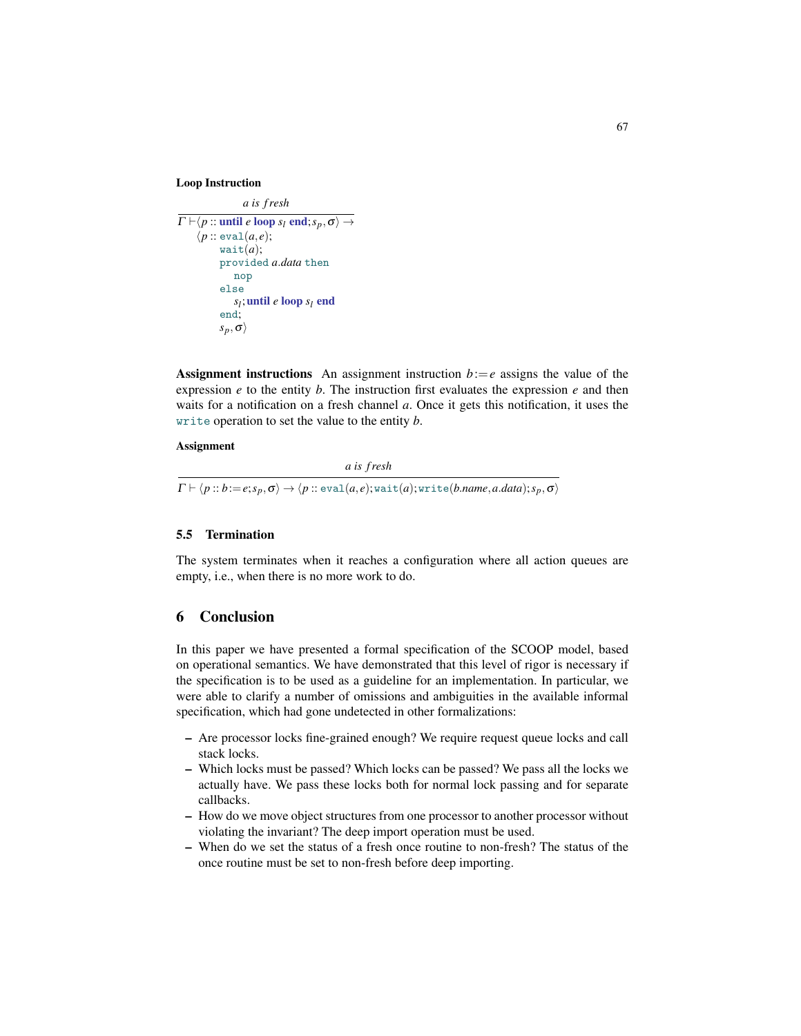Loop Instruction

```
a is f resh
\overline{\Gamma \vdash \langle p : \text{until } e \text{ loop } s_i \text{ end}; s_p, \sigma \rangle} \rightarrow\langle p :: eval(a,e);
              wait(a);provided a.data then
                  nop
              else
                   sl
;until e loop sl end
              end;
              s_p, \sigma
```
Assignment instructions An assignment instruction  $b := e$  assigns the value of the expression *e* to the entity *b*. The instruction first evaluates the expression *e* and then waits for a notification on a fresh channel *a*. Once it gets this notification, it uses the write operation to set the value to the entity *b*.

## **Assignment**

*a is f resh*  $\overline{\Gamma \vdash \langle p::b:=e;s_p,\sigma\rangle \rightarrow \langle p::eval(a,e);wait(a);write(b.name, a.data);s_p,\sigma\rangle}$ 

### 5.5 Termination

The system terminates when it reaches a configuration where all action queues are empty, i.e., when there is no more work to do.

## 6 Conclusion

In this paper we have presented a formal specification of the SCOOP model, based on operational semantics. We have demonstrated that this level of rigor is necessary if the specification is to be used as a guideline for an implementation. In particular, we were able to clarify a number of omissions and ambiguities in the available informal specification, which had gone undetected in other formalizations:

- Are processor locks fine-grained enough? We require request queue locks and call stack locks.
- Which locks must be passed? Which locks can be passed? We pass all the locks we actually have. We pass these locks both for normal lock passing and for separate callbacks.
- How do we move object structures from one processor to another processor without violating the invariant? The deep import operation must be used.
- When do we set the status of a fresh once routine to non-fresh? The status of the once routine must be set to non-fresh before deep importing.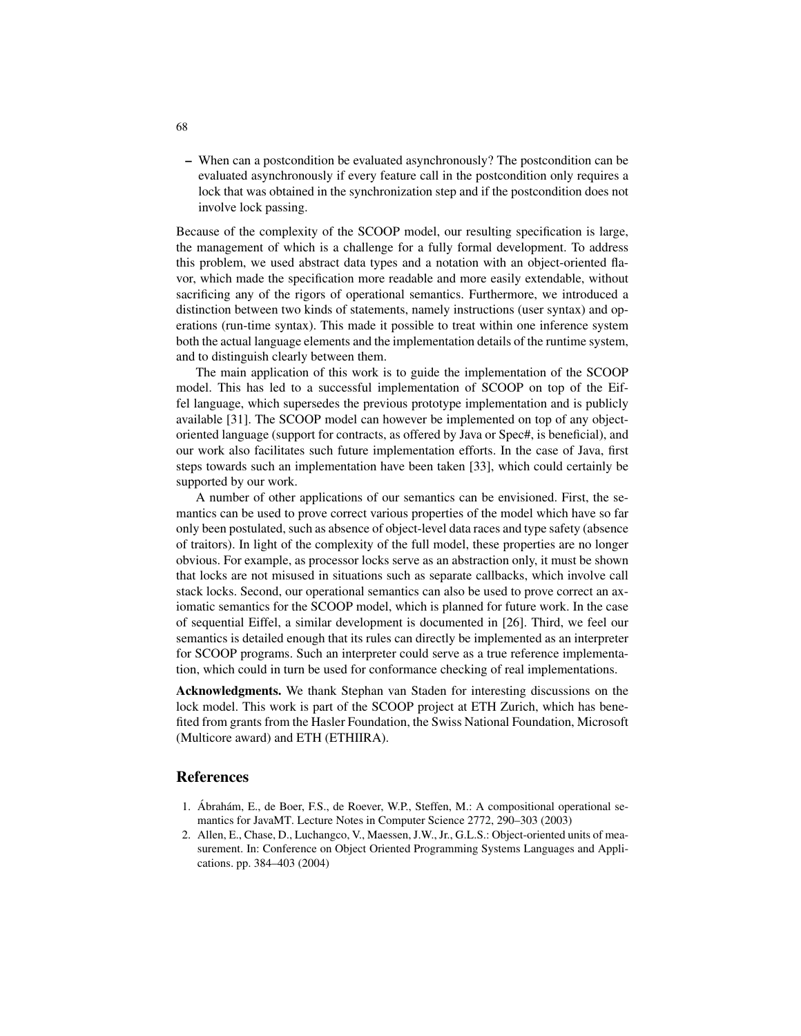– When can a postcondition be evaluated asynchronously? The postcondition can be evaluated asynchronously if every feature call in the postcondition only requires a lock that was obtained in the synchronization step and if the postcondition does not involve lock passing.

Because of the complexity of the SCOOP model, our resulting specification is large, the management of which is a challenge for a fully formal development. To address this problem, we used abstract data types and a notation with an object-oriented flavor, which made the specification more readable and more easily extendable, without sacrificing any of the rigors of operational semantics. Furthermore, we introduced a distinction between two kinds of statements, namely instructions (user syntax) and operations (run-time syntax). This made it possible to treat within one inference system both the actual language elements and the implementation details of the runtime system, and to distinguish clearly between them.

The main application of this work is to guide the implementation of the SCOOP model. This has led to a successful implementation of SCOOP on top of the Eiffel language, which supersedes the previous prototype implementation and is publicly available [31]. The SCOOP model can however be implemented on top of any objectoriented language (support for contracts, as offered by Java or Spec#, is beneficial), and our work also facilitates such future implementation efforts. In the case of Java, first steps towards such an implementation have been taken [33], which could certainly be supported by our work.

A number of other applications of our semantics can be envisioned. First, the semantics can be used to prove correct various properties of the model which have so far only been postulated, such as absence of object-level data races and type safety (absence of traitors). In light of the complexity of the full model, these properties are no longer obvious. For example, as processor locks serve as an abstraction only, it must be shown that locks are not misused in situations such as separate callbacks, which involve call stack locks. Second, our operational semantics can also be used to prove correct an axiomatic semantics for the SCOOP model, which is planned for future work. In the case of sequential Eiffel, a similar development is documented in [26]. Third, we feel our semantics is detailed enough that its rules can directly be implemented as an interpreter for SCOOP programs. Such an interpreter could serve as a true reference implementation, which could in turn be used for conformance checking of real implementations.

Acknowledgments. We thank Stephan van Staden for interesting discussions on the lock model. This work is part of the SCOOP project at ETH Zurich, which has benefited from grants from the Hasler Foundation, the Swiss National Foundation, Microsoft (Multicore award) and ETH (ETHIIRA).

# **References**

- 1. Ábrahám, E., de Boer, F.S., de Roever, W.P., Steffen, M.: A compositional operational semantics for JavaMT. Lecture Notes in Computer Science 2772, 290–303 (2003)
- 2. Allen, E., Chase, D., Luchangco, V., Maessen, J.W., Jr., G.L.S.: Object-oriented units of measurement. In: Conference on Object Oriented Programming Systems Languages and Applications. pp. 384–403 (2004)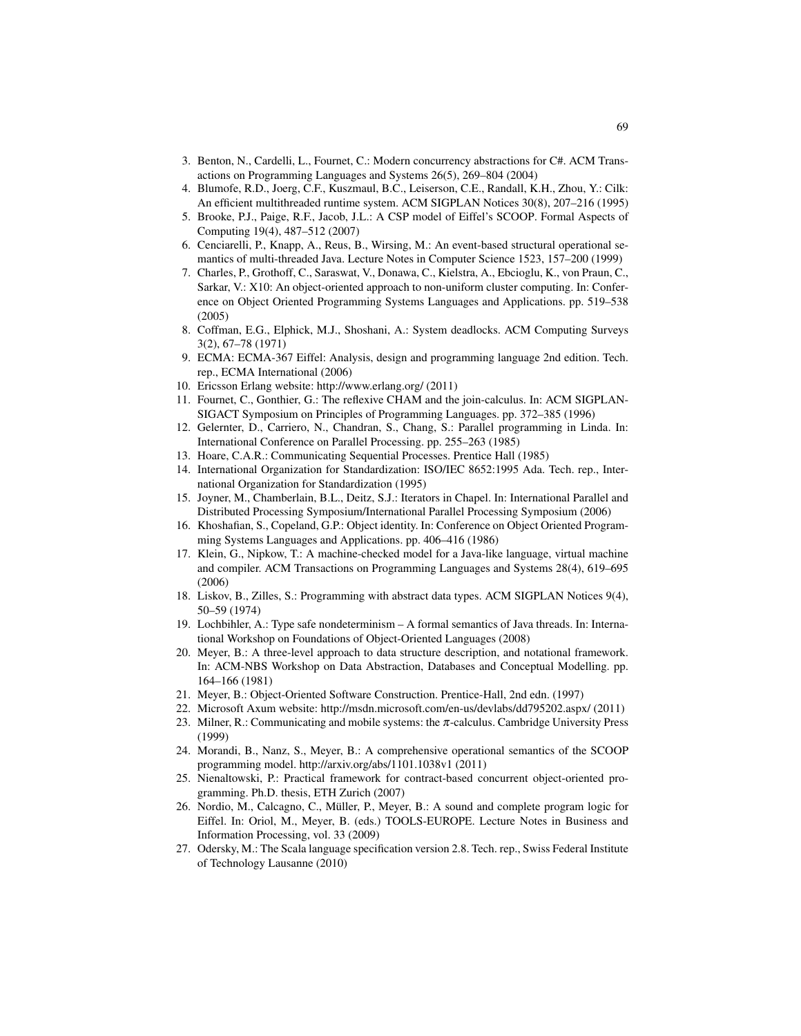- 3. Benton, N., Cardelli, L., Fournet, C.: Modern concurrency abstractions for C#. ACM Transactions on Programming Languages and Systems 26(5), 269–804 (2004)
- 4. Blumofe, R.D., Joerg, C.F., Kuszmaul, B.C., Leiserson, C.E., Randall, K.H., Zhou, Y.: Cilk: An efficient multithreaded runtime system. ACM SIGPLAN Notices 30(8), 207–216 (1995)
- 5. Brooke, P.J., Paige, R.F., Jacob, J.L.: A CSP model of Eiffel's SCOOP. Formal Aspects of Computing 19(4), 487–512 (2007)
- 6. Cenciarelli, P., Knapp, A., Reus, B., Wirsing, M.: An event-based structural operational semantics of multi-threaded Java. Lecture Notes in Computer Science 1523, 157–200 (1999)
- 7. Charles, P., Grothoff, C., Saraswat, V., Donawa, C., Kielstra, A., Ebcioglu, K., von Praun, C., Sarkar, V.: X10: An object-oriented approach to non-uniform cluster computing. In: Conference on Object Oriented Programming Systems Languages and Applications. pp. 519–538 (2005)
- 8. Coffman, E.G., Elphick, M.J., Shoshani, A.: System deadlocks. ACM Computing Surveys 3(2), 67–78 (1971)
- 9. ECMA: ECMA-367 Eiffel: Analysis, design and programming language 2nd edition. Tech. rep., ECMA International (2006)
- 10. Ericsson Erlang website: http://www.erlang.org/ (2011)
- 11. Fournet, C., Gonthier, G.: The reflexive CHAM and the join-calculus. In: ACM SIGPLAN-SIGACT Symposium on Principles of Programming Languages. pp. 372–385 (1996)
- 12. Gelernter, D., Carriero, N., Chandran, S., Chang, S.: Parallel programming in Linda. In: International Conference on Parallel Processing. pp. 255–263 (1985)
- 13. Hoare, C.A.R.: Communicating Sequential Processes. Prentice Hall (1985)
- 14. International Organization for Standardization: ISO/IEC 8652:1995 Ada. Tech. rep., International Organization for Standardization (1995)
- 15. Joyner, M., Chamberlain, B.L., Deitz, S.J.: Iterators in Chapel. In: International Parallel and Distributed Processing Symposium/International Parallel Processing Symposium (2006)
- 16. Khoshafian, S., Copeland, G.P.: Object identity. In: Conference on Object Oriented Programming Systems Languages and Applications. pp. 406–416 (1986)
- 17. Klein, G., Nipkow, T.: A machine-checked model for a Java-like language, virtual machine and compiler. ACM Transactions on Programming Languages and Systems 28(4), 619–695 (2006)
- 18. Liskov, B., Zilles, S.: Programming with abstract data types. ACM SIGPLAN Notices 9(4), 50–59 (1974)
- 19. Lochbihler, A.: Type safe nondeterminism A formal semantics of Java threads. In: International Workshop on Foundations of Object-Oriented Languages (2008)
- 20. Meyer, B.: A three-level approach to data structure description, and notational framework. In: ACM-NBS Workshop on Data Abstraction, Databases and Conceptual Modelling. pp. 164–166 (1981)
- 21. Meyer, B.: Object-Oriented Software Construction. Prentice-Hall, 2nd edn. (1997)
- 22. Microsoft Axum website: http://msdn.microsoft.com/en-us/devlabs/dd795202.aspx/ (2011)
- 23. Milner, R.: Communicating and mobile systems: the  $\pi$ -calculus. Cambridge University Press (1999)
- 24. Morandi, B., Nanz, S., Meyer, B.: A comprehensive operational semantics of the SCOOP programming model. http://arxiv.org/abs/1101.1038v1 (2011)
- 25. Nienaltowski, P.: Practical framework for contract-based concurrent object-oriented programming. Ph.D. thesis, ETH Zurich (2007)
- 26. Nordio, M., Calcagno, C., Muller, P., Meyer, B.: A sound and complete program logic for ¨ Eiffel. In: Oriol, M., Meyer, B. (eds.) TOOLS-EUROPE. Lecture Notes in Business and Information Processing, vol. 33 (2009)
- 27. Odersky, M.: The Scala language specification version 2.8. Tech. rep., Swiss Federal Institute of Technology Lausanne (2010)